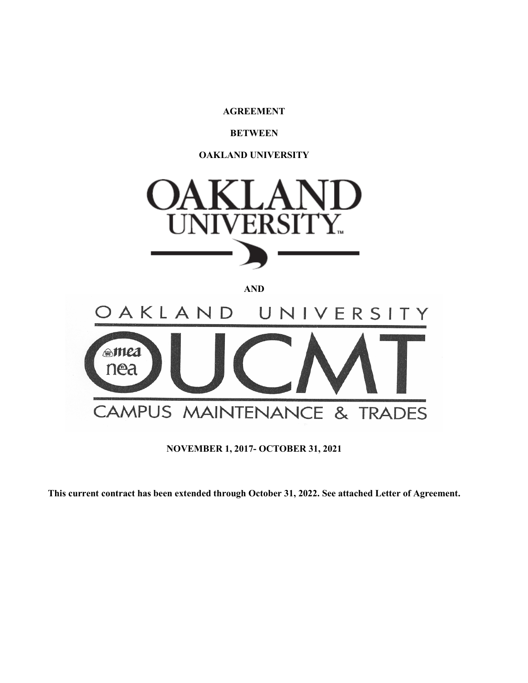**AGREEMENT**

# **BETWEEN**

**OAKLAND UNIVERSITY**



**AND** 

DAKLAND UNIVERSITY **amea** nea CAMPUS MAINTENANCE & TRADES

**NOVEMBER 1, 2017- OCTOBER 31, 2021**

**This current contract has been extended through October 31, 2022. See attached Letter of Agreement.**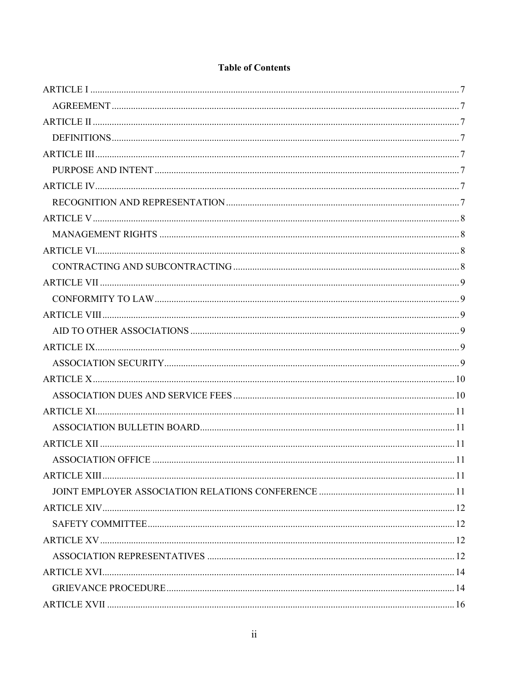# **Table of Contents**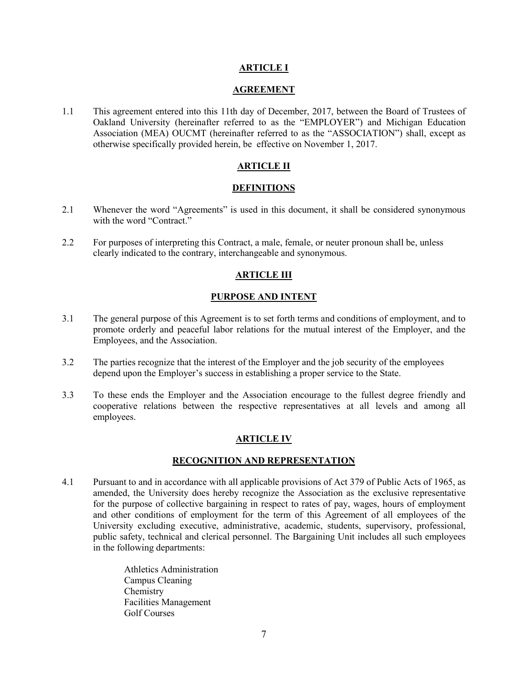# **ARTICLE I**

#### **AGREEMENT**

<span id="page-6-1"></span><span id="page-6-0"></span>1.1 This agreement entered into this 11th day of December, 2017, between the Board of Trustees of Oakland University (hereinafter referred to as the "EMPLOYER") and Michigan Education Association (MEA) OUCMT (hereinafter referred to as the "ASSOCIATION") shall, except as otherwise specifically provided herein, be effective on November 1, 2017.

# **ARTICLE II**

### **DEFINITIONS**

- <span id="page-6-3"></span><span id="page-6-2"></span>2.1 Whenever the word "Agreements" is used in this document, it shall be considered synonymous with the word "Contract."
- <span id="page-6-4"></span>2.2 For purposes of interpreting this Contract, a male, female, or neuter pronoun shall be, unless clearly indicated to the contrary, interchangeable and synonymous.

# **ARTICLE III**

### **PURPOSE AND INTENT**

- <span id="page-6-5"></span>3.1 The general purpose of this Agreement is to set forth terms and conditions of employment, and to promote orderly and peaceful labor relations for the mutual interest of the Employer, and the Employees, and the Association.
- 3.2 The parties recognize that the interest of the Employer and the job security of the employees depend upon the Employer's success in establishing a proper service to the State.
- <span id="page-6-6"></span>3.3 To these ends the Employer and the Association encourage to the fullest degree friendly and cooperative relations between the respective representatives at all levels and among all employees.

# **ARTICLE IV**

#### **RECOGNITION AND REPRESENTATION**

<span id="page-6-7"></span>4.1 Pursuant to and in accordance with all applicable provisions of Act 379 of Public Acts of 1965, as amended, the University does hereby recognize the Association as the exclusive representative for the purpose of collective bargaining in respect to rates of pay, wages, hours of employment and other conditions of employment for the term of this Agreement of all employees of the University excluding executive, administrative, academic, students, supervisory, professional, public safety, technical and clerical personnel. The Bargaining Unit includes all such employees in the following departments:

> Athletics Administration Campus Cleaning Chemistry Facilities Management Golf Courses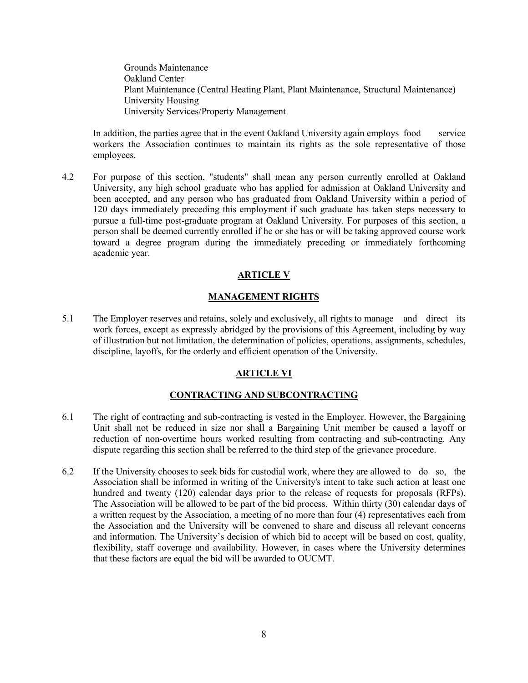Grounds Maintenance Oakland Center Plant Maintenance (Central Heating Plant, Plant Maintenance, Structural Maintenance) University Housing University Services/Property Management

In addition, the parties agree that in the event Oakland University again employs food service workers the Association continues to maintain its rights as the sole representative of those employees.

4.2 For purpose of this section, "students" shall mean any person currently enrolled at Oakland University, any high school graduate who has applied for admission at Oakland University and been accepted, and any person who has graduated from Oakland University within a period of 120 days immediately preceding this employment if such graduate has taken steps necessary to pursue a full-time post-graduate program at Oakland University. For purposes of this section, a person shall be deemed currently enrolled if he or she has or will be taking approved course work toward a degree program during the immediately preceding or immediately forthcoming academic year.

# **ARTICLE V**

### **MANAGEMENT RIGHTS**

<span id="page-7-1"></span><span id="page-7-0"></span>5.1 The Employer reserves and retains, solely and exclusively, all rights to manage and direct its work forces, except as expressly abridged by the provisions of this Agreement, including by way of illustration but not limitation, the determination of policies, operations, assignments, schedules, discipline, layoffs, for the orderly and efficient operation of the University.

# **ARTICLE VI**

## **CONTRACTING AND SUBCONTRACTING**

- <span id="page-7-3"></span><span id="page-7-2"></span>6.1 The right of contracting and sub-contracting is vested in the Employer. However, the Bargaining Unit shall not be reduced in size nor shall a Bargaining Unit member be caused a layoff or reduction of non-overtime hours worked resulting from contracting and sub-contracting. Any dispute regarding this section shall be referred to the third step of the grievance procedure.
- 6.2 If the University chooses to seek bids for custodial work, where they are allowed to do so, the Association shall be informed in writing of the University's intent to take such action at least one hundred and twenty (120) calendar days prior to the release of requests for proposals (RFPs). The Association will be allowed to be part of the bid process. Within thirty (30) calendar days of a written request by the Association, a meeting of no more than four (4) representatives each from the Association and the University will be convened to share and discuss all relevant concerns and information. The University's decision of which bid to accept will be based on cost, quality, flexibility, staff coverage and availability. However, in cases where the University determines that these factors are equal the bid will be awarded to OUCMT.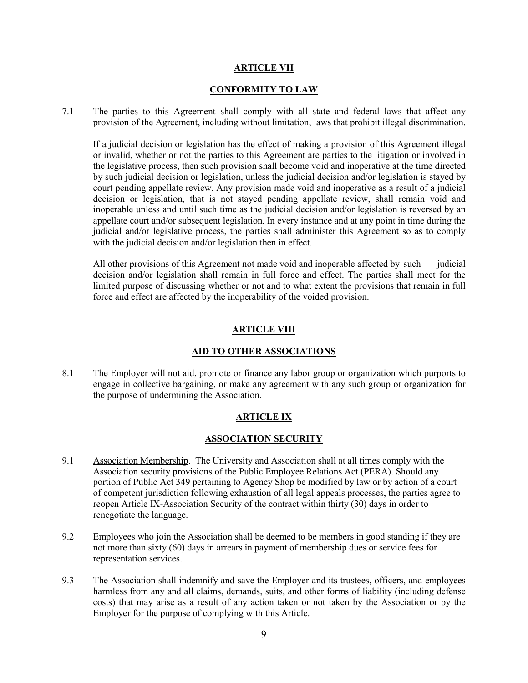### **ARTICLE VII**

### **CONFORMITY TO LAW**

<span id="page-8-1"></span><span id="page-8-0"></span>7.1 The parties to this Agreement shall comply with all state and federal laws that affect any provision of the Agreement, including without limitation, laws that prohibit illegal discrimination.

If a judicial decision or legislation has the effect of making a provision of this Agreement illegal or invalid, whether or not the parties to this Agreement are parties to the litigation or involved in the legislative process, then such provision shall become void and inoperative at the time directed by such judicial decision or legislation, unless the judicial decision and/or legislation is stayed by court pending appellate review. Any provision made void and inoperative as a result of a judicial decision or legislation, that is not stayed pending appellate review, shall remain void and inoperable unless and until such time as the judicial decision and/or legislation is reversed by an appellate court and/or subsequent legislation. In every instance and at any point in time during the judicial and/or legislative process, the parties shall administer this Agreement so as to comply with the judicial decision and/or legislation then in effect.

All other provisions of this Agreement not made void and inoperable affected by such judicial decision and/or legislation shall remain in full force and effect. The parties shall meet for the limited purpose of discussing whether or not and to what extent the provisions that remain in full force and effect are affected by the inoperability of the voided provision.

# **ARTICLE VIII**

# **AID TO OTHER ASSOCIATIONS**

<span id="page-8-4"></span><span id="page-8-3"></span><span id="page-8-2"></span>8.1 The Employer will not aid, promote or finance any labor group or organization which purports to engage in collective bargaining, or make any agreement with any such group or organization for the purpose of undermining the Association.

# **ARTICLE IX**

# **ASSOCIATION SECURITY**

- <span id="page-8-5"></span>9.1 Association Membership. The University and Association shall at all times comply with the Association security provisions of the Public Employee Relations Act (PERA). Should any portion of Public Act 349 pertaining to Agency Shop be modified by law or by action of a court of competent jurisdiction following exhaustion of all legal appeals processes, the parties agree to reopen Article IX-Association Security of the contract within thirty (30) days in order to renegotiate the language.
- 9.2 Employees who join the Association shall be deemed to be members in good standing if they are not more than sixty (60) days in arrears in payment of membership dues or service fees for representation services.
- 9.3 The Association shall indemnify and save the Employer and its trustees, officers, and employees harmless from any and all claims, demands, suits, and other forms of liability (including defense costs) that may arise as a result of any action taken or not taken by the Association or by the Employer for the purpose of complying with this Article.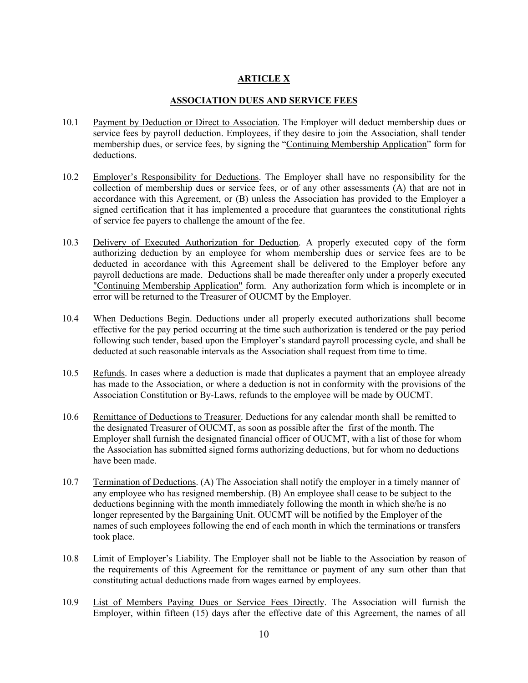# **ARTICLE X**

# **ASSOCIATION DUES AND SERVICE FEES**

- <span id="page-9-1"></span><span id="page-9-0"></span>10.1 Payment by Deduction or Direct to Association. The Employer will deduct membership dues or service fees by payroll deduction. Employees, if they desire to join the Association, shall tender membership dues, or service fees, by signing the "Continuing Membership Application" form for deductions.
- 10.2 Employer's Responsibility for Deductions. The Employer shall have no responsibility for the collection of membership dues or service fees, or of any other assessments (A) that are not in accordance with this Agreement, or (B) unless the Association has provided to the Employer a signed certification that it has implemented a procedure that guarantees the constitutional rights of service fee payers to challenge the amount of the fee.
- 10.3 Delivery of Executed Authorization for Deduction. A properly executed copy of the form authorizing deduction by an employee for whom membership dues or service fees are to be deducted in accordance with this Agreement shall be delivered to the Employer before any payroll deductions are made. Deductions shall be made thereafter only under a properly executed "Continuing Membership Application" form. Any authorization form which is incomplete or in error will be returned to the Treasurer of OUCMT by the Employer.
- 10.4 When Deductions Begin. Deductions under all properly executed authorizations shall become effective for the pay period occurring at the time such authorization is tendered or the pay period following such tender, based upon the Employer's standard payroll processing cycle, and shall be deducted at such reasonable intervals as the Association shall request from time to time.
- 10.5 Refunds. In cases where a deduction is made that duplicates a payment that an employee already has made to the Association, or where a deduction is not in conformity with the provisions of the Association Constitution or By-Laws, refunds to the employee will be made by OUCMT.
- 10.6 Remittance of Deductions to Treasurer. Deductions for any calendar month shall be remitted to the designated Treasurer of OUCMT, as soon as possible after the first of the month. The Employer shall furnish the designated financial officer of OUCMT, with a list of those for whom the Association has submitted signed forms authorizing deductions, but for whom no deductions have been made.
- 10.7 Termination of Deductions. (A) The Association shall notify the employer in a timely manner of any employee who has resigned membership. (B) An employee shall cease to be subject to the deductions beginning with the month immediately following the month in which she/he is no longer represented by the Bargaining Unit. OUCMT will be notified by the Employer of the names of such employees following the end of each month in which the terminations or transfers took place.
- 10.8 Limit of Employer's Liability. The Employer shall not be liable to the Association by reason of the requirements of this Agreement for the remittance or payment of any sum other than that constituting actual deductions made from wages earned by employees.
- 10.9 List of Members Paying Dues or Service Fees Directly. The Association will furnish the Employer, within fifteen (15) days after the effective date of this Agreement, the names of all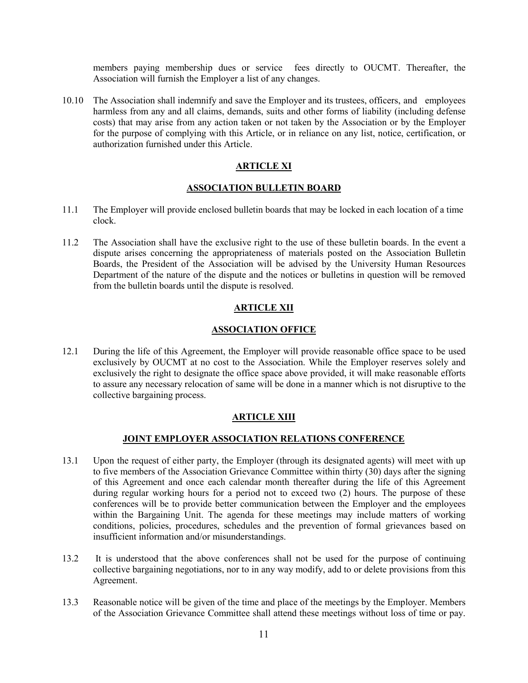members paying membership dues or service fees directly to OUCMT. Thereafter, the Association will furnish the Employer a list of any changes.

10.10 The Association shall indemnify and save the Employer and its trustees, officers, and employees harmless from any and all claims, demands, suits and other forms of liability (including defense costs) that may arise from any action taken or not taken by the Association or by the Employer for the purpose of complying with this Article, or in reliance on any list, notice, certification, or authorization furnished under this Article.

# **ARTICLE XI**

# **ASSOCIATION BULLETIN BOARD**

- <span id="page-10-1"></span><span id="page-10-0"></span>11.1 The Employer will provide enclosed bulletin boards that may be locked in each location of a time clock.
- 11.2 The Association shall have the exclusive right to the use of these bulletin boards. In the event a dispute arises concerning the appropriateness of materials posted on the Association Bulletin Boards, the President of the Association will be advised by the University Human Resources Department of the nature of the dispute and the notices or bulletins in question will be removed from the bulletin boards until the dispute is resolved.

# **ARTICLE XII**

# **ASSOCIATION OFFICE**

<span id="page-10-3"></span><span id="page-10-2"></span>12.1 During the life of this Agreement, the Employer will provide reasonable office space to be used exclusively by OUCMT at no cost to the Association. While the Employer reserves solely and exclusively the right to designate the office space above provided, it will make reasonable efforts to assure any necessary relocation of same will be done in a manner which is not disruptive to the collective bargaining process.

# **ARTICLE XIII**

# **JOINT EMPLOYER ASSOCIATION RELATIONS CONFERENCE**

- <span id="page-10-5"></span><span id="page-10-4"></span>13.1 Upon the request of either party, the Employer (through its designated agents) will meet with up to five members of the Association Grievance Committee within thirty (30) days after the signing of this Agreement and once each calendar month thereafter during the life of this Agreement during regular working hours for a period not to exceed two (2) hours. The purpose of these conferences will be to provide better communication between the Employer and the employees within the Bargaining Unit. The agenda for these meetings may include matters of working conditions, policies, procedures, schedules and the prevention of formal grievances based on insufficient information and/or misunderstandings.
- 13.2 It is understood that the above conferences shall not be used for the purpose of continuing collective bargaining negotiations, nor to in any way modify, add to or delete provisions from this Agreement.
- 13.3 Reasonable notice will be given of the time and place of the meetings by the Employer. Members of the Association Grievance Committee shall attend these meetings without loss of time or pay.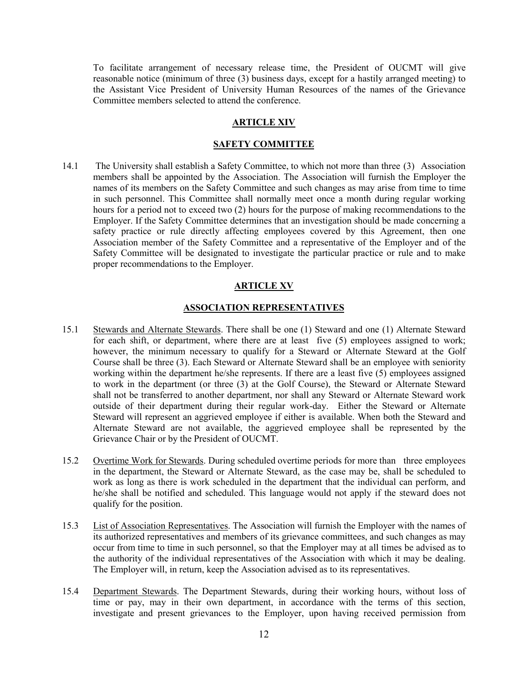To facilitate arrangement of necessary release time, the President of OUCMT will give reasonable notice (minimum of three (3) business days, except for a hastily arranged meeting) to the Assistant Vice President of University Human Resources of the names of the Grievance Committee members selected to attend the conference.

### **ARTICLE XIV**

#### **SAFETY COMMITTEE**

<span id="page-11-1"></span><span id="page-11-0"></span>14.1 The University shall establish a Safety Committee, to which not more than three (3) Association members shall be appointed by the Association. The Association will furnish the Employer the names of its members on the Safety Committee and such changes as may arise from time to time in such personnel. This Committee shall normally meet once a month during regular working hours for a period not to exceed two (2) hours for the purpose of making recommendations to the Employer. If the Safety Committee determines that an investigation should be made concerning a safety practice or rule directly affecting employees covered by this Agreement, then one Association member of the Safety Committee and a representative of the Employer and of the Safety Committee will be designated to investigate the particular practice or rule and to make proper recommendations to the Employer.

### **ARTICLE XV**

## **ASSOCIATION REPRESENTATIVES**

- <span id="page-11-3"></span><span id="page-11-2"></span>15.1 Stewards and Alternate Stewards. There shall be one (1) Steward and one (1) Alternate Steward for each shift, or department, where there are at least five (5) employees assigned to work; however, the minimum necessary to qualify for a Steward or Alternate Steward at the Golf Course shall be three (3). Each Steward or Alternate Steward shall be an employee with seniority working within the department he/she represents. If there are a least five (5) employees assigned to work in the department (or three (3) at the Golf Course), the Steward or Alternate Steward shall not be transferred to another department, nor shall any Steward or Alternate Steward work outside of their department during their regular work-day. Either the Steward or Alternate Steward will represent an aggrieved employee if either is available. When both the Steward and Alternate Steward are not available, the aggrieved employee shall be represented by the Grievance Chair or by the President of OUCMT.
- 15.2 Overtime Work for Stewards. During scheduled overtime periods for more than three employees in the department, the Steward or Alternate Steward, as the case may be, shall be scheduled to work as long as there is work scheduled in the department that the individual can perform, and he/she shall be notified and scheduled. This language would not apply if the steward does not qualify for the position.
- 15.3 List of Association Representatives. The Association will furnish the Employer with the names of its authorized representatives and members of its grievance committees, and such changes as may occur from time to time in such personnel, so that the Employer may at all times be advised as to the authority of the individual representatives of the Association with which it may be dealing. The Employer will, in return, keep the Association advised as to its representatives.
- 15.4 Department Stewards. The Department Stewards, during their working hours, without loss of time or pay, may in their own department, in accordance with the terms of this section, investigate and present grievances to the Employer, upon having received permission from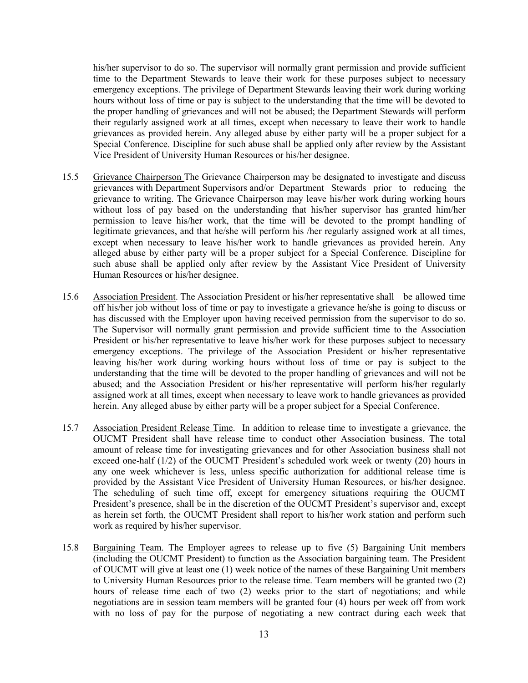his/her supervisor to do so. The supervisor will normally grant permission and provide sufficient time to the Department Stewards to leave their work for these purposes subject to necessary emergency exceptions. The privilege of Department Stewards leaving their work during working hours without loss of time or pay is subject to the understanding that the time will be devoted to the proper handling of grievances and will not be abused; the Department Stewards will perform their regularly assigned work at all times, except when necessary to leave their work to handle grievances as provided herein. Any alleged abuse by either party will be a proper subject for a Special Conference. Discipline for such abuse shall be applied only after review by the Assistant Vice President of University Human Resources or his/her designee.

- 15.5 Grievance Chairperson The Grievance Chairperson may be designated to investigate and discuss grievances with Department Supervisors and/or Department Stewards prior to reducing the grievance to writing. The Grievance Chairperson may leave his/her work during working hours without loss of pay based on the understanding that his/her supervisor has granted him/her permission to leave his/her work, that the time will be devoted to the prompt handling of legitimate grievances, and that he/she will perform his /her regularly assigned work at all times, except when necessary to leave his/her work to handle grievances as provided herein. Any alleged abuse by either party will be a proper subject for a Special Conference. Discipline for such abuse shall be applied only after review by the Assistant Vice President of University Human Resources or his/her designee.
- 15.6 Association President. The Association President or his/her representative shall be allowed time off his/her job without loss of time or pay to investigate a grievance he/she is going to discuss or has discussed with the Employer upon having received permission from the supervisor to do so. The Supervisor will normally grant permission and provide sufficient time to the Association President or his/her representative to leave his/her work for these purposes subject to necessary emergency exceptions. The privilege of the Association President or his/her representative leaving his/her work during working hours without loss of time or pay is subject to the understanding that the time will be devoted to the proper handling of grievances and will not be abused; and the Association President or his/her representative will perform his/her regularly assigned work at all times, except when necessary to leave work to handle grievances as provided herein. Any alleged abuse by either party will be a proper subject for a Special Conference.
- 15.7 Association President Release Time. In addition to release time to investigate a grievance, the OUCMT President shall have release time to conduct other Association business. The total amount of release time for investigating grievances and for other Association business shall not exceed one-half (1/2) of the OUCMT President's scheduled work week or twenty (20) hours in any one week whichever is less, unless specific authorization for additional release time is provided by the Assistant Vice President of University Human Resources, or his/her designee. The scheduling of such time off, except for emergency situations requiring the OUCMT President's presence, shall be in the discretion of the OUCMT President's supervisor and, except as herein set forth, the OUCMT President shall report to his/her work station and perform such work as required by his/her supervisor.
- 15.8 Bargaining Team. The Employer agrees to release up to five (5) Bargaining Unit members (including the OUCMT President) to function as the Association bargaining team. The President of OUCMT will give at least one (1) week notice of the names of these Bargaining Unit members to University Human Resources prior to the release time. Team members will be granted two (2) hours of release time each of two (2) weeks prior to the start of negotiations; and while negotiations are in session team members will be granted four (4) hours per week off from work with no loss of pay for the purpose of negotiating a new contract during each week that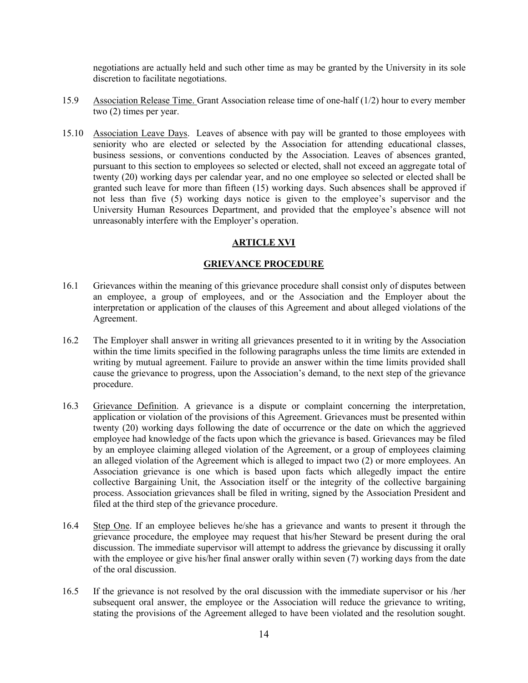negotiations are actually held and such other time as may be granted by the University in its sole discretion to facilitate negotiations.

- 15.9 Association Release Time. Grant Association release time of one-half (1/2) hour to every member two (2) times per year.
- 15.10 Association Leave Days. Leaves of absence with pay will be granted to those employees with seniority who are elected or selected by the Association for attending educational classes, business sessions, or conventions conducted by the Association. Leaves of absences granted, pursuant to this section to employees so selected or elected, shall not exceed an aggregate total of twenty (20) working days per calendar year, and no one employee so selected or elected shall be granted such leave for more than fifteen (15) working days. Such absences shall be approved if not less than five (5) working days notice is given to the employee's supervisor and the University Human Resources Department, and provided that the employee's absence will not unreasonably interfere with the Employer's operation.

# **ARTICLE XVI**

# **GRIEVANCE PROCEDURE**

- <span id="page-13-1"></span><span id="page-13-0"></span>16.1 Grievances within the meaning of this grievance procedure shall consist only of disputes between an employee, a group of employees, and or the Association and the Employer about the interpretation or application of the clauses of this Agreement and about alleged violations of the Agreement.
- 16.2 The Employer shall answer in writing all grievances presented to it in writing by the Association within the time limits specified in the following paragraphs unless the time limits are extended in writing by mutual agreement. Failure to provide an answer within the time limits provided shall cause the grievance to progress, upon the Association's demand, to the next step of the grievance procedure.
- 16.3 Grievance Definition. A grievance is a dispute or complaint concerning the interpretation, application or violation of the provisions of this Agreement. Grievances must be presented within twenty (20) working days following the date of occurrence or the date on which the aggrieved employee had knowledge of the facts upon which the grievance is based. Grievances may be filed by an employee claiming alleged violation of the Agreement, or a group of employees claiming an alleged violation of the Agreement which is alleged to impact two (2) or more employees. An Association grievance is one which is based upon facts which allegedly impact the entire collective Bargaining Unit, the Association itself or the integrity of the collective bargaining process. Association grievances shall be filed in writing, signed by the Association President and filed at the third step of the grievance procedure.
- 16.4 Step One. If an employee believes he/she has a grievance and wants to present it through the grievance procedure, the employee may request that his/her Steward be present during the oral discussion. The immediate supervisor will attempt to address the grievance by discussing it orally with the employee or give his/her final answer orally within seven (7) working days from the date of the oral discussion.
- 16.5 If the grievance is not resolved by the oral discussion with the immediate supervisor or his /her subsequent oral answer, the employee or the Association will reduce the grievance to writing, stating the provisions of the Agreement alleged to have been violated and the resolution sought.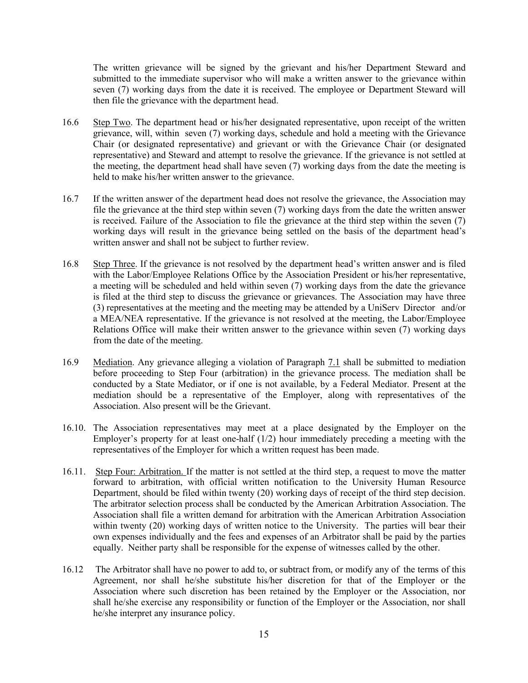The written grievance will be signed by the grievant and his/her Department Steward and submitted to the immediate supervisor who will make a written answer to the grievance within seven (7) working days from the date it is received. The employee or Department Steward will then file the grievance with the department head.

- 16.6 Step Two. The department head or his/her designated representative, upon receipt of the written grievance, will, within seven (7) working days, schedule and hold a meeting with the Grievance Chair (or designated representative) and grievant or with the Grievance Chair (or designated representative) and Steward and attempt to resolve the grievance. If the grievance is not settled at the meeting, the department head shall have seven (7) working days from the date the meeting is held to make his/her written answer to the grievance.
- 16.7 If the written answer of the department head does not resolve the grievance, the Association may file the grievance at the third step within seven (7) working days from the date the written answer is received. Failure of the Association to file the grievance at the third step within the seven (7) working days will result in the grievance being settled on the basis of the department head's written answer and shall not be subject to further review.
- 16.8 Step Three. If the grievance is not resolved by the department head's written answer and is filed with the Labor/Employee Relations Office by the Association President or his/her representative, a meeting will be scheduled and held within seven (7) working days from the date the grievance is filed at the third step to discuss the grievance or grievances. The Association may have three (3) representatives at the meeting and the meeting may be attended by a UniServ Director and/or a MEA/NEA representative. If the grievance is not resolved at the meeting, the Labor/Employee Relations Office will make their written answer to the grievance within seven (7) working days from the date of the meeting.
- 16.9 Mediation. Any grievance alleging a violation of Paragraph 7.1 shall be submitted to mediation before proceeding to Step Four (arbitration) in the grievance process. The mediation shall be conducted by a State Mediator, or if one is not available, by a Federal Mediator. Present at the mediation should be a representative of the Employer, along with representatives of the Association. Also present will be the Grievant.
- 16.10. The Association representatives may meet at a place designated by the Employer on the Employer's property for at least one-half  $(1/2)$  hour immediately preceding a meeting with the representatives of the Employer for which a written request has been made.
- 16.11. Step Four: Arbitration. If the matter is not settled at the third step, a request to move the matter forward to arbitration, with official written notification to the University Human Resource Department, should be filed within twenty (20) working days of receipt of the third step decision. The arbitrator selection process shall be conducted by the American Arbitration Association. The Association shall file a written demand for arbitration with the American Arbitration Association within twenty (20) working days of written notice to the University. The parties will bear their own expenses individually and the fees and expenses of an Arbitrator shall be paid by the parties equally. Neither party shall be responsible for the expense of witnesses called by the other.
- 16.12 The Arbitrator shall have no power to add to, or subtract from, or modify any of the terms of this Agreement, nor shall he/she substitute his/her discretion for that of the Employer or the Association where such discretion has been retained by the Employer or the Association, nor shall he/she exercise any responsibility or function of the Employer or the Association, nor shall he/she interpret any insurance policy.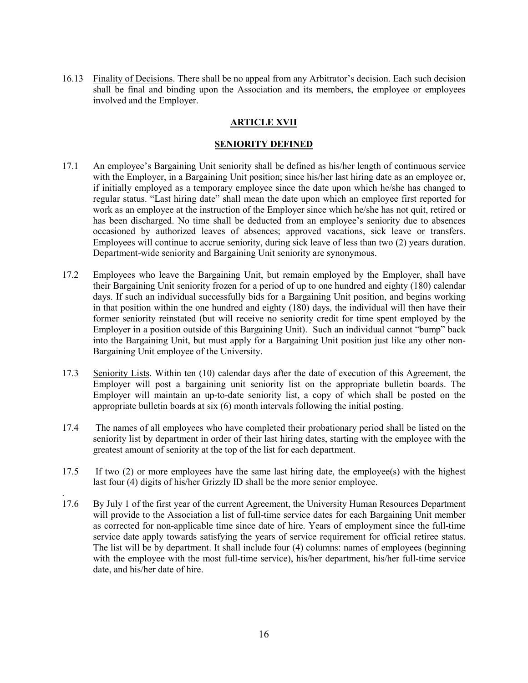<span id="page-15-0"></span>16.13 Finality of Decisions. There shall be no appeal from any Arbitrator's decision. Each such decision shall be final and binding upon the Association and its members, the employee or employees involved and the Employer.

# **ARTICLE XVII**

## **SENIORITY DEFINED**

- <span id="page-15-1"></span>17.1 An employee's Bargaining Unit seniority shall be defined as his/her length of continuous service with the Employer, in a Bargaining Unit position; since his/her last hiring date as an employee or, if initially employed as a temporary employee since the date upon which he/she has changed to regular status. "Last hiring date" shall mean the date upon which an employee first reported for work as an employee at the instruction of the Employer since which he/she has not quit, retired or has been discharged. No time shall be deducted from an employee's seniority due to absences occasioned by authorized leaves of absences; approved vacations, sick leave or transfers. Employees will continue to accrue seniority, during sick leave of less than two (2) years duration. Department-wide seniority and Bargaining Unit seniority are synonymous.
- 17.2 Employees who leave the Bargaining Unit, but remain employed by the Employer, shall have their Bargaining Unit seniority frozen for a period of up to one hundred and eighty (180) calendar days. If such an individual successfully bids for a Bargaining Unit position, and begins working in that position within the one hundred and eighty (180) days, the individual will then have their former seniority reinstated (but will receive no seniority credit for time spent employed by the Employer in a position outside of this Bargaining Unit). Such an individual cannot "bump" back into the Bargaining Unit, but must apply for a Bargaining Unit position just like any other non-Bargaining Unit employee of the University.
- 17.3 Seniority Lists. Within ten (10) calendar days after the date of execution of this Agreement, the Employer will post a bargaining unit seniority list on the appropriate bulletin boards. The Employer will maintain an up-to-date seniority list, a copy of which shall be posted on the appropriate bulletin boards at six (6) month intervals following the initial posting.
- 17.4 The names of all employees who have completed their probationary period shall be listed on the seniority list by department in order of their last hiring dates, starting with the employee with the greatest amount of seniority at the top of the list for each department.
- 17.5 If two (2) or more employees have the same last hiring date, the employee(s) with the highest last four (4) digits of his/her Grizzly ID shall be the more senior employee.

.

17.6 By July 1 of the first year of the current Agreement, the University Human Resources Department will provide to the Association a list of full-time service dates for each Bargaining Unit member as corrected for non-applicable time since date of hire. Years of employment since the full-time service date apply towards satisfying the years of service requirement for official retiree status. The list will be by department. It shall include four (4) columns: names of employees (beginning with the employee with the most full-time service), his/her department, his/her full-time service date, and his/her date of hire.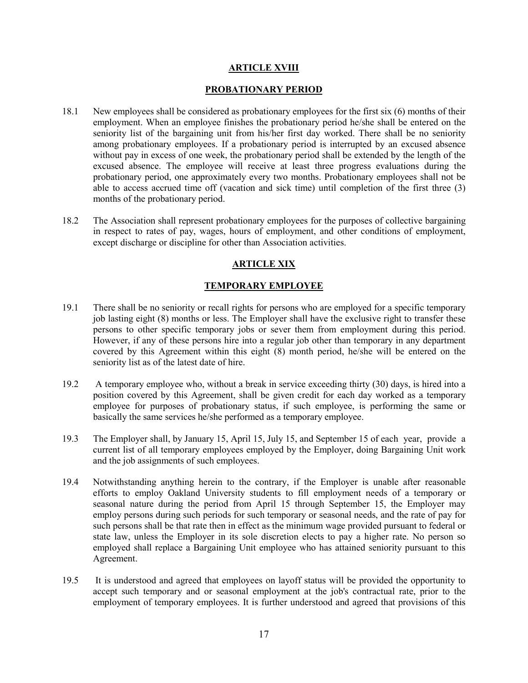## **ARTICLE XVIII**

#### **PROBATIONARY PERIOD**

- <span id="page-16-1"></span><span id="page-16-0"></span>18.1 New employees shall be considered as probationary employees for the first six (6) months of their employment. When an employee finishes the probationary period he/she shall be entered on the seniority list of the bargaining unit from his/her first day worked. There shall be no seniority among probationary employees. If a probationary period is interrupted by an excused absence without pay in excess of one week, the probationary period shall be extended by the length of the excused absence. The employee will receive at least three progress evaluations during the probationary period, one approximately every two months. Probationary employees shall not be able to access accrued time off (vacation and sick time) until completion of the first three (3) months of the probationary period.
- <span id="page-16-2"></span>18.2 The Association shall represent probationary employees for the purposes of collective bargaining in respect to rates of pay, wages, hours of employment, and other conditions of employment, except discharge or discipline for other than Association activities.

# **ARTICLE XIX**

# **TEMPORARY EMPLOYEE**

- <span id="page-16-3"></span>19.1 There shall be no seniority or recall rights for persons who are employed for a specific temporary job lasting eight (8) months or less. The Employer shall have the exclusive right to transfer these persons to other specific temporary jobs or sever them from employment during this period. However, if any of these persons hire into a regular job other than temporary in any department covered by this Agreement within this eight (8) month period, he/she will be entered on the seniority list as of the latest date of hire.
- 19.2 A temporary employee who, without a break in service exceeding thirty (30) days, is hired into a position covered by this Agreement, shall be given credit for each day worked as a temporary employee for purposes of probationary status, if such employee, is performing the same or basically the same services he/she performed as a temporary employee.
- 19.3 The Employer shall, by January 15, April 15, July 15, and September 15 of each year, provide a current list of all temporary employees employed by the Employer, doing Bargaining Unit work and the job assignments of such employees.
- 19.4 Notwithstanding anything herein to the contrary, if the Employer is unable after reasonable efforts to employ Oakland University students to fill employment needs of a temporary or seasonal nature during the period from April 15 through September 15, the Employer may employ persons during such periods for such temporary or seasonal needs, and the rate of pay for such persons shall be that rate then in effect as the minimum wage provided pursuant to federal or state law, unless the Employer in its sole discretion elects to pay a higher rate. No person so employed shall replace a Bargaining Unit employee who has attained seniority pursuant to this Agreement.
- 19.5 It is understood and agreed that employees on layoff status will be provided the opportunity to accept such temporary and or seasonal employment at the job's contractual rate, prior to the employment of temporary employees. It is further understood and agreed that provisions of this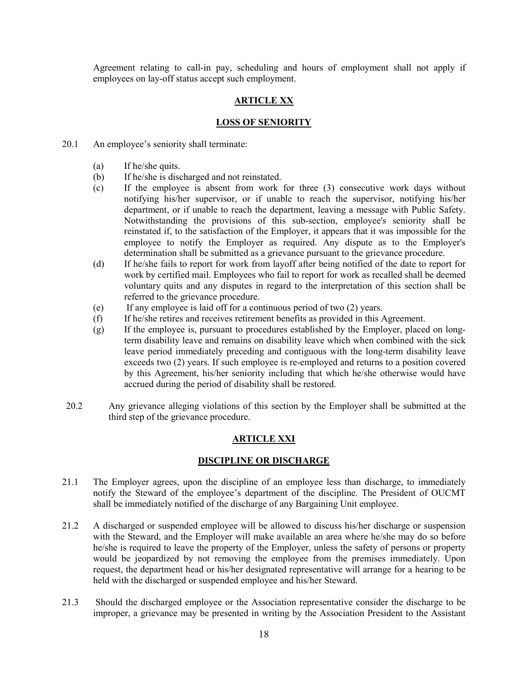Agreement relating to call-in pay, scheduling and hours of employment shall not apply if employees on lay-off status accept such employment.

# **ARTICLE XX**

### **LOSS OF SENIORITY**

- <span id="page-17-1"></span><span id="page-17-0"></span>20.1 An employee's seniority shall terminate:
	- (a) If he/she quits.
	- (b) If he/she is discharged and not reinstated.
	- (c) If the employee is absent from work for three (3) consecutive work days without notifying his/her supervisor, or if unable to reach the supervisor, notifying his/her department, or if unable to reach the department, leaving a message with Public Safety. Notwithstanding the provisions of this sub-section, employee's seniority shall be reinstated if, to the satisfaction of the Employer, it appears that it was impossible for the employee to notify the Employer as required. Any dispute as to the Employer's determination shall be submitted as a grievance pursuant to the grievance procedure.
	- (d) If he/she fails to report for work from layoff after being notified of the date to report for work by certified mail. Employees who fail to report for work as recalled shall be deemed voluntary quits and any disputes in regard to the interpretation of this section shall be referred to the grievance procedure.
	- (e) If any employee is laid off for a continuous period of two (2) years.
	- (f) If he/she retires and receives retirement benefits as provided in this Agreement.
	- (g) If the employee is, pursuant to procedures established by the Employer, placed on longterm disability leave and remains on disability leave which when combined with the sick leave period immediately preceding and contiguous with the long-term disability leave exceeds two (2) years. If such employee is re-employed and returns to a position covered by this Agreement, his/her seniority including that which he/she otherwise would have accrued during the period of disability shall be restored.
- <span id="page-17-2"></span>20.2 Any grievance alleging violations of this section by the Employer shall be submitted at the third step of the grievance procedure.

## **ARTICLE XXI**

### **DISCIPLINE OR DISCHARGE**

- <span id="page-17-3"></span>21.1 The Employer agrees, upon the discipline of an employee less than discharge, to immediately notify the Steward of the employee's department of the discipline. The President of OUCMT shall be immediately notified of the discharge of any Bargaining Unit employee.
- 21.2 A discharged or suspended employee will be allowed to discuss his/her discharge or suspension with the Steward, and the Employer will make available an area where he/she may do so before he/she is required to leave the property of the Employer, unless the safety of persons or property would be jeopardized by not removing the employee from the premises immediately. Upon request, the department head or his/her designated representative will arrange for a hearing to be held with the discharged or suspended employee and his/her Steward.
- 21.3 Should the discharged employee or the Association representative consider the discharge to be improper, a grievance may be presented in writing by the Association President to the Assistant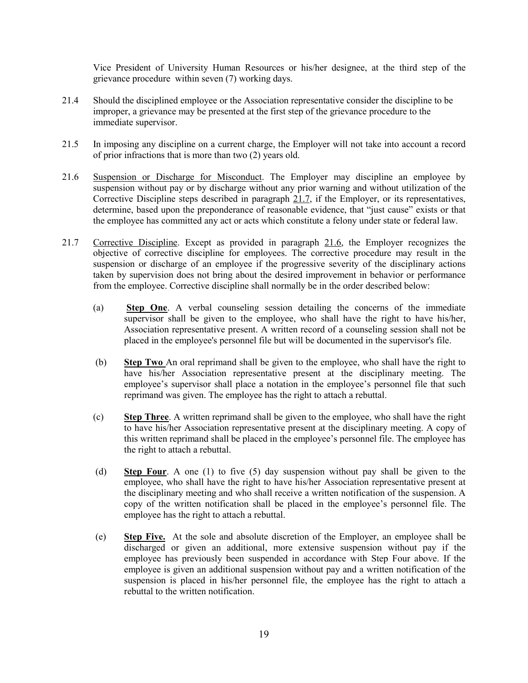Vice President of University Human Resources or his/her designee, at the third step of the grievance procedure within seven (7) working days.

- 21.4 Should the disciplined employee or the Association representative consider the discipline to be improper, a grievance may be presented at the first step of the grievance procedure to the immediate supervisor.
- 21.5 In imposing any discipline on a current charge, the Employer will not take into account a record of prior infractions that is more than two (2) years old.
- 21.6 Suspension or Discharge for Misconduct. The Employer may discipline an employee by suspension without pay or by discharge without any prior warning and without utilization of the Corrective Discipline steps described in paragraph 21.7, if the Employer, or its representatives, determine, based upon the preponderance of reasonable evidence, that "just cause" exists or that the employee has committed any act or acts which constitute a felony under state or federal law.
- 21.7 Corrective Discipline. Except as provided in paragraph 21.6, the Employer recognizes the objective of corrective discipline for employees. The corrective procedure may result in the suspension or discharge of an employee if the progressive severity of the disciplinary actions taken by supervision does not bring about the desired improvement in behavior or performance from the employee. Corrective discipline shall normally be in the order described below:
	- (a) **Step One**. A verbal counseling session detailing the concerns of the immediate supervisor shall be given to the employee, who shall have the right to have his/her, Association representative present. A written record of a counseling session shall not be placed in the employee's personnel file but will be documented in the supervisor's file.
	- (b) **Step Two** An oral reprimand shall be given to the employee, who shall have the right to have his/her Association representative present at the disciplinary meeting. The employee's supervisor shall place a notation in the employee's personnel file that such reprimand was given. The employee has the right to attach a rebuttal.
	- (c) **Step Three**. A written reprimand shall be given to the employee, who shall have the right to have his/her Association representative present at the disciplinary meeting. A copy of this written reprimand shall be placed in the employee's personnel file. The employee has the right to attach a rebuttal.
	- (d) **Step Four**. A one (1) to five (5) day suspension without pay shall be given to the employee, who shall have the right to have his/her Association representative present at the disciplinary meeting and who shall receive a written notification of the suspension. A copy of the written notification shall be placed in the employee's personnel file. The employee has the right to attach a rebuttal.
	- (e) **Step Five.** At the sole and absolute discretion of the Employer, an employee shall be discharged or given an additional, more extensive suspension without pay if the employee has previously been suspended in accordance with Step Four above. If the employee is given an additional suspension without pay and a written notification of the suspension is placed in his/her personnel file, the employee has the right to attach a rebuttal to the written notification.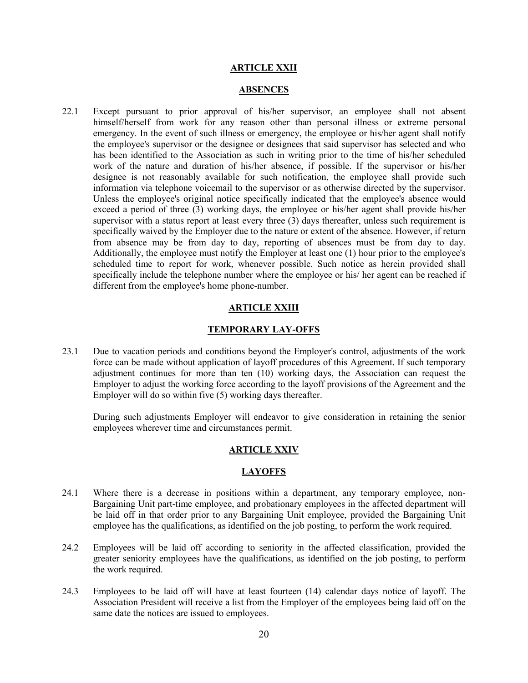#### **ARTICLE XXII**

#### **ABSENCES**

<span id="page-19-1"></span><span id="page-19-0"></span>22.1 Except pursuant to prior approval of his/her supervisor, an employee shall not absent himself/herself from work for any reason other than personal illness or extreme personal emergency. In the event of such illness or emergency, the employee or his/her agent shall notify the employee's supervisor or the designee or designees that said supervisor has selected and who has been identified to the Association as such in writing prior to the time of his/her scheduled work of the nature and duration of his/her absence, if possible. If the supervisor or his/her designee is not reasonably available for such notification, the employee shall provide such information via telephone voicemail to the supervisor or as otherwise directed by the supervisor. Unless the employee's original notice specifically indicated that the employee's absence would exceed a period of three (3) working days, the employee or his/her agent shall provide his/her supervisor with a status report at least every three (3) days thereafter, unless such requirement is specifically waived by the Employer due to the nature or extent of the absence. However, if return from absence may be from day to day, reporting of absences must be from day to day. Additionally, the employee must notify the Employer at least one (1) hour prior to the employee's scheduled time to report for work, whenever possible. Such notice as herein provided shall specifically include the telephone number where the employee or his/ her agent can be reached if different from the employee's home phone-number.

### **ARTICLE XXIII**

### **TEMPORARY LAY-OFFS**

<span id="page-19-3"></span><span id="page-19-2"></span>23.1 Due to vacation periods and conditions beyond the Employer's control, adjustments of the work force can be made without application of layoff procedures of this Agreement. If such temporary adjustment continues for more than ten (10) working days, the Association can request the Employer to adjust the working force according to the layoff provisions of the Agreement and the Employer will do so within five (5) working days thereafter.

During such adjustments Employer will endeavor to give consideration in retaining the senior employees wherever time and circumstances permit.

#### **ARTICLE XXIV**

#### **LAYOFFS**

- <span id="page-19-5"></span><span id="page-19-4"></span>24.1 Where there is a decrease in positions within a department, any temporary employee, non-Bargaining Unit part-time employee, and probationary employees in the affected department will be laid off in that order prior to any Bargaining Unit employee, provided the Bargaining Unit employee has the qualifications, as identified on the job posting, to perform the work required.
- 24.2 Employees will be laid off according to seniority in the affected classification, provided the greater seniority employees have the qualifications, as identified on the job posting, to perform the work required.
- 24.3 Employees to be laid off will have at least fourteen (14) calendar days notice of layoff. The Association President will receive a list from the Employer of the employees being laid off on the same date the notices are issued to employees.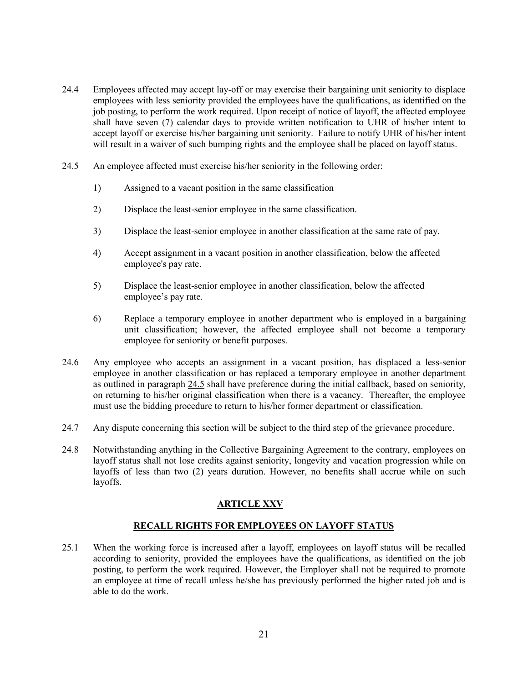- 24.4 Employees affected may accept lay-off or may exercise their bargaining unit seniority to displace employees with less seniority provided the employees have the qualifications, as identified on the job posting, to perform the work required. Upon receipt of notice of layoff, the affected employee shall have seven (7) calendar days to provide written notification to UHR of his/her intent to accept layoff or exercise his/her bargaining unit seniority. Failure to notify UHR of his/her intent will result in a waiver of such bumping rights and the employee shall be placed on layoff status.
- 24.5 An employee affected must exercise his/her seniority in the following order:
	- 1) Assigned to a vacant position in the same classification
	- 2) Displace the least-senior employee in the same classification.
	- 3) Displace the least-senior employee in another classification at the same rate of pay.
	- 4) Accept assignment in a vacant position in another classification, below the affected employee's pay rate.
	- 5) Displace the least-senior employee in another classification, below the affected employee's pay rate.
	- 6) Replace a temporary employee in another department who is employed in a bargaining unit classification; however, the affected employee shall not become a temporary employee for seniority or benefit purposes.
- 24.6 Any employee who accepts an assignment in a vacant position, has displaced a less-senior employee in another classification or has replaced a temporary employee in another department as outlined in paragraph 24.5 shall have preference during the initial callback, based on seniority, on returning to his/her original classification when there is a vacancy. Thereafter, the employee must use the bidding procedure to return to his/her former department or classification.
- 24.7 Any dispute concerning this section will be subject to the third step of the grievance procedure.
- 24.8 Notwithstanding anything in the Collective Bargaining Agreement to the contrary, employees on layoff status shall not lose credits against seniority, longevity and vacation progression while on layoffs of less than two (2) years duration. However, no benefits shall accrue while on such layoffs.

# **ARTICLE XXV**

# **RECALL RIGHTS FOR EMPLOYEES ON LAYOFF STATUS**

<span id="page-20-1"></span><span id="page-20-0"></span>25.1 When the working force is increased after a layoff, employees on layoff status will be recalled according to seniority, provided the employees have the qualifications, as identified on the job posting, to perform the work required. However, the Employer shall not be required to promote an employee at time of recall unless he/she has previously performed the higher rated job and is able to do the work.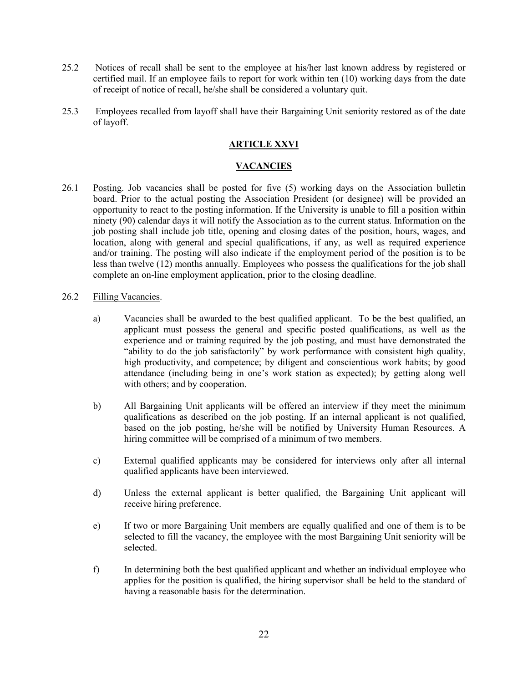- 25.2 Notices of recall shall be sent to the employee at his/her last known address by registered or certified mail. If an employee fails to report for work within ten (10) working days from the date of receipt of notice of recall, he/she shall be considered a voluntary quit.
- <span id="page-21-0"></span>25.3 Employees recalled from layoff shall have their Bargaining Unit seniority restored as of the date of layoff.

# **ARTICLE XXVI**

# **VACANCIES**

<span id="page-21-1"></span>26.1 Posting. Job vacancies shall be posted for five (5) working days on the Association bulletin board. Prior to the actual posting the Association President (or designee) will be provided an opportunity to react to the posting information. If the University is unable to fill a position within ninety (90) calendar days it will notify the Association as to the current status. Information on the job posting shall include job title, opening and closing dates of the position, hours, wages, and location, along with general and special qualifications, if any, as well as required experience and/or training. The posting will also indicate if the employment period of the position is to be less than twelve (12) months annually. Employees who possess the qualifications for the job shall complete an on-line employment application, prior to the closing deadline.

# 26.2 Filling Vacancies.

- a) Vacancies shall be awarded to the best qualified applicant. To be the best qualified, an applicant must possess the general and specific posted qualifications, as well as the experience and or training required by the job posting, and must have demonstrated the "ability to do the job satisfactorily" by work performance with consistent high quality, high productivity, and competence; by diligent and conscientious work habits; by good attendance (including being in one's work station as expected); by getting along well with others; and by cooperation.
- b) All Bargaining Unit applicants will be offered an interview if they meet the minimum qualifications as described on the job posting. If an internal applicant is not qualified, based on the job posting, he/she will be notified by University Human Resources. A hiring committee will be comprised of a minimum of two members.
- c) External qualified applicants may be considered for interviews only after all internal qualified applicants have been interviewed.
- d) Unless the external applicant is better qualified, the Bargaining Unit applicant will receive hiring preference.
- e) If two or more Bargaining Unit members are equally qualified and one of them is to be selected to fill the vacancy, the employee with the most Bargaining Unit seniority will be selected.
- f) In determining both the best qualified applicant and whether an individual employee who applies for the position is qualified, the hiring supervisor shall be held to the standard of having a reasonable basis for the determination.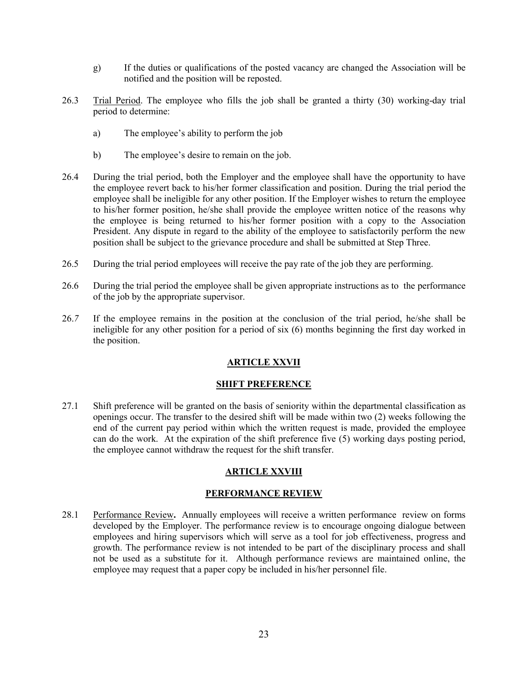- g) If the duties or qualifications of the posted vacancy are changed the Association will be notified and the position will be reposted.
- 26.3 Trial Period. The employee who fills the job shall be granted a thirty (30) working-day trial period to determine:
	- a) The employee's ability to perform the job
	- b) The employee's desire to remain on the job.
- 26.4 During the trial period, both the Employer and the employee shall have the opportunity to have the employee revert back to his/her former classification and position. During the trial period the employee shall be ineligible for any other position. If the Employer wishes to return the employee to his/her former position, he/she shall provide the employee written notice of the reasons why the employee is being returned to his/her former position with a copy to the Association President. Any dispute in regard to the ability of the employee to satisfactorily perform the new position shall be subject to the grievance procedure and shall be submitted at Step Three.
- 26.5 During the trial period employees will receive the pay rate of the job they are performing.
- 26.6 During the trial period the employee shall be given appropriate instructions as to the performance of the job by the appropriate supervisor.
- <span id="page-22-0"></span>26.*7* If the employee remains in the position at the conclusion of the trial period, he/she shall be ineligible for any other position for a period of six (6) months beginning the first day worked in the position.

# **ARTICLE XXVII**

# **SHIFT PREFERENCE**

<span id="page-22-1"></span>27.1 Shift preference will be granted on the basis of seniority within the departmental classification as openings occur. The transfer to the desired shift will be made within two (2) weeks following the end of the current pay period within which the written request is made, provided the employee can do the work. At the expiration of the shift preference five (5) working days posting period, the employee cannot withdraw the request for the shift transfer.

# **ARTICLE XXVIII**

# **PERFORMANCE REVIEW**

<span id="page-22-4"></span><span id="page-22-3"></span><span id="page-22-2"></span>28.1 Performance Review**.** Annually employees will receive a written performance review on forms developed by the Employer. The performance review is to encourage ongoing dialogue between employees and hiring supervisors which will serve as a tool for job effectiveness, progress and growth. The performance review is not intended to be part of the disciplinary process and shall not be used as a substitute for it. Although performance reviews are maintained online, the employee may request that a paper copy be included in his/her personnel file.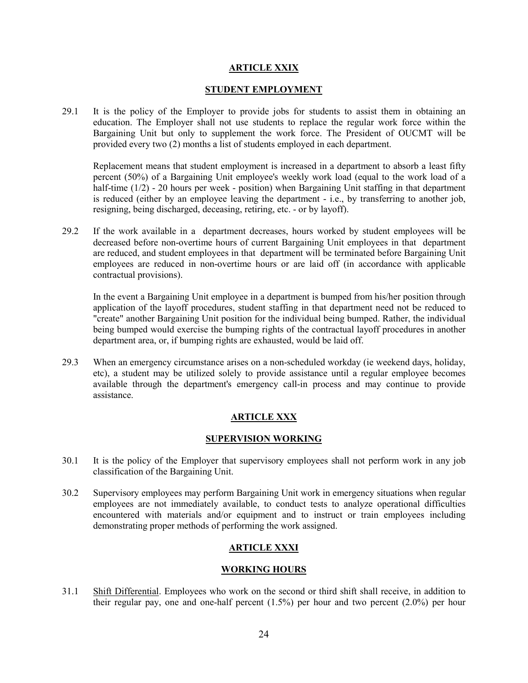## **ARTICLE XXIX**

#### **STUDENT EMPLOYMENT**

<span id="page-23-0"></span>29.1 It is the policy of the Employer to provide jobs for students to assist them in obtaining an education. The Employer shall not use students to replace the regular work force within the Bargaining Unit but only to supplement the work force. The President of OUCMT will be provided every two (2) months a list of students employed in each department.

Replacement means that student employment is increased in a department to absorb a least fifty percent (50%) of a Bargaining Unit employee's weekly work load (equal to the work load of a half-time (1/2) - 20 hours per week - position) when Bargaining Unit staffing in that department is reduced (either by an employee leaving the department - i.e., by transferring to another job, resigning, being discharged, deceasing, retiring, etc. - or by layoff).

29.2 If the work available in a department decreases, hours worked by student employees will be decreased before non-overtime hours of current Bargaining Unit employees in that department are reduced, and student employees in that department will be terminated before Bargaining Unit employees are reduced in non-overtime hours or are laid off (in accordance with applicable contractual provisions).

In the event a Bargaining Unit employee in a department is bumped from his/her position through application of the layoff procedures, student staffing in that department need not be reduced to "create" another Bargaining Unit position for the individual being bumped. Rather, the individual being bumped would exercise the bumping rights of the contractual layoff procedures in another department area, or, if bumping rights are exhausted, would be laid off.

29.3 When an emergency circumstance arises on a non-scheduled workday (ie weekend days, holiday, etc), a student may be utilized solely to provide assistance until a regular employee becomes available through the department's emergency call-in process and may continue to provide assistance.

# **ARTICLE XXX**

### **SUPERVISION WORKING**

- <span id="page-23-2"></span><span id="page-23-1"></span>30.1 It is the policy of the Employer that supervisory employees shall not perform work in any job classification of the Bargaining Unit.
- 30.2 Supervisory employees may perform Bargaining Unit work in emergency situations when regular employees are not immediately available, to conduct tests to analyze operational difficulties encountered with materials and/or equipment and to instruct or train employees including demonstrating proper methods of performing the work assigned.

# **ARTICLE XXXI**

#### **WORKING HOURS**

<span id="page-23-4"></span><span id="page-23-3"></span>31.1 Shift Differential. Employees who work on the second or third shift shall receive, in addition to their regular pay, one and one-half percent (1.5%) per hour and two percent (2.0%) per hour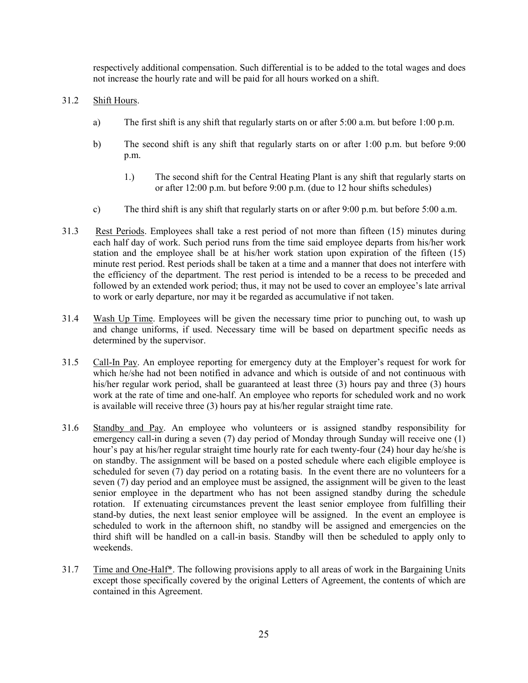respectively additional compensation. Such differential is to be added to the total wages and does not increase the hourly rate and will be paid for all hours worked on a shift.

# 31.2 Shift Hours.

- a) The first shift is any shift that regularly starts on or after 5:00 a.m. but before 1:00 p.m.
- b) The second shift is any shift that regularly starts on or after 1:00 p.m. but before 9:00 p.m.
	- 1.) The second shift for the Central Heating Plant is any shift that regularly starts on or after 12:00 p.m. but before 9:00 p.m. (due to 12 hour shifts schedules)
- c) The third shift is any shift that regularly starts on or after 9:00 p.m. but before 5:00 a.m.
- 31.3 Rest Periods. Employees shall take a rest period of not more than fifteen (15) minutes during each half day of work. Such period runs from the time said employee departs from his/her work station and the employee shall be at his/her work station upon expiration of the fifteen (15) minute rest period. Rest periods shall be taken at a time and a manner that does not interfere with the efficiency of the department. The rest period is intended to be a recess to be preceded and followed by an extended work period; thus, it may not be used to cover an employee's late arrival to work or early departure, nor may it be regarded as accumulative if not taken.
- 31.4 Wash Up Time. Employees will be given the necessary time prior to punching out, to wash up and change uniforms, if used. Necessary time will be based on department specific needs as determined by the supervisor.
- 31.5 Call-In Pay. An employee reporting for emergency duty at the Employer's request for work for which he/she had not been notified in advance and which is outside of and not continuous with his/her regular work period, shall be guaranteed at least three (3) hours pay and three (3) hours work at the rate of time and one-half. An employee who reports for scheduled work and no work is available will receive three (3) hours pay at his/her regular straight time rate.
- 31.6 Standby and Pay. An employee who volunteers or is assigned standby responsibility for emergency call-in during a seven (7) day period of Monday through Sunday will receive one (1) hour's pay at his/her regular straight time hourly rate for each twenty-four (24) hour day he/she is on standby. The assignment will be based on a posted schedule where each eligible employee is scheduled for seven (7) day period on a rotating basis. In the event there are no volunteers for a seven (7) day period and an employee must be assigned, the assignment will be given to the least senior employee in the department who has not been assigned standby during the schedule rotation. If extenuating circumstances prevent the least senior employee from fulfilling their stand-by duties, the next least senior employee will be assigned. In the event an employee is scheduled to work in the afternoon shift, no standby will be assigned and emergencies on the third shift will be handled on a call-in basis. Standby will then be scheduled to apply only to weekends.
- 31.7 Time and One-Half\*. The following provisions apply to all areas of work in the Bargaining Units except those specifically covered by the original Letters of Agreement, the contents of which are contained in this Agreement.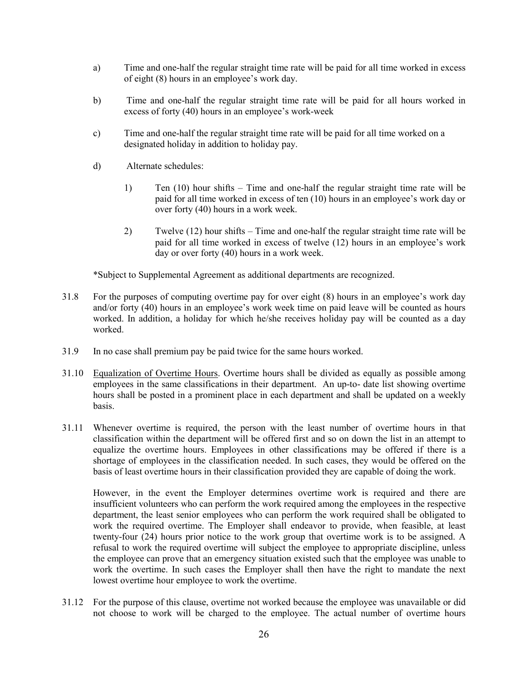- a) Time and one-half the regular straight time rate will be paid for all time worked in excess of eight (8) hours in an employee's work day.
- b) Time and one-half the regular straight time rate will be paid for all hours worked in excess of forty (40) hours in an employee's work-week
- c) Time and one-half the regular straight time rate will be paid for all time worked on a designated holiday in addition to holiday pay.
- d) Alternate schedules:
	- 1) Ten (10) hour shifts Time and one-half the regular straight time rate will be paid for all time worked in excess of ten (10) hours in an employee's work day or over forty (40) hours in a work week.
	- 2) Twelve (12) hour shifts Time and one-half the regular straight time rate will be paid for all time worked in excess of twelve (12) hours in an employee's work day or over forty (40) hours in a work week.

\*Subject to Supplemental Agreement as additional departments are recognized.

- 31.8 For the purposes of computing overtime pay for over eight (8) hours in an employee's work day and/or forty (40) hours in an employee's work week time on paid leave will be counted as hours worked. In addition, a holiday for which he/she receives holiday pay will be counted as a day worked.
- 31.9 In no case shall premium pay be paid twice for the same hours worked.
- 31.10 Equalization of Overtime Hours. Overtime hours shall be divided as equally as possible among employees in the same classifications in their department. An up-to- date list showing overtime hours shall be posted in a prominent place in each department and shall be updated on a weekly basis.
- 31.11 Whenever overtime is required, the person with the least number of overtime hours in that classification within the department will be offered first and so on down the list in an attempt to equalize the overtime hours. Employees in other classifications may be offered if there is a shortage of employees in the classification needed. In such cases, they would be offered on the basis of least overtime hours in their classification provided they are capable of doing the work.

However, in the event the Employer determines overtime work is required and there are insufficient volunteers who can perform the work required among the employees in the respective department, the least senior employees who can perform the work required shall be obligated to work the required overtime. The Employer shall endeavor to provide, when feasible, at least twenty-four (24) hours prior notice to the work group that overtime work is to be assigned. A refusal to work the required overtime will subject the employee to appropriate discipline, unless the employee can prove that an emergency situation existed such that the employee was unable to work the overtime. In such cases the Employer shall then have the right to mandate the next lowest overtime hour employee to work the overtime.

31.12 For the purpose of this clause, overtime not worked because the employee was unavailable or did not choose to work will be charged to the employee. The actual number of overtime hours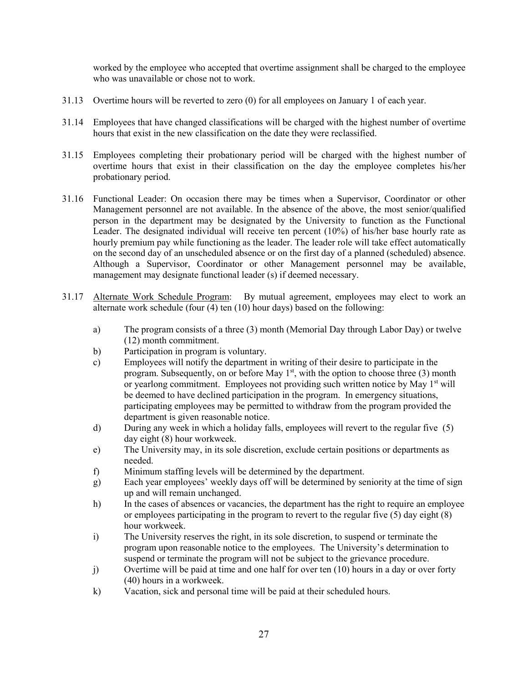worked by the employee who accepted that overtime assignment shall be charged to the employee who was unavailable or chose not to work.

- 31.13 Overtime hours will be reverted to zero (0) for all employees on January 1 of each year.
- 31.14 Employees that have changed classifications will be charged with the highest number of overtime hours that exist in the new classification on the date they were reclassified.
- 31.15 Employees completing their probationary period will be charged with the highest number of overtime hours that exist in their classification on the day the employee completes his/her probationary period.
- 31.16 Functional Leader: On occasion there may be times when a Supervisor, Coordinator or other Management personnel are not available. In the absence of the above, the most senior/qualified person in the department may be designated by the University to function as the Functional Leader. The designated individual will receive ten percent (10%) of his/her base hourly rate as hourly premium pay while functioning as the leader. The leader role will take effect automatically on the second day of an unscheduled absence or on the first day of a planned (scheduled) absence. Although a Supervisor, Coordinator or other Management personnel may be available, management may designate functional leader (s) if deemed necessary.
- 31.17 Alternate Work Schedule Program: By mutual agreement, employees may elect to work an alternate work schedule (four (4) ten (10) hour days) based on the following:
	- a) The program consists of a three (3) month (Memorial Day through Labor Day) or twelve (12) month commitment.
	- b) Participation in program is voluntary.
	- c) Employees will notify the department in writing of their desire to participate in the program. Subsequently, on or before May  $1<sup>st</sup>$ , with the option to choose three (3) month or yearlong commitment. Employees not providing such written notice by May 1<sup>st</sup> will be deemed to have declined participation in the program. In emergency situations, participating employees may be permitted to withdraw from the program provided the department is given reasonable notice.
	- d) During any week in which a holiday falls, employees will revert to the regular five (5) day eight (8) hour workweek.
	- e) The University may, in its sole discretion, exclude certain positions or departments as needed.
	- f) Minimum staffing levels will be determined by the department.
	- g) Each year employees' weekly days off will be determined by seniority at the time of sign up and will remain unchanged.
	- h) In the cases of absences or vacancies, the department has the right to require an employee or employees participating in the program to revert to the regular five (5) day eight (8) hour workweek.
	- i) The University reserves the right, in its sole discretion, to suspend or terminate the program upon reasonable notice to the employees. The University's determination to suspend or terminate the program will not be subject to the grievance procedure.
	- j) Overtime will be paid at time and one half for over ten (10) hours in a day or over forty (40) hours in a workweek.
	- k) Vacation, sick and personal time will be paid at their scheduled hours.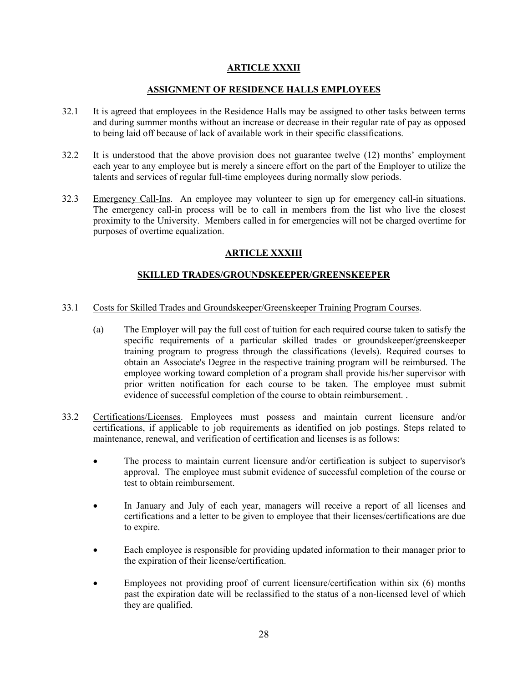# **ARTICLE XXXII**

# **ASSIGNMENT OF RESIDENCE HALLS EMPLOYEES**

- <span id="page-27-1"></span><span id="page-27-0"></span>32.1 It is agreed that employees in the Residence Halls may be assigned to other tasks between terms and during summer months without an increase or decrease in their regular rate of pay as opposed to being laid off because of lack of available work in their specific classifications.
- 32.2 It is understood that the above provision does not guarantee twelve (12) months' employment each year to any employee but is merely a sincere effort on the part of the Employer to utilize the talents and services of regular full-time employees during normally slow periods.
- <span id="page-27-2"></span>32.3 Emergency Call-Ins. An employee may volunteer to sign up for emergency call-in situations. The emergency call-in process will be to call in members from the list who live the closest proximity to the University. Members called in for emergencies will not be charged overtime for purposes of overtime equalization.

# **ARTICLE XXXIII**

# **SKILLED TRADES/GROUNDSKEEPER/GREENSKEEPER**

- <span id="page-27-3"></span>33.1 Costs for Skilled Trades and Groundskeeper/Greenskeeper Training Program Courses.
	- (a) The Employer will pay the full cost of tuition for each required course taken to satisfy the specific requirements of a particular skilled trades or groundskeeper/greenskeeper training program to progress through the classifications (levels). Required courses to obtain an Associate's Degree in the respective training program will be reimbursed. The employee working toward completion of a program shall provide his/her supervisor with prior written notification for each course to be taken. The employee must submit evidence of successful completion of the course to obtain reimbursement. .
- 33.2 Certifications/Licenses. Employees must possess and maintain current licensure and/or certifications, if applicable to job requirements as identified on job postings. Steps related to maintenance, renewal, and verification of certification and licenses is as follows:
	- The process to maintain current licensure and/or certification is subject to supervisor's approval. The employee must submit evidence of successful completion of the course or test to obtain reimbursement.
	- In January and July of each year, managers will receive a report of all licenses and certifications and a letter to be given to employee that their licenses/certifications are due to expire.
	- Each employee is responsible for providing updated information to their manager prior to the expiration of their license/certification.
	- Employees not providing proof of current licensure/certification within six (6) months past the expiration date will be reclassified to the status of a non-licensed level of which they are qualified.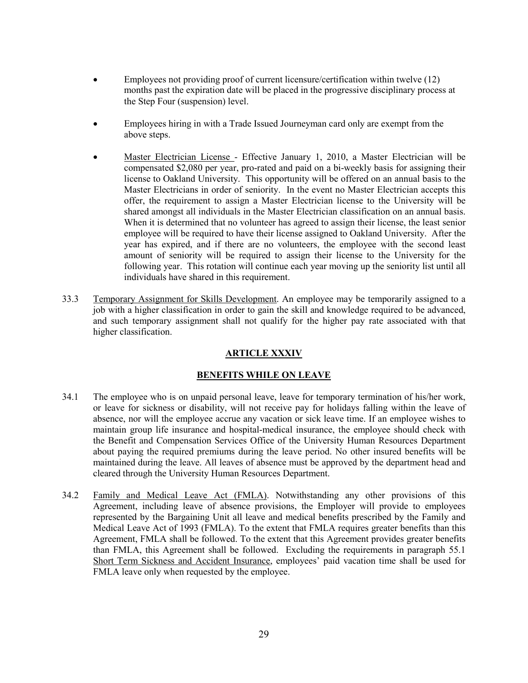- Employees not providing proof of current licensure/certification within twelve (12) months past the expiration date will be placed in the progressive disciplinary process at the Step Four (suspension) level.
- Employees hiring in with a Trade Issued Journeyman card only are exempt from the above steps.
- Master Electrician License Effective January 1, 2010, a Master Electrician will be compensated \$2,080 per year, pro-rated and paid on a bi-weekly basis for assigning their license to Oakland University. This opportunity will be offered on an annual basis to the Master Electricians in order of seniority. In the event no Master Electrician accepts this offer, the requirement to assign a Master Electrician license to the University will be shared amongst all individuals in the Master Electrician classification on an annual basis. When it is determined that no volunteer has agreed to assign their license, the least senior employee will be required to have their license assigned to Oakland University. After the year has expired, and if there are no volunteers, the employee with the second least amount of seniority will be required to assign their license to the University for the following year. This rotation will continue each year moving up the seniority list until all individuals have shared in this requirement.
- 33.3 Temporary Assignment for Skills Development. An employee may be temporarily assigned to a job with a higher classification in order to gain the skill and knowledge required to be advanced, and such temporary assignment shall not qualify for the higher pay rate associated with that higher classification.

# **ARTICLE XXXIV**

# **BENEFITS WHILE ON LEAVE**

- <span id="page-28-1"></span><span id="page-28-0"></span>34.1 The employee who is on unpaid personal leave, leave for temporary termination of his/her work, or leave for sickness or disability, will not receive pay for holidays falling within the leave of absence, nor will the employee accrue any vacation or sick leave time. If an employee wishes to maintain group life insurance and hospital-medical insurance, the employee should check with the Benefit and Compensation Services Office of the University Human Resources Department about paying the required premiums during the leave period. No other insured benefits will be maintained during the leave. All leaves of absence must be approved by the department head and cleared through the University Human Resources Department.
- 34.2 Family and Medical Leave Act (FMLA). Notwithstanding any other provisions of this Agreement, including leave of absence provisions, the Employer will provide to employees represented by the Bargaining Unit all leave and medical benefits prescribed by the Family and Medical Leave Act of 1993 (FMLA). To the extent that FMLA requires greater benefits than this Agreement, FMLA shall be followed. To the extent that this Agreement provides greater benefits than FMLA, this Agreement shall be followed. Excluding the requirements in paragraph 55.1 Short Term Sickness and Accident Insurance, employees' paid vacation time shall be used for FMLA leave only when requested by the employee.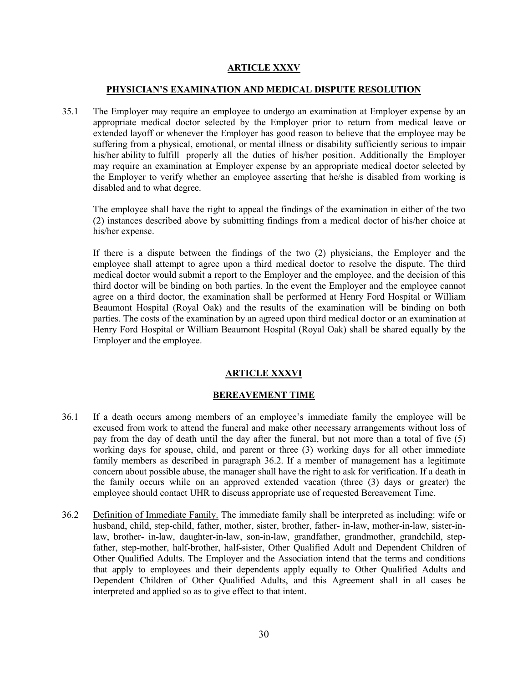# **ARTICLE XXXV**

### **PHYSICIAN'S EXAMINATION AND MEDICAL DISPUTE RESOLUTION**

<span id="page-29-1"></span><span id="page-29-0"></span>35.1 The Employer may require an employee to undergo an examination at Employer expense by an appropriate medical doctor selected by the Employer prior to return from medical leave or extended layoff or whenever the Employer has good reason to believe that the employee may be suffering from a physical, emotional, or mental illness or disability sufficiently serious to impair his/her ability to fulfill properly all the duties of his/her position. Additionally the Employer may require an examination at Employer expense by an appropriate medical doctor selected by the Employer to verify whether an employee asserting that he/she is disabled from working is disabled and to what degree.

The employee shall have the right to appeal the findings of the examination in either of the two (2) instances described above by submitting findings from a medical doctor of his/her choice at his/her expense.

If there is a dispute between the findings of the two (2) physicians, the Employer and the employee shall attempt to agree upon a third medical doctor to resolve the dispute. The third medical doctor would submit a report to the Employer and the employee, and the decision of this third doctor will be binding on both parties. In the event the Employer and the employee cannot agree on a third doctor, the examination shall be performed at Henry Ford Hospital or William Beaumont Hospital (Royal Oak) and the results of the examination will be binding on both parties. The costs of the examination by an agreed upon third medical doctor or an examination at Henry Ford Hospital or William Beaumont Hospital (Royal Oak) shall be shared equally by the Employer and the employee.

# **ARTICLE XXXVI**

# **BEREAVEMENT TIME**

- <span id="page-29-3"></span><span id="page-29-2"></span>36.1 If a death occurs among members of an employee's immediate family the employee will be excused from work to attend the funeral and make other necessary arrangements without loss of pay from the day of death until the day after the funeral, but not more than a total of five (5) working days for spouse, child, and parent or three (3) working days for all other immediate family members as described in paragraph 36.2. If a member of management has a legitimate concern about possible abuse, the manager shall have the right to ask for verification. If a death in the family occurs while on an approved extended vacation (three (3) days or greater) the employee should contact UHR to discuss appropriate use of requested Bereavement Time.
- 36.2 Definition of Immediate Family. The immediate family shall be interpreted as including: wife or husband, child, step-child, father, mother, sister, brother, father- in-law, mother-in-law, sister-inlaw, brother- in-law, daughter-in-law, son-in-law, grandfather, grandmother, grandchild, stepfather, step-mother, half-brother, half-sister, Other Qualified Adult and Dependent Children of Other Qualified Adults. The Employer and the Association intend that the terms and conditions that apply to employees and their dependents apply equally to Other Qualified Adults and Dependent Children of Other Qualified Adults, and this Agreement shall in all cases be interpreted and applied so as to give effect to that intent.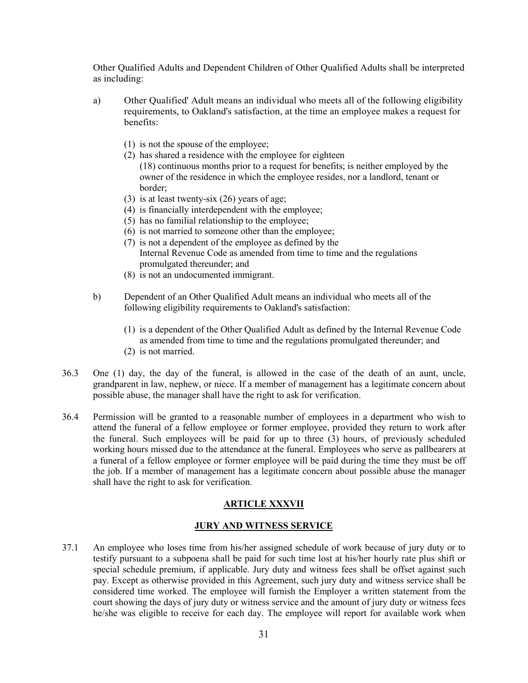Other Qualified Adults and Dependent Children of Other Qualified Adults shall be interpreted as including:

- a) Other Qualified' Adult means an individual who meets all of the following eligibility requirements, to Oakland's satisfaction, at the time an employee makes a request for benefits:
	- (1) is not the spouse of the employee;
	- (2) has shared a residence with the employee for eighteen (18) continuous months prior to a request for benefits; is neither employed by the owner of the residence in which the employee resides, nor a landlord, tenant or border;
	- (3) is at least twenty-six (26) years of age;
	- (4) is financially interdependent with the employee;
	- (5) has no familial relationship to the employee;
	- (6) is not married to someone other than the employee;
	- (7) is not a dependent of the employee as defined by the Internal Revenue Code as amended from time to time and the regulations promulgated thereunder; and
	- (8) is not an undocumented immigrant.
- b) Dependent of an Other Qualified Adult means an individual who meets all of the following eligibility requirements to Oakland's satisfaction:
	- (1) is a dependent of the Other Qualified Adult as defined by the Internal Revenue Code as amended from time to time and the regulations promulgated thereunder; and
	- (2) is not married.
- 36.3 One (1) day, the day of the funeral, is allowed in the case of the death of an aunt, uncle, grandparent in law, nephew, or niece. If a member of management has a legitimate concern about possible abuse, the manager shall have the right to ask for verification.
- 36.4 Permission will be granted to a reasonable number of employees in a department who wish to attend the funeral of a fellow employee or former employee, provided they return to work after the funeral. Such employees will be paid for up to three (3) hours, of previously scheduled working hours missed due to the attendance at the funeral. Employees who serve as pallbearers at a funeral of a fellow employee or former employee will be paid during the time they must be off the job. If a member of management has a legitimate concern about possible abuse the manager shall have the right to ask for verification.

#### **ARTICLE XXXVII**

# **JURY AND WITNESS SERVICE**

<span id="page-30-1"></span><span id="page-30-0"></span>37.1 An employee who loses time from his/her assigned schedule of work because of jury duty or to testify pursuant to a subpoena shall be paid for such time lost at his/her hourly rate plus shift or special schedule premium, if applicable. Jury duty and witness fees shall be offset against such pay. Except as otherwise provided in this Agreement, such jury duty and witness service shall be considered time worked. The employee will furnish the Employer a written statement from the court showing the days of jury duty or witness service and the amount of jury duty or witness fees he/she was eligible to receive for each day. The employee will report for available work when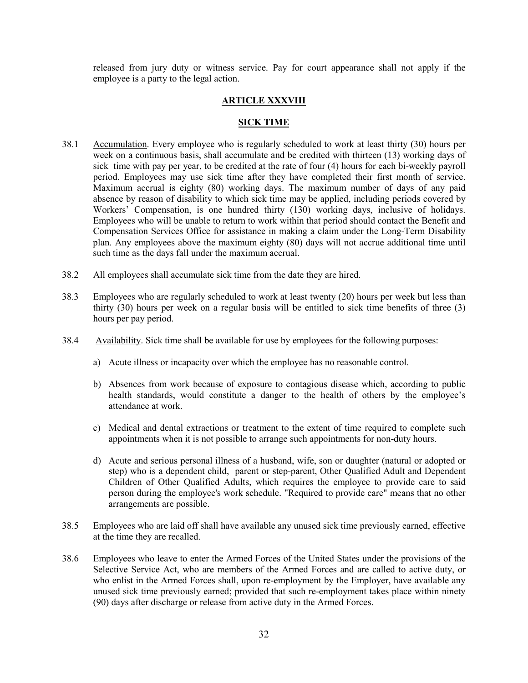<span id="page-31-0"></span>released from jury duty or witness service. Pay for court appearance shall not apply if the employee is a party to the legal action.

### **ARTICLE XXXVIII**

#### **SICK TIME**

- <span id="page-31-1"></span>38.1 Accumulation. Every employee who is regularly scheduled to work at least thirty (30) hours per week on a continuous basis, shall accumulate and be credited with thirteen (13) working days of sick time with pay per year, to be credited at the rate of four (4) hours for each bi-weekly payroll period. Employees may use sick time after they have completed their first month of service. Maximum accrual is eighty (80) working days. The maximum number of days of any paid absence by reason of disability to which sick time may be applied, including periods covered by Workers' Compensation, is one hundred thirty (130) working days, inclusive of holidays. Employees who will be unable to return to work within that period should contact the Benefit and Compensation Services Office for assistance in making a claim under the Long-Term Disability plan. Any employees above the maximum eighty (80) days will not accrue additional time until such time as the days fall under the maximum accrual.
- 38.2 All employees shall accumulate sick time from the date they are hired.
- 38.3 Employees who are regularly scheduled to work at least twenty (20) hours per week but less than thirty (30) hours per week on a regular basis will be entitled to sick time benefits of three (3) hours per pay period.
- 38.4 Availability. Sick time shall be available for use by employees for the following purposes:
	- a) Acute illness or incapacity over which the employee has no reasonable control.
	- b) Absences from work because of exposure to contagious disease which, according to public health standards, would constitute a danger to the health of others by the employee's attendance at work.
	- c) Medical and dental extractions or treatment to the extent of time required to complete such appointments when it is not possible to arrange such appointments for non-duty hours.
	- d) Acute and serious personal illness of a husband, wife, son or daughter (natural or adopted or step) who is a dependent child, parent or step-parent, Other Qualified Adult and Dependent Children of Other Qualified Adults, which requires the employee to provide care to said person during the employee's work schedule. "Required to provide care" means that no other arrangements are possible.
- 38.5 Employees who are laid off shall have available any unused sick time previously earned, effective at the time they are recalled.
- 38.6 Employees who leave to enter the Armed Forces of the United States under the provisions of the Selective Service Act, who are members of the Armed Forces and are called to active duty, or who enlist in the Armed Forces shall, upon re-employment by the Employer, have available any unused sick time previously earned; provided that such re-employment takes place within ninety (90) days after discharge or release from active duty in the Armed Forces.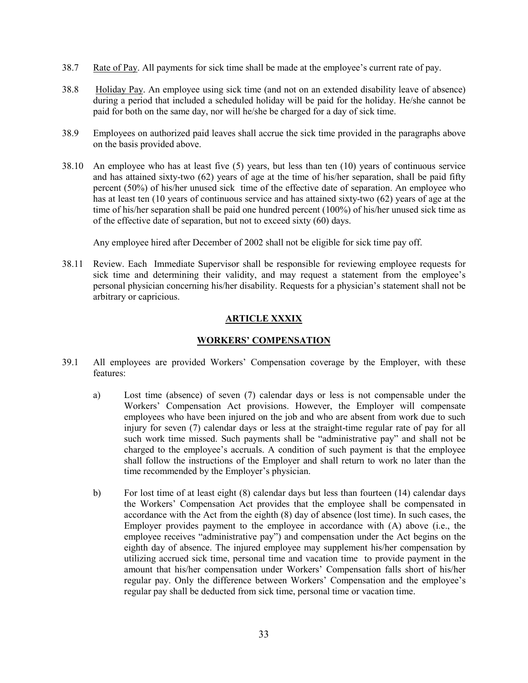- 38.7 Rate of Pay. All payments for sick time shall be made at the employee's current rate of pay.
- 38.8 Holiday Pay. An employee using sick time (and not on an extended disability leave of absence) during a period that included a scheduled holiday will be paid for the holiday. He/she cannot be paid for both on the same day, nor will he/she be charged for a day of sick time.
- 38.9 Employees on authorized paid leaves shall accrue the sick time provided in the paragraphs above on the basis provided above.
- 38.10 An employee who has at least five (5) years, but less than ten (10) years of continuous service and has attained sixty-two (62) years of age at the time of his/her separation, shall be paid fifty percent (50%) of his/her unused sick time of the effective date of separation. An employee who has at least ten (10 years of continuous service and has attained sixty-two (62) years of age at the time of his/her separation shall be paid one hundred percent (100%) of his/her unused sick time as of the effective date of separation, but not to exceed sixty (60) days.

Any employee hired after December of 2002 shall not be eligible for sick time pay off.

38.11 Review. Each Immediate Supervisor shall be responsible for reviewing employee requests for sick time and determining their validity, and may request a statement from the employee's personal physician concerning his/her disability. Requests for a physician's statement shall not be arbitrary or capricious.

# **ARTICLE XXXIX**

# **WORKERS' COMPENSATION**

- <span id="page-32-1"></span><span id="page-32-0"></span>39.1 All employees are provided Workers' Compensation coverage by the Employer, with these features:
	- a) Lost time (absence) of seven (7) calendar days or less is not compensable under the Workers' Compensation Act provisions. However, the Employer will compensate employees who have been injured on the job and who are absent from work due to such injury for seven (7) calendar days or less at the straight-time regular rate of pay for all such work time missed. Such payments shall be "administrative pay" and shall not be charged to the employee's accruals. A condition of such payment is that the employee shall follow the instructions of the Employer and shall return to work no later than the time recommended by the Employer's physician.
	- b) For lost time of at least eight (8) calendar days but less than fourteen (14) calendar days the Workers' Compensation Act provides that the employee shall be compensated in accordance with the Act from the eighth (8) day of absence (lost time). In such cases, the Employer provides payment to the employee in accordance with (A) above (i.e., the employee receives "administrative pay") and compensation under the Act begins on the eighth day of absence. The injured employee may supplement his/her compensation by utilizing accrued sick time, personal time and vacation time to provide payment in the amount that his/her compensation under Workers' Compensation falls short of his/her regular pay. Only the difference between Workers' Compensation and the employee's regular pay shall be deducted from sick time, personal time or vacation time.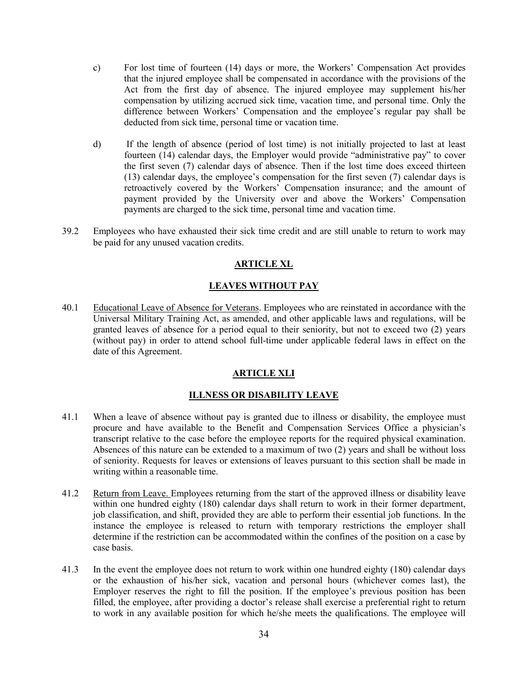- c) For lost time of fourteen (14) days or more, the Workers' Compensation Act provides that the injured employee shall be compensated in accordance with the provisions of the Act from the first day of absence. The injured employee may supplement his/her compensation by utilizing accrued sick time, vacation time, and personal time. Only the difference between Workers' Compensation and the employee's regular pay shall be deducted from sick time, personal time or vacation time.
- d) If the length of absence (period of lost time) is not initially projected to last at least fourteen (14) calendar days, the Employer would provide "administrative pay" to cover the first seven (7) calendar days of absence. Then if the lost time does exceed thirteen (13) calendar days, the employee's compensation for the first seven (7) calendar days is retroactively covered by the Workers' Compensation insurance; and the amount of payment provided by the University over and above the Workers' Compensation payments are charged to the sick time, personal time and vacation time.
- <span id="page-33-0"></span>39.2 Employees who have exhausted their sick time credit and are still unable to return to work may be paid for any unused vacation credits.

# **ARTICLE XL**

# **LEAVES WITHOUT PAY**

<span id="page-33-1"></span>40.1 Educational Leave of Absence for Veterans. Employees who are reinstated in accordance with the Universal Military Training Act, as amended, and other applicable laws and regulations, will be granted leaves of absence for a period equal to their seniority, but not to exceed two (2) years (without pay) in order to attend school full-time under applicable federal laws in effect on the date of this Agreement.

# **ARTICLE XLI**

# **ILLNESS OR DISABILITY LEAVE**

- <span id="page-33-3"></span><span id="page-33-2"></span>41.1 When a leave of absence without pay is granted due to illness or disability, the employee must procure and have available to the Benefit and Compensation Services Office a physician's transcript relative to the case before the employee reports for the required physical examination. Absences of this nature can be extended to a maximum of two (2) years and shall be without loss of seniority. Requests for leaves or extensions of leaves pursuant to this section shall be made in writing within a reasonable time.
- 41.2 Return from Leave. Employees returning from the start of the approved illness or disability leave within one hundred eighty (180) calendar days shall return to work in their former department, job classification, and shift, provided they are able to perform their essential job functions. In the instance the employee is released to return with temporary restrictions the employer shall determine if the restriction can be accommodated within the confines of the position on a case by case basis.
- 41.3 In the event the employee does not return to work within one hundred eighty (180) calendar days or the exhaustion of his/her sick, vacation and personal hours (whichever comes last), the Employer reserves the right to fill the position. If the employee's previous position has been filled, the employee, after providing a doctor's release shall exercise a preferential right to return to work in any available position for which he/she meets the qualifications. The employee will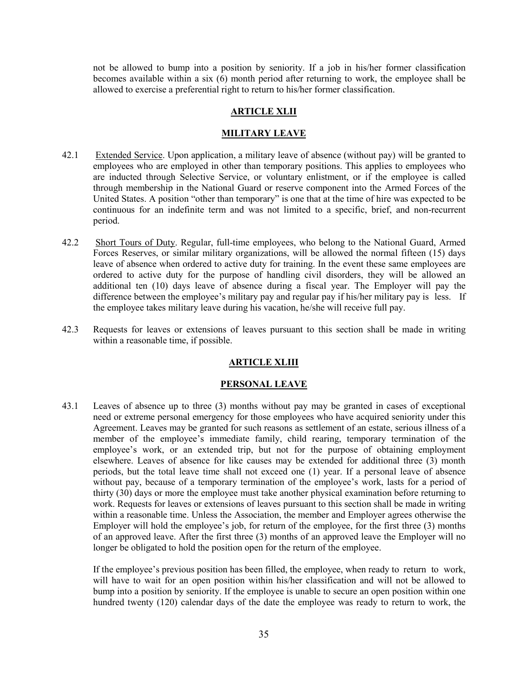not be allowed to bump into a position by seniority. If a job in his/her former classification becomes available within a six (6) month period after returning to work, the employee shall be allowed to exercise a preferential right to return to his/her former classification.

### **ARTICLE XLII**

#### **MILITARY LEAVE**

- <span id="page-34-1"></span><span id="page-34-0"></span>42.1 Extended Service. Upon application, a military leave of absence (without pay) will be granted to employees who are employed in other than temporary positions. This applies to employees who are inducted through Selective Service, or voluntary enlistment, or if the employee is called through membership in the National Guard or reserve component into the Armed Forces of the United States. A position "other than temporary" is one that at the time of hire was expected to be continuous for an indefinite term and was not limited to a specific, brief, and non-recurrent period.
- 42.2 Short Tours of Duty. Regular, full-time employees, who belong to the National Guard, Armed Forces Reserves, or similar military organizations, will be allowed the normal fifteen (15) days leave of absence when ordered to active duty for training. In the event these same employees are ordered to active duty for the purpose of handling civil disorders, they will be allowed an additional ten (10) days leave of absence during a fiscal year. The Employer will pay the difference between the employee's military pay and regular pay if his/her military pay is less. If the employee takes military leave during his vacation, he/she will receive full pay.
- <span id="page-34-2"></span>42.3 Requests for leaves or extensions of leaves pursuant to this section shall be made in writing within a reasonable time, if possible.

## **ARTICLE XLIII**

#### **PERSONAL LEAVE**

<span id="page-34-3"></span>43.1 Leaves of absence up to three (3) months without pay may be granted in cases of exceptional need or extreme personal emergency for those employees who have acquired seniority under this Agreement. Leaves may be granted for such reasons as settlement of an estate, serious illness of a member of the employee's immediate family, child rearing, temporary termination of the employee's work, or an extended trip, but not for the purpose of obtaining employment elsewhere. Leaves of absence for like causes may be extended for additional three (3) month periods, but the total leave time shall not exceed one (1) year. If a personal leave of absence without pay, because of a temporary termination of the employee's work, lasts for a period of thirty (30) days or more the employee must take another physical examination before returning to work. Requests for leaves or extensions of leaves pursuant to this section shall be made in writing within a reasonable time. Unless the Association, the member and Employer agrees otherwise the Employer will hold the employee's job, for return of the employee, for the first three (3) months of an approved leave. After the first three (3) months of an approved leave the Employer will no longer be obligated to hold the position open for the return of the employee.

If the employee's previous position has been filled, the employee, when ready to return to work, will have to wait for an open position within his/her classification and will not be allowed to bump into a position by seniority. If the employee is unable to secure an open position within one hundred twenty (120) calendar days of the date the employee was ready to return to work, the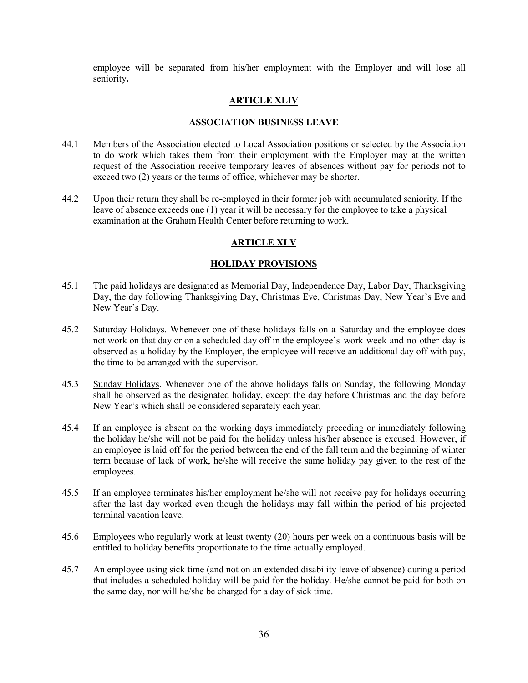employee will be separated from his/her employment with the Employer and will lose all seniority**.** 

# **ARTICLE XLIV**

# **ASSOCIATION BUSINESS LEAVE**

- <span id="page-35-1"></span><span id="page-35-0"></span>44.1 Members of the Association elected to Local Association positions or selected by the Association to do work which takes them from their employment with the Employer may at the written request of the Association receive temporary leaves of absences without pay for periods not to exceed two (2) years or the terms of office, whichever may be shorter.
- <span id="page-35-2"></span>44.2 Upon their return they shall be re-employed in their former job with accumulated seniority. If the leave of absence exceeds one (1) year it will be necessary for the employee to take a physical examination at the Graham Health Center before returning to work.

# **ARTICLE XLV**

### **HOLIDAY PROVISIONS**

- <span id="page-35-3"></span>45.1 The paid holidays are designated as Memorial Day, Independence Day, Labor Day, Thanksgiving Day, the day following Thanksgiving Day, Christmas Eve, Christmas Day, New Year's Eve and New Year's Day.
- 45.2 Saturday Holidays. Whenever one of these holidays falls on a Saturday and the employee does not work on that day or on a scheduled day off in the employee's work week and no other day is observed as a holiday by the Employer, the employee will receive an additional day off with pay, the time to be arranged with the supervisor.
- 45.3 Sunday Holidays. Whenever one of the above holidays falls on Sunday, the following Monday shall be observed as the designated holiday, except the day before Christmas and the day before New Year's which shall be considered separately each year.
- 45.4 If an employee is absent on the working days immediately preceding or immediately following the holiday he/she will not be paid for the holiday unless his/her absence is excused. However, if an employee is laid off for the period between the end of the fall term and the beginning of winter term because of lack of work, he/she will receive the same holiday pay given to the rest of the employees.
- 45.5 If an employee terminates his/her employment he/she will not receive pay for holidays occurring after the last day worked even though the holidays may fall within the period of his projected terminal vacation leave.
- 45.6 Employees who regularly work at least twenty (20) hours per week on a continuous basis will be entitled to holiday benefits proportionate to the time actually employed.
- 45.7 An employee using sick time (and not on an extended disability leave of absence) during a period that includes a scheduled holiday will be paid for the holiday. He/she cannot be paid for both on the same day, nor will he/she be charged for a day of sick time.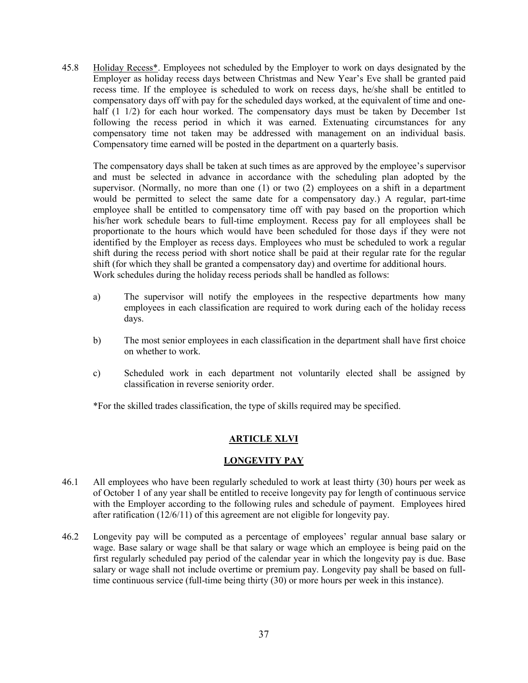45.8 Holiday Recess\*. Employees not scheduled by the Employer to work on days designated by the Employer as holiday recess days between Christmas and New Year's Eve shall be granted paid recess time. If the employee is scheduled to work on recess days, he/she shall be entitled to compensatory days off with pay for the scheduled days worked, at the equivalent of time and onehalf (1 1/2) for each hour worked. The compensatory days must be taken by December 1st following the recess period in which it was earned. Extenuating circumstances for any compensatory time not taken may be addressed with management on an individual basis. Compensatory time earned will be posted in the department on a quarterly basis.

The compensatory days shall be taken at such times as are approved by the employee's supervisor and must be selected in advance in accordance with the scheduling plan adopted by the supervisor. (Normally, no more than one (1) or two (2) employees on a shift in a department would be permitted to select the same date for a compensatory day.) A regular, part-time employee shall be entitled to compensatory time off with pay based on the proportion which his/her work schedule bears to full-time employment. Recess pay for all employees shall be proportionate to the hours which would have been scheduled for those days if they were not identified by the Employer as recess days. Employees who must be scheduled to work a regular shift during the recess period with short notice shall be paid at their regular rate for the regular shift (for which they shall be granted a compensatory day) and overtime for additional hours. Work schedules during the holiday recess periods shall be handled as follows:

- a) The supervisor will notify the employees in the respective departments how many employees in each classification are required to work during each of the holiday recess days.
- b) The most senior employees in each classification in the department shall have first choice on whether to work.
- c) Scheduled work in each department not voluntarily elected shall be assigned by classification in reverse seniority order.

\*For the skilled trades classification, the type of skills required may be specified.

# **ARTICLE XLVI**

#### **LONGEVITY PAY**

- 46.1 All employees who have been regularly scheduled to work at least thirty (30) hours per week as of October 1 of any year shall be entitled to receive longevity pay for length of continuous service with the Employer according to the following rules and schedule of payment. Employees hired after ratification (12/6/11) of this agreement are not eligible for longevity pay.
- 46.2 Longevity pay will be computed as a percentage of employees' regular annual base salary or wage. Base salary or wage shall be that salary or wage which an employee is being paid on the first regularly scheduled pay period of the calendar year in which the longevity pay is due. Base salary or wage shall not include overtime or premium pay. Longevity pay shall be based on fulltime continuous service (full-time being thirty (30) or more hours per week in this instance).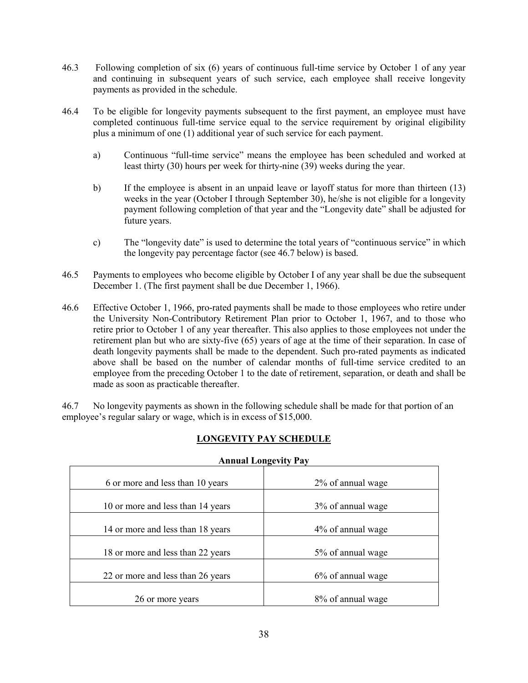- 46.3 Following completion of six (6) years of continuous full-time service by October 1 of any year and continuing in subsequent years of such service, each employee shall receive longevity payments as provided in the schedule.
- 46.4 To be eligible for longevity payments subsequent to the first payment, an employee must have completed continuous full-time service equal to the service requirement by original eligibility plus a minimum of one (1) additional year of such service for each payment.
	- a) Continuous "full-time service" means the employee has been scheduled and worked at least thirty (30) hours per week for thirty-nine (39) weeks during the year.
	- b) If the employee is absent in an unpaid leave or layoff status for more than thirteen (13) weeks in the year (October I through September 30), he/she is not eligible for a longevity payment following completion of that year and the "Longevity date" shall be adjusted for future years.
	- c) The "longevity date" is used to determine the total years of "continuous service" in which the longevity pay percentage factor (see 46.7 below) is based.
- 46.5 Payments to employees who become eligible by October I of any year shall be due the subsequent December 1. (The first payment shall be due December 1, 1966).
- 46.6 Effective October 1, 1966, pro-rated payments shall be made to those employees who retire under the University Non-Contributory Retirement Plan prior to October 1, 1967, and to those who retire prior to October 1 of any year thereafter. This also applies to those employees not under the retirement plan but who are sixty-five (65) years of age at the time of their separation. In case of death longevity payments shall be made to the dependent. Such pro-rated payments as indicated above shall be based on the number of calendar months of full-time service credited to an employee from the preceding October 1 to the date of retirement, separation, or death and shall be made as soon as practicable thereafter.

46.7 No longevity payments as shown in the following schedule shall be made for that portion of an employee's regular salary or wage, which is in excess of \$15,000.

| <b>Annual Longevity Pay</b>       |                      |  |
|-----------------------------------|----------------------|--|
| 6 or more and less than 10 years  | 2% of annual wage    |  |
| 10 or more and less than 14 years | 3% of annual wage    |  |
| 14 or more and less than 18 years | 4\% of annual wage   |  |
| 18 or more and less than 22 years | 5% of annual wage    |  |
| 22 or more and less than 26 years | $6\%$ of annual wage |  |
| 26 or more years                  | 8% of annual wage    |  |

# **LONGEVITY PAY SCHEDULE**

# **Annual Longevity Pay**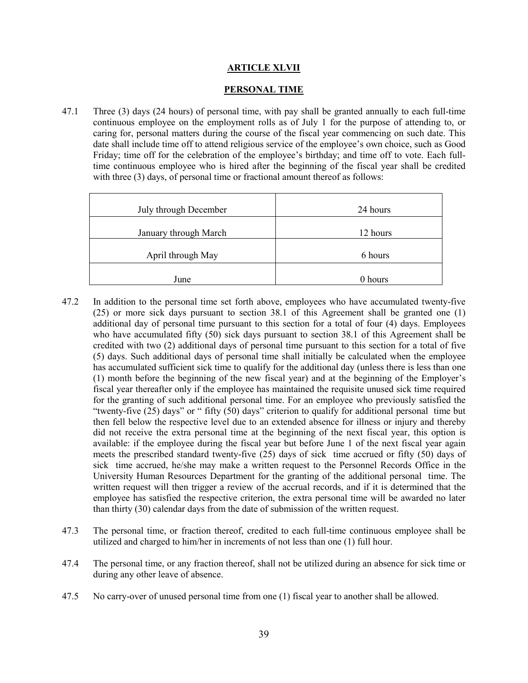## **ARTICLE XLVII**

#### **PERSONAL TIME**

47.1 Three (3) days (24 hours) of personal time, with pay shall be granted annually to each full-time continuous employee on the employment rolls as of July 1 for the purpose of attending to, or caring for, personal matters during the course of the fiscal year commencing on such date. This date shall include time off to attend religious service of the employee's own choice, such as Good Friday; time off for the celebration of the employee's birthday; and time off to vote. Each fulltime continuous employee who is hired after the beginning of the fiscal year shall be credited with three (3) days, of personal time or fractional amount thereof as follows:

| July through December | 24 hours |
|-----------------------|----------|
| January through March | 12 hours |
| April through May     | 6 hours  |
| June                  | 0 hours  |

- 47.2 In addition to the personal time set forth above, employees who have accumulated twenty-five (25) or more sick days pursuant to section 38.1 of this Agreement shall be granted one (1) additional day of personal time pursuant to this section for a total of four (4) days. Employees who have accumulated fifty (50) sick days pursuant to section 38.1 of this Agreement shall be credited with two (2) additional days of personal time pursuant to this section for a total of five (5) days. Such additional days of personal time shall initially be calculated when the employee has accumulated sufficient sick time to qualify for the additional day (unless there is less than one (1) month before the beginning of the new fiscal year) and at the beginning of the Employer's fiscal year thereafter only if the employee has maintained the requisite unused sick time required for the granting of such additional personal time. For an employee who previously satisfied the "twenty-five (25) days" or " fifty (50) days" criterion to qualify for additional personal time but then fell below the respective level due to an extended absence for illness or injury and thereby did not receive the extra personal time at the beginning of the next fiscal year, this option is available: if the employee during the fiscal year but before June 1 of the next fiscal year again meets the prescribed standard twenty-five (25) days of sick time accrued or fifty (50) days of sick time accrued, he/she may make a written request to the Personnel Records Office in the University Human Resources Department for the granting of the additional personal time. The written request will then trigger a review of the accrual records, and if it is determined that the employee has satisfied the respective criterion, the extra personal time will be awarded no later than thirty (30) calendar days from the date of submission of the written request.
- 47.3 The personal time, or fraction thereof, credited to each full-time continuous employee shall be utilized and charged to him/her in increments of not less than one (1) full hour.
- 47.4 The personal time, or any fraction thereof, shall not be utilized during an absence for sick time or during any other leave of absence.
- 47.5 No carry-over of unused personal time from one (1) fiscal year to another shall be allowed.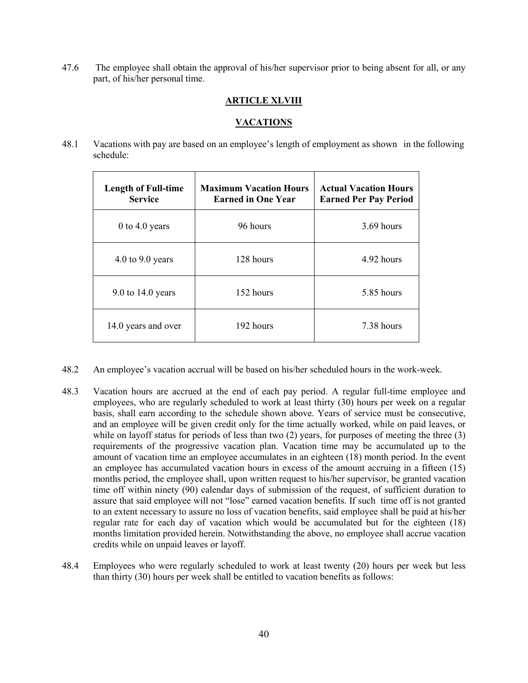47.6 The employee shall obtain the approval of his/her supervisor prior to being absent for all, or any part, of his/her personal time.

## **ARTICLE XLVIII**

#### **VACATIONS**

48.1 Vacations with pay are based on an employee's length of employment as shown in the following schedule:

| <b>Length of Full-time</b><br><b>Service</b> | <b>Maximum Vacation Hours</b><br><b>Earned in One Year</b> | <b>Actual Vacation Hours</b><br><b>Earned Per Pay Period</b> |
|----------------------------------------------|------------------------------------------------------------|--------------------------------------------------------------|
| 0 to 4.0 years                               | 96 hours                                                   | 3.69 hours                                                   |
| 4.0 to 9.0 years                             | 128 hours                                                  | 4.92 hours                                                   |
| $9.0$ to 14.0 years                          | 152 hours                                                  | 5.85 hours                                                   |
| 14.0 years and over                          | 192 hours                                                  | 7.38 hours                                                   |

- 48.2 An employee's vacation accrual will be based on his/her scheduled hours in the work-week.
- 48.3 Vacation hours are accrued at the end of each pay period. A regular full-time employee and employees, who are regularly scheduled to work at least thirty (30) hours per week on a regular basis, shall earn according to the schedule shown above. Years of service must be consecutive, and an employee will be given credit only for the time actually worked, while on paid leaves, or while on layoff status for periods of less than two (2) years, for purposes of meeting the three (3) requirements of the progressive vacation plan. Vacation time may be accumulated up to the amount of vacation time an employee accumulates in an eighteen (18) month period. In the event an employee has accumulated vacation hours in excess of the amount accruing in a fifteen (15) months period, the employee shall, upon written request to his/her supervisor, be granted vacation time off within ninety (90) calendar days of submission of the request, of sufficient duration to assure that said employee will not "lose" earned vacation benefits. If such time off is not granted to an extent necessary to assure no loss of vacation benefits, said employee shall be paid at his/her regular rate for each day of vacation which would be accumulated but for the eighteen (18) months limitation provided herein. Notwithstanding the above, no employee shall accrue vacation credits while on unpaid leaves or layoff.
- 48.4 Employees who were regularly scheduled to work at least twenty (20) hours per week but less than thirty (30) hours per week shall be entitled to vacation benefits as follows: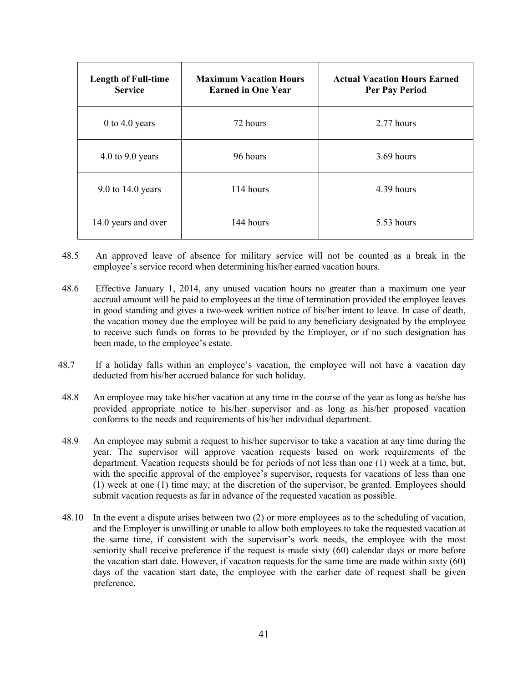| <b>Length of Full-time</b><br><b>Service</b> | <b>Maximum Vacation Hours</b><br><b>Earned in One Year</b> | <b>Actual Vacation Hours Earned</b><br><b>Per Pay Period</b> |
|----------------------------------------------|------------------------------------------------------------|--------------------------------------------------------------|
| 0 to 4.0 years                               | 72 hours                                                   | 2.77 hours                                                   |
| 4.0 to 9.0 years                             | 96 hours                                                   | 3.69 hours                                                   |
| 9.0 to 14.0 years                            | 114 hours                                                  | 4.39 hours                                                   |
| 14.0 years and over                          | 144 hours                                                  | 5.53 hours                                                   |

- 48.5 An approved leave of absence for military service will not be counted as a break in the employee's service record when determining his/her earned vacation hours.
- 48.6 Effective January 1, 2014, any unused vacation hours no greater than a maximum one year accrual amount will be paid to employees at the time of termination provided the employee leaves in good standing and gives a two-week written notice of his/her intent to leave. In case of death, the vacation money due the employee will be paid to any beneficiary designated by the employee to receive such funds on forms to be provided by the Employer, or if no such designation has been made, to the employee's estate.
- 48.7 If a holiday falls within an employee's vacation, the employee will not have a vacation day deducted from his/her accrued balance for such holiday.
- 48.8 An employee may take his/her vacation at any time in the course of the year as long as he/she has provided appropriate notice to his/her supervisor and as long as his/her proposed vacation conforms to the needs and requirements of his/her individual department.
- 48.9 An employee may submit a request to his/her supervisor to take a vacation at any time during the year. The supervisor will approve vacation requests based on work requirements of the department. Vacation requests should be for periods of not less than one (1) week at a time, but, with the specific approval of the employee's supervisor, requests for vacations of less than one (1) week at one (1) time may, at the discretion of the supervisor, be granted. Employees should submit vacation requests as far in advance of the requested vacation as possible.
- 48.10 In the event a dispute arises between two (2) or more employees as to the scheduling of vacation, and the Employer is unwilling or unable to allow both employees to take the requested vacation at the same time, if consistent with the supervisor's work needs, the employee with the most seniority shall receive preference if the request is made sixty (60) calendar days or more before the vacation start date. However, if vacation requests for the same time are made within sixty (60) days of the vacation start date, the employee with the earlier date of request shall be given preference.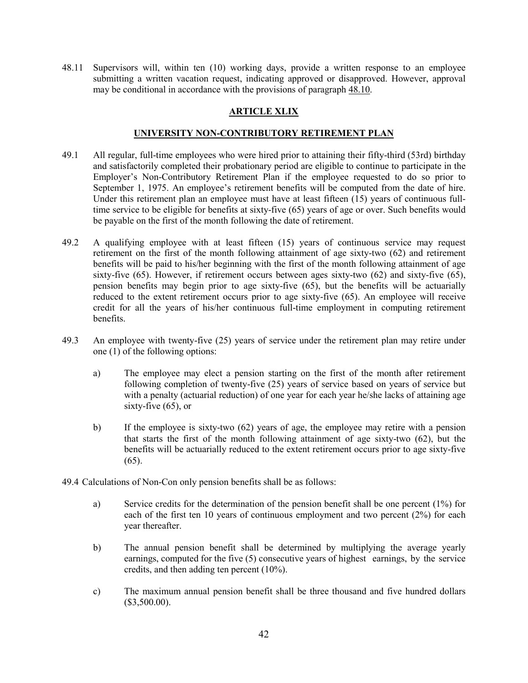48.11 Supervisors will, within ten (10) working days, provide a written response to an employee submitting a written vacation request, indicating approved or disapproved. However, approval may be conditional in accordance with the provisions of paragraph  $48.10$ .

# **ARTICLE XLIX**

## **UNIVERSITY NON-CONTRIBUTORY RETIREMENT PLAN**

- 49.1 All regular, full-time employees who were hired prior to attaining their fifty-third (53rd) birthday and satisfactorily completed their probationary period are eligible to continue to participate in the Employer's Non-Contributory Retirement Plan if the employee requested to do so prior to September 1, 1975. An employee's retirement benefits will be computed from the date of hire. Under this retirement plan an employee must have at least fifteen (15) years of continuous fulltime service to be eligible for benefits at sixty-five (65) years of age or over. Such benefits would be payable on the first of the month following the date of retirement.
- 49.2 A qualifying employee with at least fifteen (15) years of continuous service may request retirement on the first of the month following attainment of age sixty-two (62) and retirement benefits will be paid to his/her beginning with the first of the month following attainment of age sixty-five (65). However, if retirement occurs between ages sixty-two (62) and sixty-five (65), pension benefits may begin prior to age sixty-five (65), but the benefits will be actuarially reduced to the extent retirement occurs prior to age sixty-five (65). An employee will receive credit for all the years of his/her continuous full-time employment in computing retirement benefits.
- 49.3 An employee with twenty-five (25) years of service under the retirement plan may retire under one (1) of the following options:
	- a) The employee may elect a pension starting on the first of the month after retirement following completion of twenty-five (25) years of service based on years of service but with a penalty (actuarial reduction) of one year for each year he/she lacks of attaining age sixty-five (65), or
	- b) If the employee is sixty-two (62) years of age, the employee may retire with a pension that starts the first of the month following attainment of age sixty-two (62), but the benefits will be actuarially reduced to the extent retirement occurs prior to age sixty-five  $(65)$ .
- 49.4 Calculations of Non-Con only pension benefits shall be as follows:
	- a) Service credits for the determination of the pension benefit shall be one percent (1%) for each of the first ten 10 years of continuous employment and two percent (2%) for each year thereafter.
	- b) The annual pension benefit shall be determined by multiplying the average yearly earnings, computed for the five (5) consecutive years of highest earnings, by the service credits, and then adding ten percent (10%).
	- c) The maximum annual pension benefit shall be three thousand and five hundred dollars (\$3,500.00).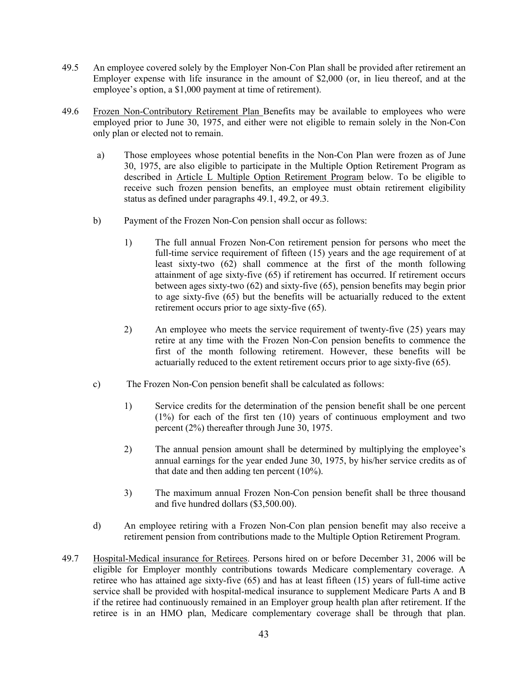- 49.5 An employee covered solely by the Employer Non-Con Plan shall be provided after retirement an Employer expense with life insurance in the amount of \$2,000 (or, in lieu thereof, and at the employee's option, a \$1,000 payment at time of retirement).
- 49.6 Frozen Non-Contributory Retirement Plan Benefits may be available to employees who were employed prior to June 30, 1975, and either were not eligible to remain solely in the Non-Con only plan or elected not to remain.
	- a) Those employees whose potential benefits in the Non-Con Plan were frozen as of June 30, 1975, are also eligible to participate in the Multiple Option Retirement Program as described in Article L Multiple Option Retirement Program below. To be eligible to receive such frozen pension benefits, an employee must obtain retirement eligibility status as defined under paragraphs 49.1, 49.2, or 49.3.
	- b) Payment of the Frozen Non-Con pension shall occur as follows:
		- 1) The full annual Frozen Non-Con retirement pension for persons who meet the full-time service requirement of fifteen (15) years and the age requirement of at least sixty-two (62) shall commence at the first of the month following attainment of age sixty-five (65) if retirement has occurred. If retirement occurs between ages sixty-two (62) and sixty-five (65), pension benefits may begin prior to age sixty-five (65) but the benefits will be actuarially reduced to the extent retirement occurs prior to age sixty-five (65).
		- 2) An employee who meets the service requirement of twenty-five (25) years may retire at any time with the Frozen Non-Con pension benefits to commence the first of the month following retirement. However, these benefits will be actuarially reduced to the extent retirement occurs prior to age sixty-five (65).
	- c) The Frozen Non-Con pension benefit shall be calculated as follows:
		- 1) Service credits for the determination of the pension benefit shall be one percent (1%) for each of the first ten (10) years of continuous employment and two percent (2%) thereafter through June 30, 1975.
		- 2) The annual pension amount shall be determined by multiplying the employee's annual earnings for the year ended June 30, 1975, by his/her service credits as of that date and then adding ten percent (10%).
		- 3) The maximum annual Frozen Non-Con pension benefit shall be three thousand and five hundred dollars (\$3,500.00).
	- d) An employee retiring with a Frozen Non-Con plan pension benefit may also receive a retirement pension from contributions made to the Multiple Option Retirement Program.
- 49.7 Hospital-Medical insurance for Retirees. Persons hired on or before December 31, 2006 will be eligible for Employer monthly contributions towards Medicare complementary coverage. A retiree who has attained age sixty-five (65) and has at least fifteen (15) years of full-time active service shall be provided with hospital-medical insurance to supplement Medicare Parts A and B if the retiree had continuously remained in an Employer group health plan after retirement. If the retiree is in an HMO plan, Medicare complementary coverage shall be through that plan.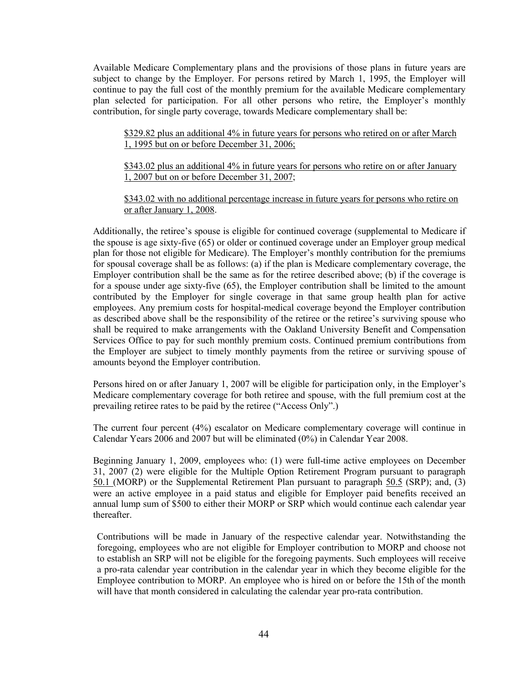Available Medicare Complementary plans and the provisions of those plans in future years are subject to change by the Employer. For persons retired by March 1, 1995, the Employer will continue to pay the full cost of the monthly premium for the available Medicare complementary plan selected for participation. For all other persons who retire, the Employer's monthly contribution, for single party coverage, towards Medicare complementary shall be:

\$329.82 plus an additional 4% in future years for persons who retired on or after March 1, 1995 but on or before December 31, 2006;

\$343.02 plus an additional 4% in future years for persons who retire on or after January 1, 2007 but on or before December 31, 2007;

\$343.02 with no additional percentage increase in future years for persons who retire on or after January 1, 2008.

Additionally, the retiree's spouse is eligible for continued coverage (supplemental to Medicare if the spouse is age sixty-five (65) or older or continued coverage under an Employer group medical plan for those not eligible for Medicare). The Employer's monthly contribution for the premiums for spousal coverage shall be as follows: (a) if the plan is Medicare complementary coverage, the Employer contribution shall be the same as for the retiree described above; (b) if the coverage is for a spouse under age sixty-five (65), the Employer contribution shall be limited to the amount contributed by the Employer for single coverage in that same group health plan for active employees. Any premium costs for hospital-medical coverage beyond the Employer contribution as described above shall be the responsibility of the retiree or the retiree's surviving spouse who shall be required to make arrangements with the Oakland University Benefit and Compensation Services Office to pay for such monthly premium costs. Continued premium contributions from the Employer are subject to timely monthly payments from the retiree or surviving spouse of amounts beyond the Employer contribution.

Persons hired on or after January 1, 2007 will be eligible for participation only, in the Employer's Medicare complementary coverage for both retiree and spouse, with the full premium cost at the prevailing retiree rates to be paid by the retiree ("Access Only".)

The current four percent (4%) escalator on Medicare complementary coverage will continue in Calendar Years 2006 and 2007 but will be eliminated (0%) in Calendar Year 2008.

Beginning January 1, 2009, employees who: (1) were full-time active employees on December 31, 2007 (2) were eligible for the Multiple Option Retirement Program pursuant to paragraph 50.1 (MORP) or the Supplemental Retirement Plan pursuant to paragraph 50.5 (SRP); and, (3) were an active employee in a paid status and eligible for Employer paid benefits received an annual lump sum of \$500 to either their MORP or SRP which would continue each calendar year thereafter.

Contributions will be made in January of the respective calendar year. Notwithstanding the foregoing, employees who are not eligible for Employer contribution to MORP and choose not to establish an SRP will not be eligible for the foregoing payments. Such employees will receive a pro-rata calendar year contribution in the calendar year in which they become eligible for the Employee contribution to MORP. An employee who is hired on or before the 15th of the month will have that month considered in calculating the calendar year pro-rata contribution.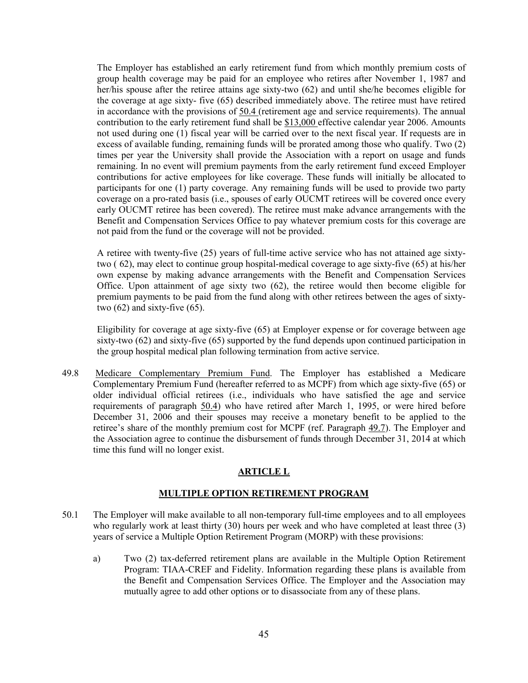The Employer has established an early retirement fund from which monthly premium costs of group health coverage may be paid for an employee who retires after November 1, 1987 and her/his spouse after the retiree attains age sixty-two (62) and until she/he becomes eligible for the coverage at age sixty- five (65) described immediately above. The retiree must have retired in accordance with the provisions of 50.4 (retirement age and service requirements). The annual contribution to the early retirement fund shall be \$13,000 effective calendar year 2006. Amounts not used during one (1) fiscal year will be carried over to the next fiscal year. If requests are in excess of available funding, remaining funds will be prorated among those who qualify. Two (2) times per year the University shall provide the Association with a report on usage and funds remaining. In no event will premium payments from the early retirement fund exceed Employer contributions for active employees for like coverage. These funds will initially be allocated to participants for one (1) party coverage. Any remaining funds will be used to provide two party coverage on a pro-rated basis (i.e., spouses of early OUCMT retirees will be covered once every early OUCMT retiree has been covered). The retiree must make advance arrangements with the Benefit and Compensation Services Office to pay whatever premium costs for this coverage are not paid from the fund or the coverage will not be provided.

A retiree with twenty-five (25) years of full-time active service who has not attained age sixtytwo ( 62), may elect to continue group hospital-medical coverage to age sixty-five (65) at his/her own expense by making advance arrangements with the Benefit and Compensation Services Office. Upon attainment of age sixty two (62), the retiree would then become eligible for premium payments to be paid from the fund along with other retirees between the ages of sixtytwo  $(62)$  and sixty-five  $(65)$ .

Eligibility for coverage at age sixty-five (65) at Employer expense or for coverage between age sixty-two (62) and sixty-five (65) supported by the fund depends upon continued participation in the group hospital medical plan following termination from active service.

49.8 Medicare Complementary Premium Fund. The Employer has established a Medicare Complementary Premium Fund (hereafter referred to as MCPF) from which age sixty-five (65) or older individual official retirees (i.e., individuals who have satisfied the age and service requirements of paragraph 50.4) who have retired after March 1, 1995, or were hired before December 31, 2006 and their spouses may receive a monetary benefit to be applied to the retiree's share of the monthly premium cost for MCPF (ref. Paragraph 49.7). The Employer and the Association agree to continue the disbursement of funds through December 31, 2014 at which time this fund will no longer exist.

# **ARTICLE L**

# **MULTIPLE OPTION RETIREMENT PROGRAM**

- 50.1 The Employer will make available to all non-temporary full-time employees and to all employees who regularly work at least thirty (30) hours per week and who have completed at least three (3) years of service a Multiple Option Retirement Program (MORP) with these provisions:
	- a) Two (2) tax-deferred retirement plans are available in the Multiple Option Retirement Program: TIAA-CREF and Fidelity. Information regarding these plans is available from the Benefit and Compensation Services Office. The Employer and the Association may mutually agree to add other options or to disassociate from any of these plans.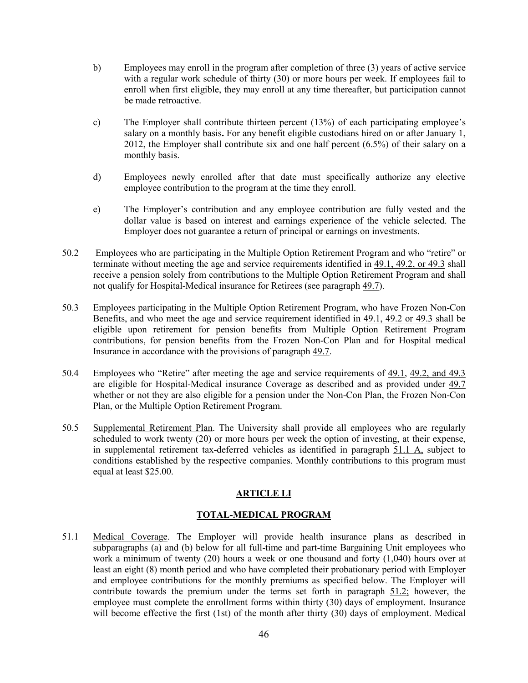- b) Employees may enroll in the program after completion of three (3) years of active service with a regular work schedule of thirty (30) or more hours per week. If employees fail to enroll when first eligible, they may enroll at any time thereafter, but participation cannot be made retroactive.
- c) The Employer shall contribute thirteen percent (13%) of each participating employee's salary on a monthly basis**.** For any benefit eligible custodians hired on or after January 1, 2012, the Employer shall contribute six and one half percent (6.5%) of their salary on a monthly basis.
- d) Employees newly enrolled after that date must specifically authorize any elective employee contribution to the program at the time they enroll.
- e) The Employer's contribution and any employee contribution are fully vested and the dollar value is based on interest and earnings experience of the vehicle selected. The Employer does not guarantee a return of principal or earnings on investments.
- 50.2 Employees who are participating in the Multiple Option Retirement Program and who "retire" or terminate without meeting the age and service requirements identified in 49.1, 49.2, or 49.3 shall receive a pension solely from contributions to the Multiple Option Retirement Program and shall not qualify for Hospital-Medical insurance for Retirees (see paragraph 49.7).
- 50.3 Employees participating in the Multiple Option Retirement Program, who have Frozen Non-Con Benefits, and who meet the age and service requirement identified in 49.1, 49.2 or 49.3 shall be eligible upon retirement for pension benefits from Multiple Option Retirement Program contributions, for pension benefits from the Frozen Non-Con Plan and for Hospital medical Insurance in accordance with the provisions of paragraph 49.7.
- 50.4 Employees who "Retire" after meeting the age and service requirements of 49.1, 49.2, and 49.3 are eligible for Hospital-Medical insurance Coverage as described and as provided under 49.7 whether or not they are also eligible for a pension under the Non-Con Plan, the Frozen Non-Con Plan, or the Multiple Option Retirement Program.
- 50.5 Supplemental Retirement Plan. The University shall provide all employees who are regularly scheduled to work twenty (20) or more hours per week the option of investing, at their expense, in supplemental retirement tax-deferred vehicles as identified in paragraph 51.1 A, subject to conditions established by the respective companies. Monthly contributions to this program must equal at least \$25.00.

# **ARTICLE LI**

# **TOTAL-MEDICAL PROGRAM**

51.1 Medical Coverage. The Employer will provide health insurance plans as described in subparagraphs (a) and (b) below for all full-time and part-time Bargaining Unit employees who work a minimum of twenty (20) hours a week or one thousand and forty (1,040) hours over at least an eight (8) month period and who have completed their probationary period with Employer and employee contributions for the monthly premiums as specified below. The Employer will contribute towards the premium under the terms set forth in paragraph 51.2; however, the employee must complete the enrollment forms within thirty (30) days of employment. Insurance will become effective the first (1st) of the month after thirty (30) days of employment. Medical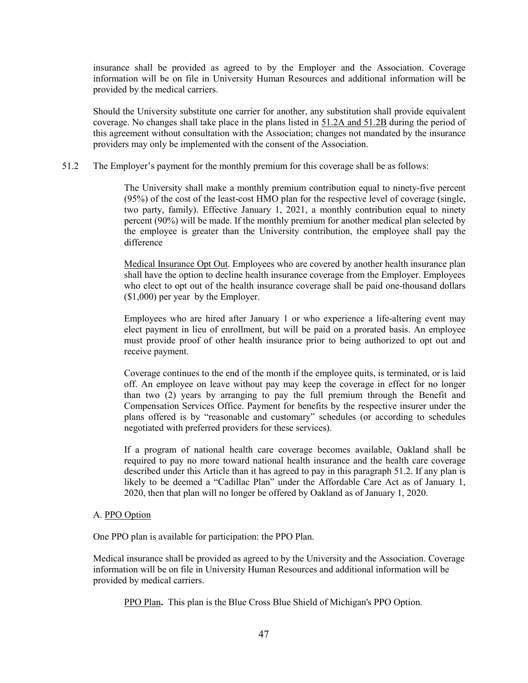insurance shall be provided as agreed to by the Employer and the Association. Coverage information will be on file in University Human Resources and additional information will be provided by the medical carriers.

Should the University substitute one carrier for another, any substitution shall provide equivalent coverage. No changes shall take place in the plans listed in 51.2A and 51.2B during the period of this agreement without consultation with the Association; changes not mandated by the insurance providers may only be implemented with the consent of the Association.

#### 51.2 The Employer's payment for the monthly premium for this coverage shall be as follows:

The University shall make a monthly premium contribution equal to ninety-five percent (95%) of the cost of the least-cost HMO plan for the respective level of coverage (single, two party, family). Effective January 1, 2021, a monthly contribution equal to ninety percent (90%) will be made. If the monthly premium for another medical plan selected by the employee is greater than the University contribution, the employee shall pay the difference

Medical Insurance Opt Out. Employees who are covered by another health insurance plan shall have the option to decline health insurance coverage from the Employer. Employees who elect to opt out of the health insurance coverage shall be paid one-thousand dollars (\$1,000) per year by the Employer.

Employees who are hired after January 1 or who experience a life-altering event may elect payment in lieu of enrollment, but will be paid on a prorated basis. An employee must provide proof of other health insurance prior to being authorized to opt out and receive payment.

Coverage continues to the end of the month if the employee quits, is terminated, or is laid off. An employee on leave without pay may keep the coverage in effect for no longer than two (2) years by arranging to pay the full premium through the Benefit and Compensation Services Office. Payment for benefits by the respective insurer under the plans offered is by "reasonable and customary" schedules (or according to schedules negotiated with preferred providers for these services).

If a program of national health care coverage becomes available, Oakland shall be required to pay no more toward national health insurance and the health care coverage described under this Article than it has agreed to pay in this paragraph 51.2. If any plan is likely to be deemed a "Cadillac Plan" under the Affordable Care Act as of January 1, 2020, then that plan will no longer be offered by Oakland as of January 1, 2020.

#### A. PPO Option

One PPO plan is available for participation: the PPO Plan.

Medical insurance shall be provided as agreed to by the University and the Association. Coverage information will be on file in University Human Resources and additional information will be provided by medical carriers.

PPO Plan**.** This plan is the Blue Cross Blue Shield of Michigan's PPO Option.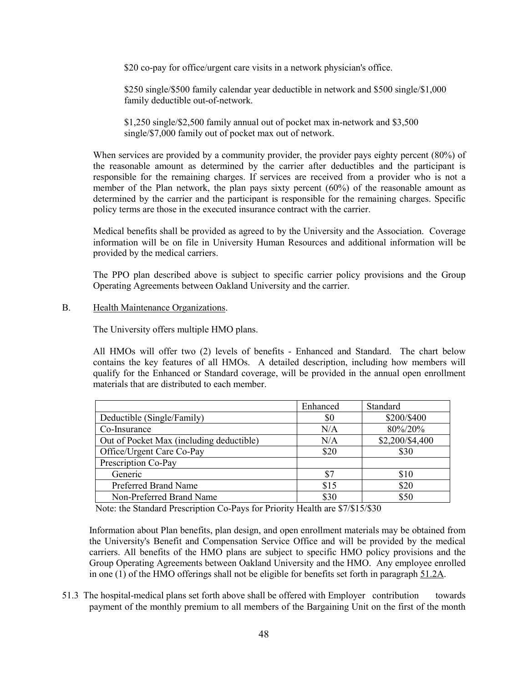\$20 co-pay for office/urgent care visits in a network physician's office.

\$250 single/\$500 family calendar year deductible in network and \$500 single/\$1,000 family deductible out-of-network.

\$1,250 single/\$2,500 family annual out of pocket max in-network and \$3,500 single/\$7,000 family out of pocket max out of network.

When services are provided by a community provider, the provider pays eighty percent (80%) of the reasonable amount as determined by the carrier after deductibles and the participant is responsible for the remaining charges. If services are received from a provider who is not a member of the Plan network, the plan pays sixty percent (60%) of the reasonable amount as determined by the carrier and the participant is responsible for the remaining charges. Specific policy terms are those in the executed insurance contract with the carrier.

Medical benefits shall be provided as agreed to by the University and the Association. Coverage information will be on file in University Human Resources and additional information will be provided by the medical carriers.

The PPO plan described above is subject to specific carrier policy provisions and the Group Operating Agreements between Oakland University and the carrier.

B. Health Maintenance Organizations.

The University offers multiple HMO plans.

All HMOs will offer two (2) levels of benefits - Enhanced and Standard. The chart below contains the key features of all HMOs. A detailed description, including how members will qualify for the Enhanced or Standard coverage, will be provided in the annual open enrollment materials that are distributed to each member.

|                                          | Enhanced | Standard        |
|------------------------------------------|----------|-----------------|
| Deductible (Single/Family)               | \$0      | \$200/\$400     |
| Co-Insurance                             | N/A      | 80%/20%         |
| Out of Pocket Max (including deductible) | N/A      | \$2,200/\$4,400 |
| Office/Urgent Care Co-Pay                | \$20     | \$30            |
| Prescription Co-Pay                      |          |                 |
| Generic                                  | \$7      | \$10            |
| Preferred Brand Name                     | \$15     | \$20            |
| Non-Preferred Brand Name                 | \$30     | \$50            |

Note: the Standard Prescription Co-Pays for Priority Health are \$7/\$15/\$30

Information about Plan benefits, plan design, and open enrollment materials may be obtained from the University's Benefit and Compensation Service Office and will be provided by the medical carriers. All benefits of the HMO plans are subject to specific HMO policy provisions and the Group Operating Agreements between Oakland University and the HMO. Any employee enrolled in one (1) of the HMO offerings shall not be eligible for benefits set forth in paragraph 51.2A.

51.3 The hospital-medical plans set forth above shall be offered with Employer contribution towards payment of the monthly premium to all members of the Bargaining Unit on the first of the month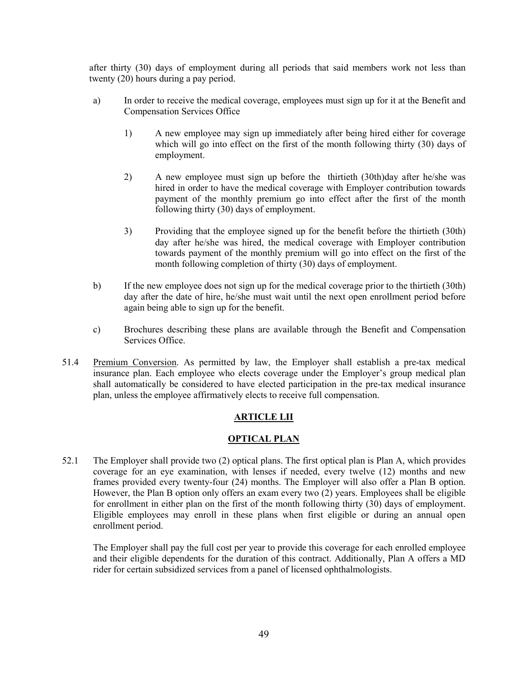after thirty (30) days of employment during all periods that said members work not less than twenty (20) hours during a pay period.

- a) In order to receive the medical coverage, employees must sign up for it at the Benefit and Compensation Services Office
	- 1) A new employee may sign up immediately after being hired either for coverage which will go into effect on the first of the month following thirty (30) days of employment.
	- 2) A new employee must sign up before the thirtieth (30th)day after he/she was hired in order to have the medical coverage with Employer contribution towards payment of the monthly premium go into effect after the first of the month following thirty (30) days of employment.
	- 3) Providing that the employee signed up for the benefit before the thirtieth (30th) day after he/she was hired, the medical coverage with Employer contribution towards payment of the monthly premium will go into effect on the first of the month following completion of thirty (30) days of employment.
- b) If the new employee does not sign up for the medical coverage prior to the thirtieth (30th) day after the date of hire, he/she must wait until the next open enrollment period before again being able to sign up for the benefit.
- c) Brochures describing these plans are available through the Benefit and Compensation Services Office.
- 51.4 Premium Conversion. As permitted by law, the Employer shall establish a pre-tax medical insurance plan. Each employee who elects coverage under the Employer's group medical plan shall automatically be considered to have elected participation in the pre-tax medical insurance plan, unless the employee affirmatively elects to receive full compensation.

# **ARTICLE LII**

#### **OPTICAL PLAN**

52.1 The Employer shall provide two (2) optical plans. The first optical plan is Plan A, which provides coverage for an eye examination, with lenses if needed, every twelve (12) months and new frames provided every twenty-four (24) months. The Employer will also offer a Plan B option. However, the Plan B option only offers an exam every two (2) years. Employees shall be eligible for enrollment in either plan on the first of the month following thirty (30) days of employment. Eligible employees may enroll in these plans when first eligible or during an annual open enrollment period.

The Employer shall pay the full cost per year to provide this coverage for each enrolled employee and their eligible dependents for the duration of this contract. Additionally, Plan A offers a MD rider for certain subsidized services from a panel of licensed ophthalmologists.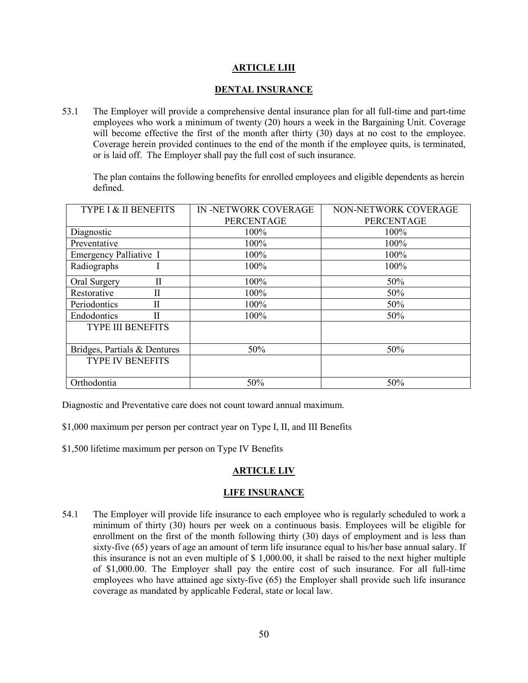## **ARTICLE LIII**

#### **DENTAL INSURANCE**

53.1 The Employer will provide a comprehensive dental insurance plan for all full-time and part-time employees who work a minimum of twenty (20) hours a week in the Bargaining Unit. Coverage will become effective the first of the month after thirty (30) days at no cost to the employee. Coverage herein provided continues to the end of the month if the employee quits, is terminated, or is laid off. The Employer shall pay the full cost of such insurance.

The plan contains the following benefits for enrolled employees and eligible dependents as herein defined.

| TYPE I & II BENEFITS         | IN -NETWORK COVERAGE | NON-NETWORK COVERAGE |
|------------------------------|----------------------|----------------------|
|                              | <b>PERCENTAGE</b>    | <b>PERCENTAGE</b>    |
| Diagnostic                   | 100%                 | 100%                 |
| Preventative                 | 100%                 | 100%                 |
| Emergency Palliative I       | 100%                 | 100%                 |
| Radiographs                  | 100%                 | 100%                 |
| П<br>Oral Surgery            | 100%                 | 50%                  |
| Restorative<br>П             | 100%                 | 50%                  |
| Periodontics<br>Н            | 100%                 | 50%                  |
| $\mathbf{I}$<br>Endodontics  | 100%                 | 50%                  |
| <b>TYPE III BENEFITS</b>     |                      |                      |
| Bridges, Partials & Dentures | 50%                  | 50%                  |
| <b>TYPE IV BENEFITS</b>      |                      |                      |
| Orthodontia                  | 50%                  | 50%                  |

Diagnostic and Preventative care does not count toward annual maximum.

\$1,000 maximum per person per contract year on Type I, II, and III Benefits

\$1,500 lifetime maximum per person on Type IV Benefits

# **ARTICLE LIV**

#### **LIFE INSURANCE**

54.1 The Employer will provide life insurance to each employee who is regularly scheduled to work a minimum of thirty (30) hours per week on a continuous basis. Employees will be eligible for enrollment on the first of the month following thirty (30) days of employment and is less than sixty-five (65) years of age an amount of term life insurance equal to his/her base annual salary. If this insurance is not an even multiple of \$ 1,000.00, it shall be raised to the next higher multiple of \$1,000.00. The Employer shall pay the entire cost of such insurance. For all full-time employees who have attained age sixty-five (65) the Employer shall provide such life insurance coverage as mandated by applicable Federal, state or local law.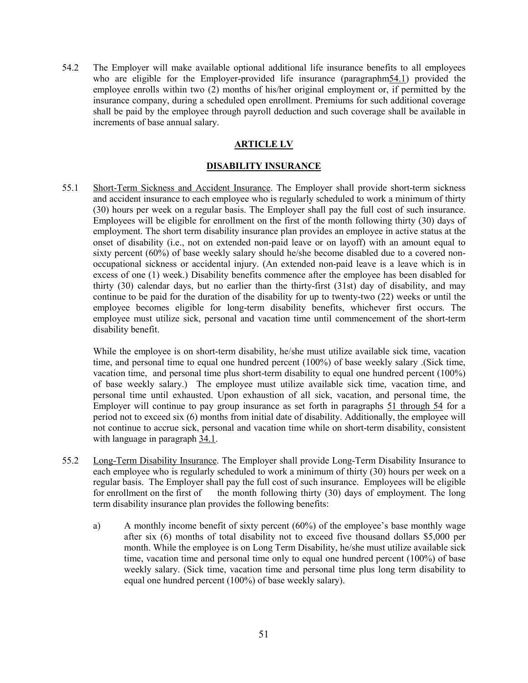54.2 The Employer will make available optional additional life insurance benefits to all employees who are eligible for the Employer-provided life insurance (paragraphm54.1) provided the employee enrolls within two (2) months of his/her original employment or, if permitted by the insurance company, during a scheduled open enrollment. Premiums for such additional coverage shall be paid by the employee through payroll deduction and such coverage shall be available in increments of base annual salary.

# **ARTICLE LV**

## **DISABILITY INSURANCE**

55.1 Short-Term Sickness and Accident Insurance. The Employer shall provide short-term sickness and accident insurance to each employee who is regularly scheduled to work a minimum of thirty (30) hours per week on a regular basis. The Employer shall pay the full cost of such insurance. Employees will be eligible for enrollment on the first of the month following thirty (30) days of employment. The short term disability insurance plan provides an employee in active status at the onset of disability (i.e., not on extended non-paid leave or on layoff) with an amount equal to sixty percent (60%) of base weekly salary should he/she become disabled due to a covered nonoccupational sickness or accidental injury. (An extended non-paid leave is a leave which is in excess of one (1) week.) Disability benefits commence after the employee has been disabled for thirty (30) calendar days, but no earlier than the thirty-first (31st) day of disability, and may continue to be paid for the duration of the disability for up to twenty-two (22) weeks or until the employee becomes eligible for long-term disability benefits, whichever first occurs. The employee must utilize sick, personal and vacation time until commencement of the short-term disability benefit.

While the employee is on short-term disability, he/she must utilize available sick time, vacation time, and personal time to equal one hundred percent (100%) of base weekly salary .(Sick time, vacation time, and personal time plus short-term disability to equal one hundred percent (100%) of base weekly salary.) The employee must utilize available sick time, vacation time, and personal time until exhausted. Upon exhaustion of all sick, vacation, and personal time, the Employer will continue to pay group insurance as set forth in paragraphs 51 through 54 for a period not to exceed six (6) months from initial date of disability. Additionally, the employee will not continue to accrue sick, personal and vacation time while on short-term disability, consistent with language in paragraph 34.1.

- 55.2 Long-Term Disability Insurance. The Employer shall provide Long-Term Disability Insurance to each employee who is regularly scheduled to work a minimum of thirty (30) hours per week on a regular basis. The Employer shall pay the full cost of such insurance. Employees will be eligible for enrollment on the first of the month following thirty  $(30)$  days of employment. The long term disability insurance plan provides the following benefits:
	- a) A monthly income benefit of sixty percent  $(60%)$  of the employee's base monthly wage after six (6) months of total disability not to exceed five thousand dollars \$5,000 per month. While the employee is on Long Term Disability, he/she must utilize available sick time, vacation time and personal time only to equal one hundred percent (100%) of base weekly salary. (Sick time, vacation time and personal time plus long term disability to equal one hundred percent (100%) of base weekly salary).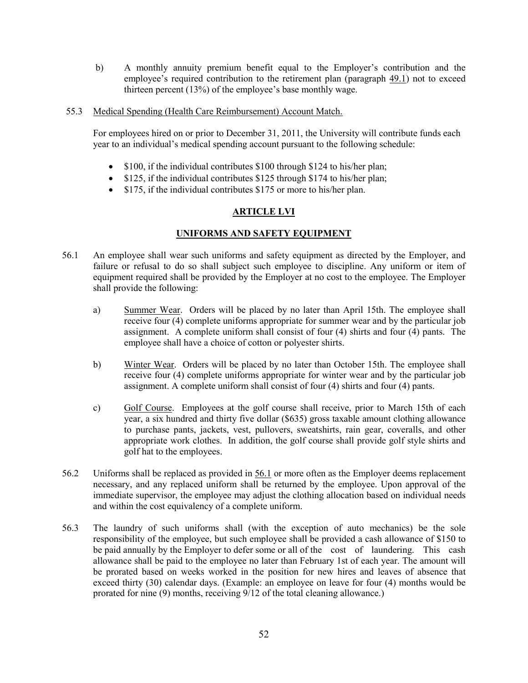- b) A monthly annuity premium benefit equal to the Employer's contribution and the employee's required contribution to the retirement plan (paragraph 49.1) not to exceed thirteen percent (13%) of the employee's base monthly wage.
- 55.3 Medical Spending (Health Care Reimbursement) Account Match.

For employees hired on or prior to December 31, 2011, the University will contribute funds each year to an individual's medical spending account pursuant to the following schedule:

- \$100, if the individual contributes \$100 through \$124 to his/her plan;
- \$125, if the individual contributes \$125 through \$174 to his/her plan;
- \$175, if the individual contributes \$175 or more to his/her plan.

# **ARTICLE LVI**

#### **UNIFORMS AND SAFETY EQUIPMENT**

- 56.1 An employee shall wear such uniforms and safety equipment as directed by the Employer, and failure or refusal to do so shall subject such employee to discipline. Any uniform or item of equipment required shall be provided by the Employer at no cost to the employee. The Employer shall provide the following:
	- a) Summer Wear. Orders will be placed by no later than April 15th. The employee shall receive four (4) complete uniforms appropriate for summer wear and by the particular job assignment. A complete uniform shall consist of four (4) shirts and four (4) pants. The employee shall have a choice of cotton or polyester shirts.
	- b) Winter Wear. Orders will be placed by no later than October 15th. The employee shall receive four (4) complete uniforms appropriate for winter wear and by the particular job assignment. A complete uniform shall consist of four (4) shirts and four (4) pants.
	- c) Golf Course. Employees at the golf course shall receive, prior to March 15th of each year, a six hundred and thirty five dollar (\$635) gross taxable amount clothing allowance to purchase pants, jackets, vest, pullovers, sweatshirts, rain gear, coveralls, and other appropriate work clothes. In addition, the golf course shall provide golf style shirts and golf hat to the employees.
- 56.2 Uniforms shall be replaced as provided in 56.1 or more often as the Employer deems replacement necessary, and any replaced uniform shall be returned by the employee. Upon approval of the immediate supervisor, the employee may adjust the clothing allocation based on individual needs and within the cost equivalency of a complete uniform.
- 56.3 The laundry of such uniforms shall (with the exception of auto mechanics) be the sole responsibility of the employee, but such employee shall be provided a cash allowance of \$150 to be paid annually by the Employer to defer some or all of the cost of laundering. This cash allowance shall be paid to the employee no later than February 1st of each year. The amount will be prorated based on weeks worked in the position for new hires and leaves of absence that exceed thirty (30) calendar days. (Example: an employee on leave for four (4) months would be prorated for nine (9) months, receiving  $9/12$  of the total cleaning allowance.)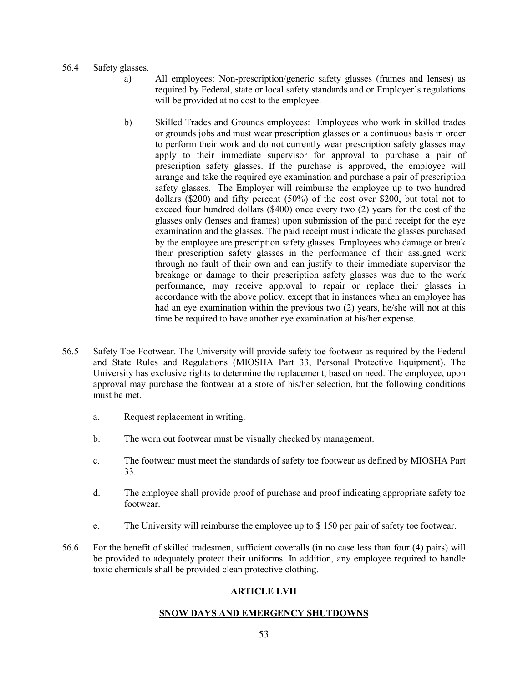#### 56.4 Safety glasses.

- a) All employees: Non-prescription/generic safety glasses (frames and lenses) as required by Federal, state or local safety standards and or Employer's regulations will be provided at no cost to the employee.
- b) Skilled Trades and Grounds employees: Employees who work in skilled trades or grounds jobs and must wear prescription glasses on a continuous basis in order to perform their work and do not currently wear prescription safety glasses may apply to their immediate supervisor for approval to purchase a pair of prescription safety glasses. If the purchase is approved, the employee will arrange and take the required eye examination and purchase a pair of prescription safety glasses. The Employer will reimburse the employee up to two hundred dollars (\$200) and fifty percent (50%) of the cost over \$200, but total not to exceed four hundred dollars (\$400) once every two (2) years for the cost of the glasses only (lenses and frames) upon submission of the paid receipt for the eye examination and the glasses. The paid receipt must indicate the glasses purchased by the employee are prescription safety glasses. Employees who damage or break their prescription safety glasses in the performance of their assigned work through no fault of their own and can justify to their immediate supervisor the breakage or damage to their prescription safety glasses was due to the work performance, may receive approval to repair or replace their glasses in accordance with the above policy, except that in instances when an employee has had an eye examination within the previous two (2) years, he/she will not at this time be required to have another eye examination at his/her expense.
- 56.5 Safety Toe Footwear. The University will provide safety toe footwear as required by the Federal and State Rules and Regulations (MIOSHA Part 33, Personal Protective Equipment). The University has exclusive rights to determine the replacement, based on need. The employee, upon approval may purchase the footwear at a store of his/her selection, but the following conditions must be met.
	- a. Request replacement in writing.
	- b. The worn out footwear must be visually checked by management.
	- c. The footwear must meet the standards of safety toe footwear as defined by MIOSHA Part 33.
	- d. The employee shall provide proof of purchase and proof indicating appropriate safety toe footwear.
	- e. The University will reimburse the employee up to \$ 150 per pair of safety toe footwear.
- 56.6 For the benefit of skilled tradesmen, sufficient coveralls (in no case less than four (4) pairs) will be provided to adequately protect their uniforms. In addition, any employee required to handle toxic chemicals shall be provided clean protective clothing.

#### **ARTICLE LVII**

#### **SNOW DAYS AND EMERGENCY SHUTDOWNS**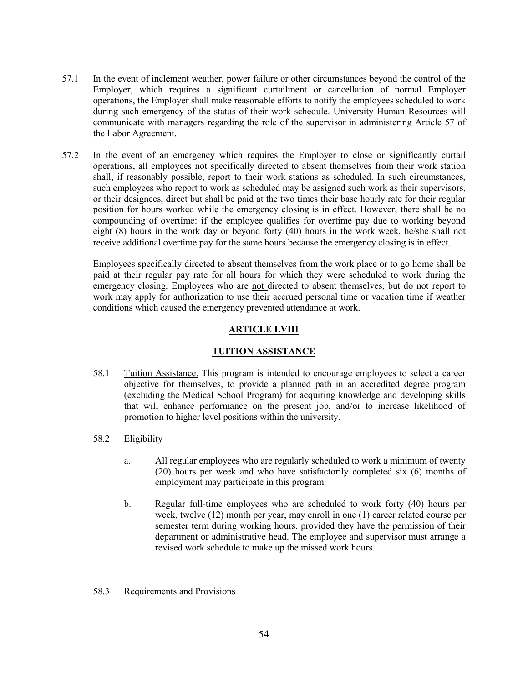- 57.1 In the event of inclement weather, power failure or other circumstances beyond the control of the Employer, which requires a significant curtailment or cancellation of normal Employer operations, the Employer shall make reasonable efforts to notify the employees scheduled to work during such emergency of the status of their work schedule. University Human Resources will communicate with managers regarding the role of the supervisor in administering Article 57 of the Labor Agreement.
- 57.2 In the event of an emergency which requires the Employer to close or significantly curtail operations, all employees not specifically directed to absent themselves from their work station shall, if reasonably possible, report to their work stations as scheduled. In such circumstances, such employees who report to work as scheduled may be assigned such work as their supervisors, or their designees, direct but shall be paid at the two times their base hourly rate for their regular position for hours worked while the emergency closing is in effect. However, there shall be no compounding of overtime: if the employee qualifies for overtime pay due to working beyond eight (8) hours in the work day or beyond forty (40) hours in the work week, he/she shall not receive additional overtime pay for the same hours because the emergency closing is in effect.

Employees specifically directed to absent themselves from the work place or to go home shall be paid at their regular pay rate for all hours for which they were scheduled to work during the emergency closing. Employees who are not directed to absent themselves, but do not report to work may apply for authorization to use their accrued personal time or vacation time if weather conditions which caused the emergency prevented attendance at work.

# **ARTICLE LVIII**

# **TUITION ASSISTANCE**

- 58.1 Tuition Assistance. This program is intended to encourage employees to select a career objective for themselves, to provide a planned path in an accredited degree program (excluding the Medical School Program) for acquiring knowledge and developing skills that will enhance performance on the present job, and/or to increase likelihood of promotion to higher level positions within the university.
- 58.2 Eligibility
	- a. All regular employees who are regularly scheduled to work a minimum of twenty (20) hours per week and who have satisfactorily completed six (6) months of employment may participate in this program.
	- b. Regular full-time employees who are scheduled to work forty (40) hours per week, twelve (12) month per year, may enroll in one (1) career related course per semester term during working hours, provided they have the permission of their department or administrative head. The employee and supervisor must arrange a revised work schedule to make up the missed work hours.

#### 58.3 Requirements and Provisions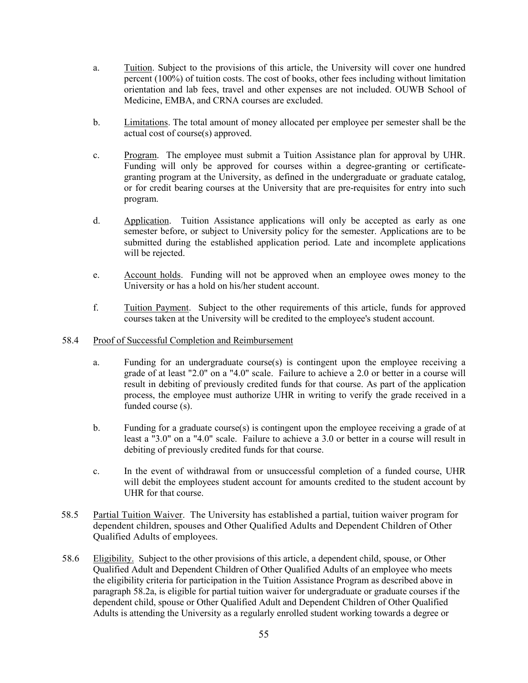- a. Tuition. Subject to the provisions of this article, the University will cover one hundred percent (100%) of tuition costs. The cost of books, other fees including without limitation orientation and lab fees, travel and other expenses are not included. OUWB School of Medicine, EMBA, and CRNA courses are excluded.
- b. Limitations. The total amount of money allocated per employee per semester shall be the actual cost of course(s) approved.
- c. Program. The employee must submit a Tuition Assistance plan for approval by UHR. Funding will only be approved for courses within a degree-granting or certificategranting program at the University, as defined in the undergraduate or graduate catalog, or for credit bearing courses at the University that are pre-requisites for entry into such program.
- d. Application. Tuition Assistance applications will only be accepted as early as one semester before, or subject to University policy for the semester. Applications are to be submitted during the established application period. Late and incomplete applications will be rejected.
- e. Account holds. Funding will not be approved when an employee owes money to the University or has a hold on his/her student account.
- f. Tuition Payment. Subject to the other requirements of this article, funds for approved courses taken at the University will be credited to the employee's student account.

#### 58.4 Proof of Successful Completion and Reimbursement

- a. Funding for an undergraduate course $(s)$  is contingent upon the employee receiving a grade of at least "2.0" on a "4.0" scale. Failure to achieve a 2.0 or better in a course will result in debiting of previously credited funds for that course. As part of the application process, the employee must authorize UHR in writing to verify the grade received in a funded course (s).
- b. Funding for a graduate course(s) is contingent upon the employee receiving a grade of at least a "3.0" on a "4.0" scale. Failure to achieve a 3.0 or better in a course will result in debiting of previously credited funds for that course.
- c. In the event of withdrawal from or unsuccessful completion of a funded course, UHR will debit the employees student account for amounts credited to the student account by UHR for that course.
- 58.5 Partial Tuition Waiver. The University has established a partial, tuition waiver program for dependent children, spouses and Other Qualified Adults and Dependent Children of Other Qualified Adults of employees.
- 58.6 Eligibility. Subject to the other provisions of this article, a dependent child, spouse, or Other Qualified Adult and Dependent Children of Other Qualified Adults of an employee who meets the eligibility criteria for participation in the Tuition Assistance Program as described above in paragraph 58.2a, is eligible for partial tuition waiver for undergraduate or graduate courses if the dependent child, spouse or Other Qualified Adult and Dependent Children of Other Qualified Adults is attending the University as a regularly enrolled student working towards a degree or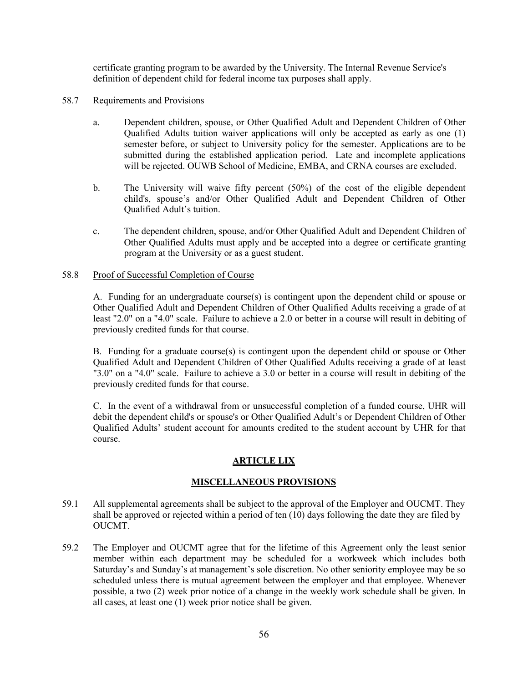certificate granting program to be awarded by the University. The Internal Revenue Service's definition of dependent child for federal income tax purposes shall apply.

- 58.7 Requirements and Provisions
	- a. Dependent children, spouse, or Other Qualified Adult and Dependent Children of Other Qualified Adults tuition waiver applications will only be accepted as early as one (1) semester before, or subject to University policy for the semester. Applications are to be submitted during the established application period. Late and incomplete applications will be rejected. OUWB School of Medicine, EMBA, and CRNA courses are excluded.
	- b. The University will waive fifty percent (50%) of the cost of the eligible dependent child's, spouse's and/or Other Qualified Adult and Dependent Children of Other Qualified Adult's tuition.
	- c. The dependent children, spouse, and/or Other Qualified Adult and Dependent Children of Other Qualified Adults must apply and be accepted into a degree or certificate granting program at the University or as a guest student.

#### 58.8 Proof of Successful Completion of Course

A. Funding for an undergraduate course(s) is contingent upon the dependent child or spouse or Other Qualified Adult and Dependent Children of Other Qualified Adults receiving a grade of at least "2.0" on a "4.0" scale. Failure to achieve a 2.0 or better in a course will result in debiting of previously credited funds for that course.

B. Funding for a graduate course(s) is contingent upon the dependent child or spouse or Other Qualified Adult and Dependent Children of Other Qualified Adults receiving a grade of at least "3.0" on a "4.0" scale. Failure to achieve a 3.0 or better in a course will result in debiting of the previously credited funds for that course.

C. In the event of a withdrawal from or unsuccessful completion of a funded course, UHR will debit the dependent child's or spouse's or Other Qualified Adult's or Dependent Children of Other Qualified Adults' student account for amounts credited to the student account by UHR for that course.

# **ARTICLE LIX**

# **MISCELLANEOUS PROVISIONS**

- 59.1 All supplemental agreements shall be subject to the approval of the Employer and OUCMT. They shall be approved or rejected within a period of ten (10) days following the date they are filed by OUCMT.
- 59.2 The Employer and OUCMT agree that for the lifetime of this Agreement only the least senior member within each department may be scheduled for a workweek which includes both Saturday's and Sunday's at management's sole discretion. No other seniority employee may be so scheduled unless there is mutual agreement between the employer and that employee. Whenever possible, a two (2) week prior notice of a change in the weekly work schedule shall be given. In all cases, at least one (1) week prior notice shall be given.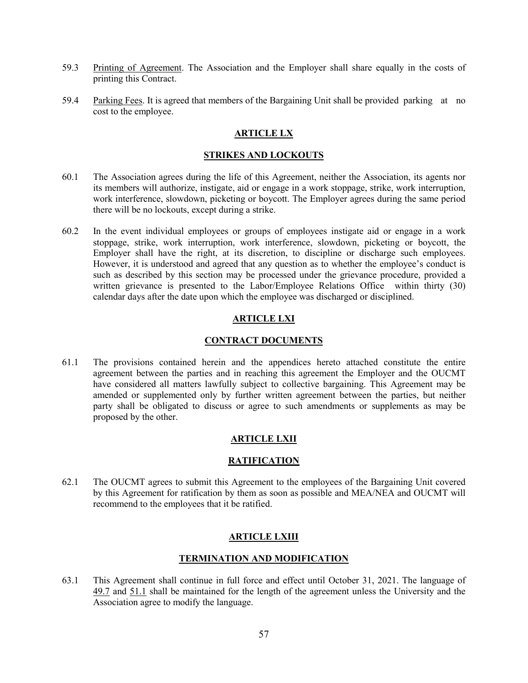- 59.3 Printing of Agreement. The Association and the Employer shall share equally in the costs of printing this Contract.
- 59.4 Parking Fees. It is agreed that members of the Bargaining Unit shall be provided parking at no cost to the employee.

## **ARTICLE LX**

#### **STRIKES AND LOCKOUTS**

- 60.1 The Association agrees during the life of this Agreement, neither the Association, its agents nor its members will authorize, instigate, aid or engage in a work stoppage, strike, work interruption, work interference, slowdown, picketing or boycott. The Employer agrees during the same period there will be no lockouts, except during a strike.
- 60.2 In the event individual employees or groups of employees instigate aid or engage in a work stoppage, strike, work interruption, work interference, slowdown, picketing or boycott, the Employer shall have the right, at its discretion, to discipline or discharge such employees. However, it is understood and agreed that any question as to whether the employee's conduct is such as described by this section may be processed under the grievance procedure, provided a written grievance is presented to the Labor/Employee Relations Office within thirty (30) calendar days after the date upon which the employee was discharged or disciplined.

## **ARTICLE LXI**

#### **CONTRACT DOCUMENTS**

61.1 The provisions contained herein and the appendices hereto attached constitute the entire agreement between the parties and in reaching this agreement the Employer and the OUCMT have considered all matters lawfully subject to collective bargaining. This Agreement may be amended or supplemented only by further written agreement between the parties, but neither party shall be obligated to discuss or agree to such amendments or supplements as may be proposed by the other.

#### **ARTICLE LXII**

#### **RATIFICATION**

62.1 The OUCMT agrees to submit this Agreement to the employees of the Bargaining Unit covered by this Agreement for ratification by them as soon as possible and MEA/NEA and OUCMT will recommend to the employees that it be ratified.

#### **ARTICLE LXIII**

#### **TERMINATION AND MODIFICATION**

63.1 This Agreement shall continue in full force and effect until October 31, 2021. The language of 49.7 and 51.1 shall be maintained for the length of the agreement unless the University and the Association agree to modify the language.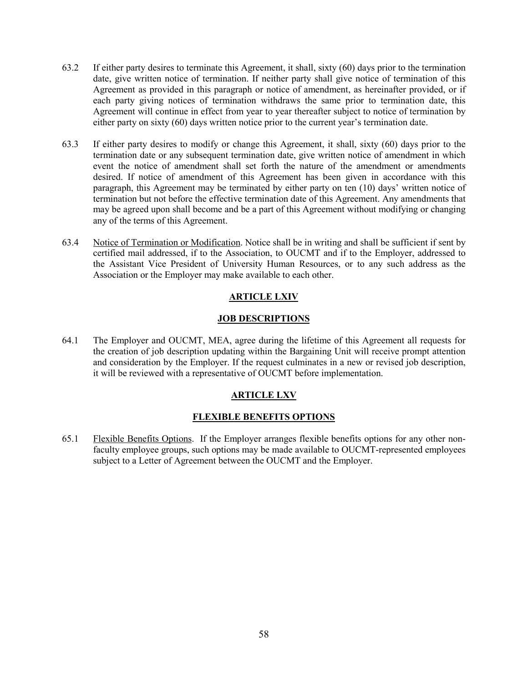- 63.2 If either party desires to terminate this Agreement, it shall, sixty (60) days prior to the termination date, give written notice of termination. If neither party shall give notice of termination of this Agreement as provided in this paragraph or notice of amendment, as hereinafter provided, or if each party giving notices of termination withdraws the same prior to termination date, this Agreement will continue in effect from year to year thereafter subject to notice of termination by either party on sixty (60) days written notice prior to the current year's termination date.
- 63.3 If either party desires to modify or change this Agreement, it shall, sixty (60) days prior to the termination date or any subsequent termination date, give written notice of amendment in which event the notice of amendment shall set forth the nature of the amendment or amendments desired. If notice of amendment of this Agreement has been given in accordance with this paragraph, this Agreement may be terminated by either party on ten (10) days' written notice of termination but not before the effective termination date of this Agreement. Any amendments that may be agreed upon shall become and be a part of this Agreement without modifying or changing any of the terms of this Agreement.
- 63.4 Notice of Termination or Modification. Notice shall be in writing and shall be sufficient if sent by certified mail addressed, if to the Association, to OUCMT and if to the Employer, addressed to the Assistant Vice President of University Human Resources, or to any such address as the Association or the Employer may make available to each other.

# **ARTICLE LXIV**

#### **JOB DESCRIPTIONS**

64.1 The Employer and OUCMT, MEA, agree during the lifetime of this Agreement all requests for the creation of job description updating within the Bargaining Unit will receive prompt attention and consideration by the Employer. If the request culminates in a new or revised job description, it will be reviewed with a representative of OUCMT before implementation.

# **ARTICLE LXV**

#### **FLEXIBLE BENEFITS OPTIONS**

65.1 Flexible Benefits Options. If the Employer arranges flexible benefits options for any other nonfaculty employee groups, such options may be made available to OUCMT-represented employees subject to a Letter of Agreement between the OUCMT and the Employer.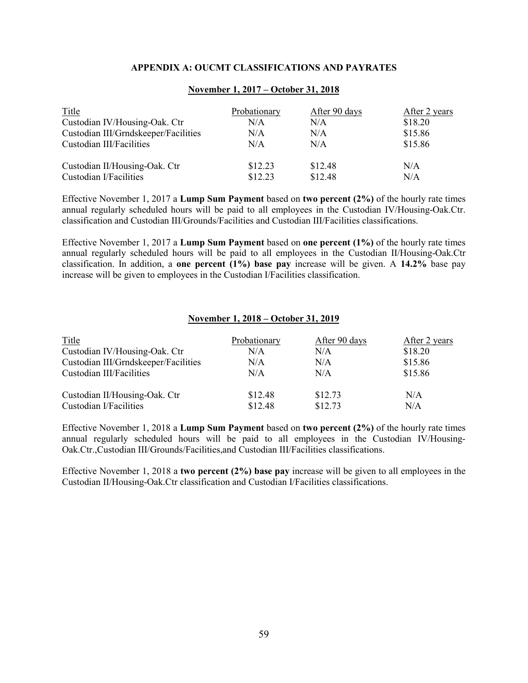#### **APPENDIX A: OUCMT CLASSIFICATIONS AND PAYRATES**

| <b>Title</b>                         | Probationary | After 90 days | After 2 years |
|--------------------------------------|--------------|---------------|---------------|
| Custodian IV/Housing-Oak. Ctr        | N/A          | N/A           | \$18.20       |
| Custodian III/Grndskeeper/Facilities | N/A          | N/A           | \$15.86       |
| Custodian III/Facilities             | N/A          | N/A           | \$15.86       |
| Custodian II/Housing-Oak. Ctr        | \$12.23      | \$12.48       | N/A           |
| Custodian I/Facilities               | \$12.23      | \$12.48       | N/A           |

#### **November 1, 2017 – October 31, 2018**

Effective November 1, 2017 a **Lump Sum Payment** based on **two percent (2%)** of the hourly rate times annual regularly scheduled hours will be paid to all employees in the Custodian IV/Housing-Oak.Ctr. classification and Custodian III/Grounds/Facilities and Custodian III/Facilities classifications.

Effective November 1, 2017 a **Lump Sum Payment** based on **one percent (1%)** of the hourly rate times annual regularly scheduled hours will be paid to all employees in the Custodian II/Housing-Oak.Ctr classification. In addition, a **one percent (1%) base pay** increase will be given. A **14.2%** base pay increase will be given to employees in the Custodian I/Facilities classification.

#### **November 1, 2018 – October 31, 2019**

| Probationary | After 90 days | After 2 years |
|--------------|---------------|---------------|
| N/A          | N/A           | \$18.20       |
| N/A          | N/A           | \$15.86       |
| N/A          | N/A           | \$15.86       |
| \$12.48      | \$12.73       | N/A<br>N/A    |
|              | \$12.48       | \$12.73       |

Effective November 1, 2018 a **Lump Sum Payment** based on **two percent (2%)** of the hourly rate times annual regularly scheduled hours will be paid to all employees in the Custodian IV/Housing-Oak.Ctr.,Custodian III/Grounds/Facilities,and Custodian III/Facilities classifications.

Effective November 1, 2018 a **two percent (2%) base pay** increase will be given to all employees in the Custodian II/Housing-Oak.Ctr classification and Custodian I/Facilities classifications.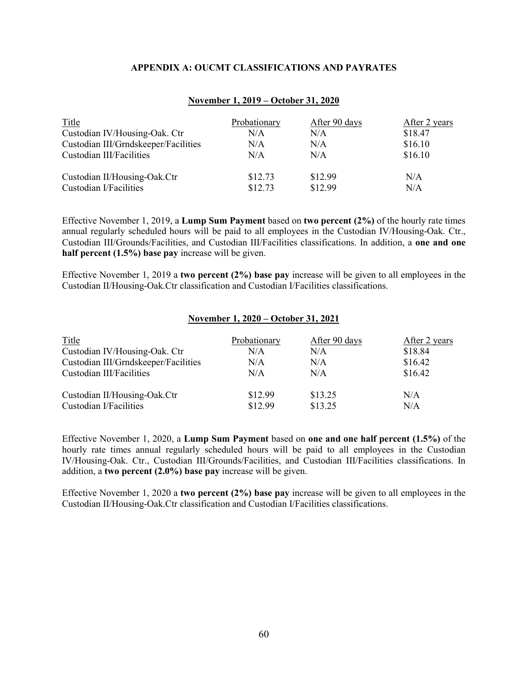#### **APPENDIX A: OUCMT CLASSIFICATIONS AND PAYRATES**

| <b>Title</b>                         | Probationary | After 90 days | After 2 years |
|--------------------------------------|--------------|---------------|---------------|
| Custodian IV/Housing-Oak. Ctr        | N/A          | N/A           | \$18.47       |
| Custodian III/Grndskeeper/Facilities | N/A          | N/A           | \$16.10       |
| Custodian III/Facilities             | N/A          | N/A           | \$16.10       |
| Custodian II/Housing-Oak.Ctr         | \$12.73      | \$12.99       | N/A           |
| Custodian I/Facilities               | \$12.73      | \$12.99       | N/A           |

#### **November 1, 2019 – October 31, 2020**

Effective November 1, 2019, a **Lump Sum Payment** based on **two percent (2%)** of the hourly rate times annual regularly scheduled hours will be paid to all employees in the Custodian IV/Housing-Oak. Ctr., Custodian III/Grounds/Facilities, and Custodian III/Facilities classifications. In addition, a **one and one half percent (1.5%) base pay** increase will be given.

Effective November 1, 2019 a **two percent (2%) base pay** increase will be given to all employees in the Custodian II/Housing-Oak.Ctr classification and Custodian I/Facilities classifications.

**November 1, 2020 – October 31, 2021**

| 1307CHIDCL 14 2020 - OCLODEL 914 2021 |               |               |  |
|---------------------------------------|---------------|---------------|--|
| Probationary                          | After 90 days | After 2 years |  |
| N/A                                   | N/A           | \$18.84       |  |
| N/A                                   | N/A           | \$16.42       |  |
| N/A                                   | N/A           | \$16.42       |  |
| \$12.99                               | \$13.25       | N/A           |  |
| \$12.99                               | \$13.25       | N/A           |  |
|                                       |               |               |  |

Effective November 1, 2020, a **Lump Sum Payment** based on **one and one half percent (1.5%)** of the hourly rate times annual regularly scheduled hours will be paid to all employees in the Custodian IV/Housing-Oak. Ctr., Custodian III/Grounds/Facilities, and Custodian III/Facilities classifications. In addition, a **two percent (2.0%) base pay** increase will be given.

Effective November 1, 2020 a **two percent (2%) base pay** increase will be given to all employees in the Custodian II/Housing-Oak.Ctr classification and Custodian I/Facilities classifications.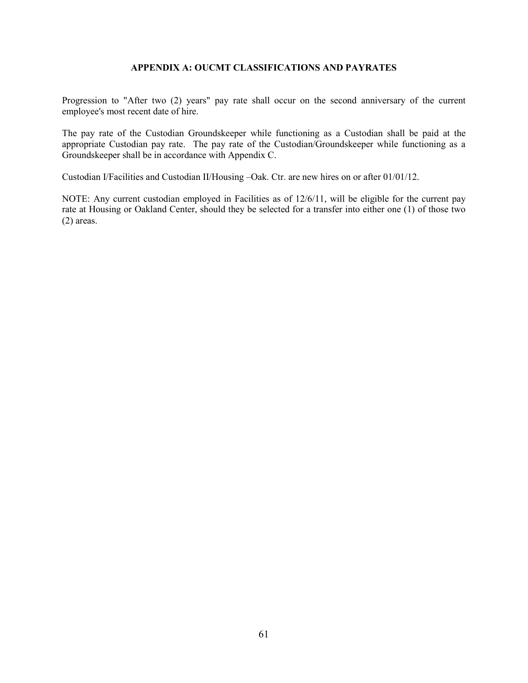## **APPENDIX A: OUCMT CLASSIFICATIONS AND PAYRATES**

Progression to "After two (2) years" pay rate shall occur on the second anniversary of the current employee's most recent date of hire.

The pay rate of the Custodian Groundskeeper while functioning as a Custodian shall be paid at the appropriate Custodian pay rate. The pay rate of the Custodian/Groundskeeper while functioning as a Groundskeeper shall be in accordance with Appendix C.

Custodian I/Facilities and Custodian II/Housing –Oak. Ctr. are new hires on or after 01/01/12.

NOTE: Any current custodian employed in Facilities as of 12/6/11, will be eligible for the current pay rate at Housing or Oakland Center, should they be selected for a transfer into either one (1) of those two (2) areas.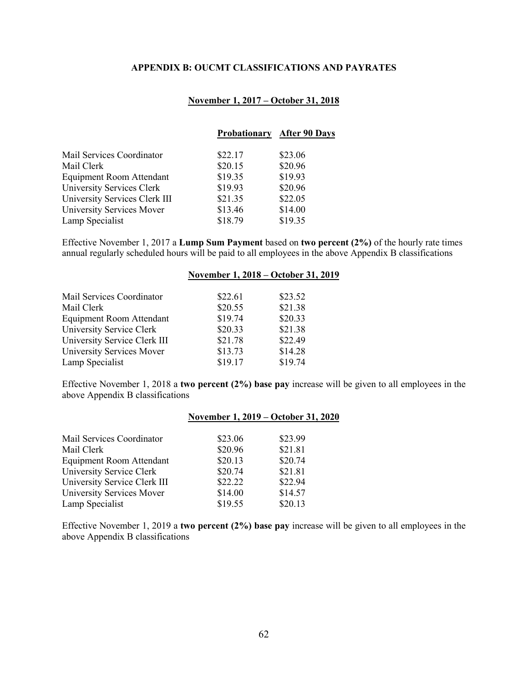## **APPENDIX B: OUCMT CLASSIFICATIONS AND PAYRATES**

# **November 1, 2017 – October 31, 2018**

|                               |         | <b>Probationary After 90 Days</b> |
|-------------------------------|---------|-----------------------------------|
| Mail Services Coordinator     | \$22.17 | \$23.06                           |
| Mail Clerk                    | \$20.15 | \$20.96                           |
| Equipment Room Attendant      | \$19.35 | \$19.93                           |
| University Services Clerk     | \$19.93 | \$20.96                           |
| University Services Clerk III | \$21.35 | \$22.05                           |
| University Services Mover     | \$13.46 | \$14.00                           |
| Lamp Specialist               | \$18.79 | \$19.35                           |
|                               |         |                                   |

Effective November 1, 2017 a **Lump Sum Payment** based on **two percent (2%)** of the hourly rate times annual regularly scheduled hours will be paid to all employees in the above Appendix B classifications

|                              |         | November 1, 2018 – October 31, 2019 |
|------------------------------|---------|-------------------------------------|
|                              |         |                                     |
| Mail Services Coordinator    | \$22.61 | \$23.52                             |
| Mail Clerk                   | \$20.55 | \$21.38                             |
| Equipment Room Attendant     | \$19.74 | \$20.33                             |
| University Service Clerk     | \$20.33 | \$21.38                             |
| University Service Clerk III | \$21.78 | \$22.49                             |
| University Services Mover    | \$13.73 | \$14.28                             |
| Lamp Specialist              | \$19.17 | \$19.74                             |

Effective November 1, 2018 a **two percent (2%) base pay** increase will be given to all employees in the above Appendix B classifications

|                              |         | November 1, 2019 – October 31, 2020 |
|------------------------------|---------|-------------------------------------|
|                              |         |                                     |
| Mail Services Coordinator    | \$23.06 | \$23.99                             |
| Mail Clerk                   | \$20.96 | \$21.81                             |
| Equipment Room Attendant     | \$20.13 | \$20.74                             |
| University Service Clerk     | \$20.74 | \$21.81                             |
| University Service Clerk III | \$22.22 | \$22.94                             |
| University Services Mover    | \$14.00 | \$14.57                             |
| Lamp Specialist              | \$19.55 | \$20.13                             |

Effective November 1, 2019 a **two percent (2%) base pay** increase will be given to all employees in the above Appendix B classifications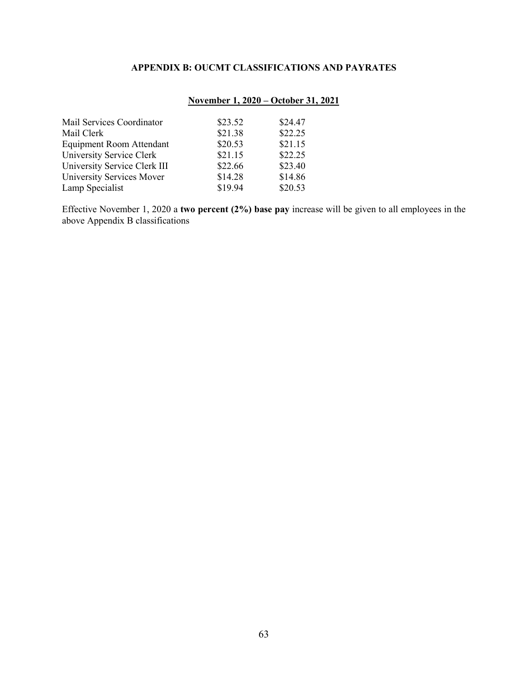# **APPENDIX B: OUCMT CLASSIFICATIONS AND PAYRATES**

# **November 1, 2020 – October 31, 2021**

| Mail Services Coordinator       | \$23.52 | \$24.47 |
|---------------------------------|---------|---------|
| Mail Clerk                      | \$21.38 | \$22.25 |
| <b>Equipment Room Attendant</b> | \$20.53 | \$21.15 |
| University Service Clerk        | \$21.15 | \$22.25 |
| University Service Clerk III    | \$22.66 | \$23.40 |
| University Services Mover       | \$14.28 | \$14.86 |
| Lamp Specialist                 | \$19.94 | \$20.53 |

Effective November 1, 2020 a **two percent (2%) base pay** increase will be given to all employees in the above Appendix B classifications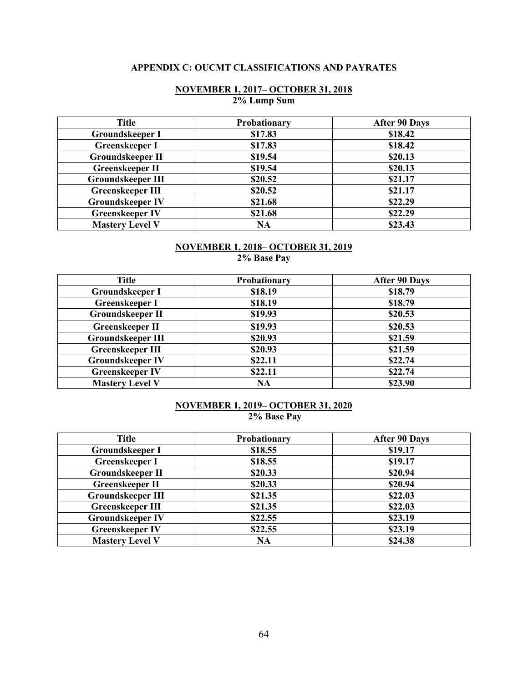# **APPENDIX C: OUCMT CLASSIFICATIONS AND PAYRATES**

## **NOVEMBER 1, 2017– OCTOBER 31, 2018 2% Lump Sum**

| <b>Title</b>             | Probationary | <b>After 90 Days</b> |
|--------------------------|--------------|----------------------|
| Groundskeeper I          | \$17.83      | \$18.42              |
| <b>Greenskeeper I</b>    | \$17.83      | \$18.42              |
| <b>Groundskeeper II</b>  | \$19.54      | \$20.13              |
| <b>Greenskeeper II</b>   | \$19.54      | \$20.13              |
| <b>Groundskeeper III</b> | \$20.52      | \$21.17              |
| <b>Greenskeeper III</b>  | \$20.52      | \$21.17              |
| <b>Groundskeeper IV</b>  | \$21.68      | \$22.29              |
| <b>Greenskeeper IV</b>   | \$21.68      | \$22.29              |
| <b>Mastery Level V</b>   | <b>NA</b>    | \$23.43              |

## **NOVEMBER 1, 2018– OCTOBER 31, 2019 2% Base Pay**

| <b>Title</b>             | Probationary | <b>After 90 Days</b> |
|--------------------------|--------------|----------------------|
| <b>Groundskeeper I</b>   | \$18.19      | \$18.79              |
| <b>Greenskeeper I</b>    | \$18.19      | \$18.79              |
| <b>Groundskeeper II</b>  | \$19.93      | \$20.53              |
| <b>Greenskeeper II</b>   | \$19.93      | \$20.53              |
| <b>Groundskeeper III</b> | \$20.93      | \$21.59              |
| <b>Greenskeeper III</b>  | \$20.93      | \$21.59              |
| <b>Groundskeeper IV</b>  | \$22.11      | \$22.74              |
| <b>Greenskeeper IV</b>   | \$22.11      | \$22.74              |
| <b>Mastery Level V</b>   | <b>NA</b>    | \$23.90              |

# **NOVEMBER 1, 2019– OCTOBER 31, 2020 2% Base Pay**

| <b>Title</b>             | Probationary | <b>After 90 Days</b> |
|--------------------------|--------------|----------------------|
| Groundskeeper I          | \$18.55      | \$19.17              |
| <b>Greenskeeper I</b>    | \$18.55      | \$19.17              |
| <b>Groundskeeper II</b>  | \$20.33      | \$20.94              |
| <b>Greenskeeper II</b>   | \$20.33      | \$20.94              |
| <b>Groundskeeper III</b> | \$21.35      | \$22.03              |
| <b>Greenskeeper III</b>  | \$21.35      | \$22.03              |
| <b>Groundskeeper IV</b>  | \$22.55      | \$23.19              |
| <b>Greenskeeper IV</b>   | \$22.55      | \$23.19              |
| <b>Mastery Level V</b>   | NA           | \$24.38              |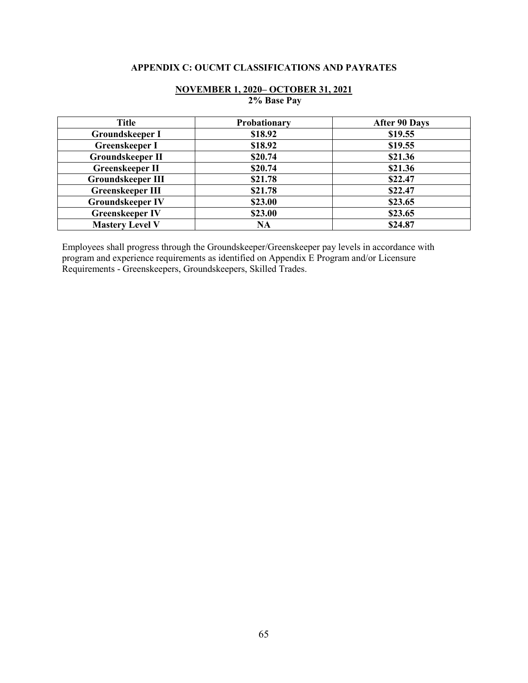# **APPENDIX C: OUCMT CLASSIFICATIONS AND PAYRATES**

| <b>Title</b>             | Probationary | <b>After 90 Days</b> |
|--------------------------|--------------|----------------------|
| <b>Groundskeeper I</b>   | \$18.92      | \$19.55              |
| Greenskeeper I           | \$18.92      | \$19.55              |
| <b>Groundskeeper II</b>  | \$20.74      | \$21.36              |
| <b>Greenskeeper II</b>   | \$20.74      | \$21.36              |
| <b>Groundskeeper III</b> | \$21.78      | \$22.47              |
| <b>Greenskeeper III</b>  | \$21.78      | \$22.47              |
| <b>Groundskeeper IV</b>  | \$23.00      | \$23.65              |
| <b>Greenskeeper IV</b>   | \$23.00      | \$23.65              |
| <b>Mastery Level V</b>   | <b>NA</b>    | \$24.87              |

## **NOVEMBER 1, 2020– OCTOBER 31, 2021 2% Base Pay**

Employees shall progress through the Groundskeeper/Greenskeeper pay levels in accordance with program and experience requirements as identified on Appendix E Program and/or Licensure Requirements - Greenskeepers, Groundskeepers, Skilled Trades.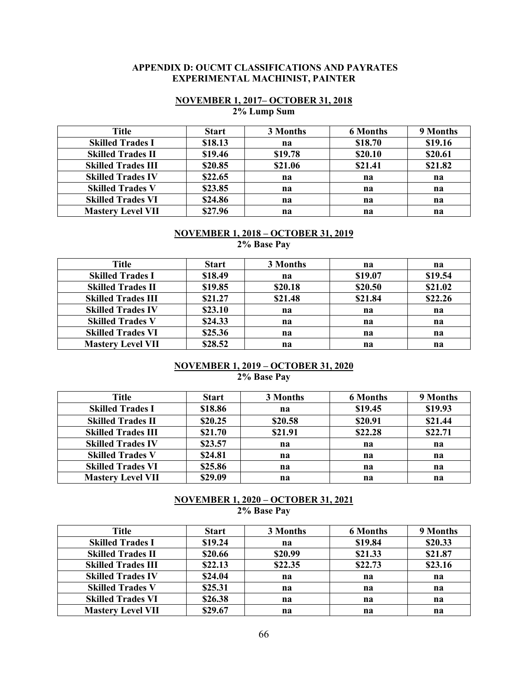#### **APPENDIX D: OUCMT CLASSIFICATIONS AND PAYRATES EXPERIMENTAL MACHINIST, PAINTER**

# **NOVEMBER 1, 2017– OCTOBER 31, 2018 2% Lump Sum**

| <b>Title</b>              | <b>Start</b> | 3 Months | <b>6 Months</b> | 9 Months |
|---------------------------|--------------|----------|-----------------|----------|
| <b>Skilled Trades I</b>   | \$18.13      | na       | \$18.70         | \$19.16  |
| <b>Skilled Trades II</b>  | \$19.46      | \$19.78  | \$20.10         | \$20.61  |
| <b>Skilled Trades III</b> | \$20.85      | \$21.06  | \$21.41         | \$21.82  |
| <b>Skilled Trades IV</b>  | \$22.65      | na       | na              | na       |
| <b>Skilled Trades V</b>   | \$23.85      | na       | na              | na       |
| <b>Skilled Trades VI</b>  | \$24.86      | na       | na              | na       |
| <b>Mastery Level VII</b>  | \$27.96      | na       | na              | na       |

#### **NOVEMBER 1, 2018 – OCTOBER 31, 2019 2% Base Pay**

| Title                     | <b>Start</b> | 3 Months | na      | na      |
|---------------------------|--------------|----------|---------|---------|
| <b>Skilled Trades I</b>   | \$18.49      | na       | \$19.07 | \$19.54 |
| <b>Skilled Trades II</b>  | \$19.85      | \$20.18  | \$20.50 | \$21.02 |
| <b>Skilled Trades III</b> | \$21.27      | \$21.48  | \$21.84 | \$22.26 |
| <b>Skilled Trades IV</b>  | \$23.10      | na       | na      | na      |
| <b>Skilled Trades V</b>   | \$24.33      | na       | na      | na      |
| <b>Skilled Trades VI</b>  | \$25.36      | na       | na      | na      |
| <b>Mastery Level VII</b>  | \$28.52      | na       | na      | na      |

## **NOVEMBER 1, 2019 – OCTOBER 31, 2020 2% Base Pay**

| Title                     | <b>Start</b> | 3 Months | <b>6 Months</b> | 9 Months |
|---------------------------|--------------|----------|-----------------|----------|
| <b>Skilled Trades I</b>   | \$18.86      | na       | \$19.45         | \$19.93  |
| <b>Skilled Trades II</b>  | \$20.25      | \$20.58  | \$20.91         | \$21.44  |
| <b>Skilled Trades III</b> | \$21.70      | \$21.91  | \$22.28         | \$22.71  |
| <b>Skilled Trades IV</b>  | \$23.57      | na       | na              | na       |
| <b>Skilled Trades V</b>   | \$24.81      | na       | na              | na       |
| <b>Skilled Trades VI</b>  | \$25.86      | na       | na              | na       |
| <b>Mastery Level VII</b>  | \$29.09      | na       | na              | na       |

## **NOVEMBER 1, 2020 – OCTOBER 31, 2021 2% Base Pay**

| Title                     | <b>Start</b> | 3 Months | <b>6 Months</b> | 9 Months |
|---------------------------|--------------|----------|-----------------|----------|
| <b>Skilled Trades I</b>   | \$19.24      | na       | \$19.84         | \$20.33  |
| <b>Skilled Trades II</b>  | \$20.66      | \$20.99  | \$21.33         | \$21.87  |
| <b>Skilled Trades III</b> | \$22.13      | \$22.35  | \$22.73         | \$23.16  |
| <b>Skilled Trades IV</b>  | \$24.04      | na       | na              | na       |
| <b>Skilled Trades V</b>   | \$25.31      | na       | na              | na       |
| <b>Skilled Trades VI</b>  | \$26.38      | na       | na              | na       |
| <b>Mastery Level VII</b>  | \$29.67      | na       | na              | na       |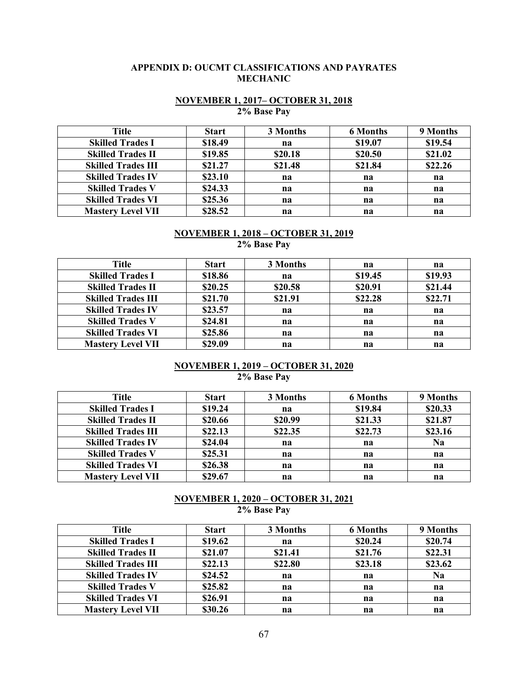## **APPENDIX D: OUCMT CLASSIFICATIONS AND PAYRATES MECHANIC**

#### **NOVEMBER 1, 2017– OCTOBER 31, 2018 2% Base Pay**

| Title                     | <b>Start</b> | 3 Months | <b>6 Months</b> | 9 Months |
|---------------------------|--------------|----------|-----------------|----------|
| <b>Skilled Trades I</b>   | \$18.49      | na       | \$19.07         | \$19.54  |
| <b>Skilled Trades II</b>  | \$19.85      | \$20.18  | \$20.50         | \$21.02  |
| <b>Skilled Trades III</b> | \$21.27      | \$21.48  | \$21.84         | \$22.26  |
| <b>Skilled Trades IV</b>  | \$23.10      | na       | na              | na       |
| <b>Skilled Trades V</b>   | \$24.33      | na       | na              | na       |
| <b>Skilled Trades VI</b>  | \$25.36      | na       | na              | na       |
| <b>Mastery Level VII</b>  | \$28.52      | na       | na              | na       |

#### **NOVEMBER 1, 2018 – OCTOBER 31, 2019 2% Base Pay**

| Title                     | <b>Start</b> | 3 Months | na      | na      |
|---------------------------|--------------|----------|---------|---------|
| <b>Skilled Trades I</b>   | \$18.86      | na       | \$19.45 | \$19.93 |
| <b>Skilled Trades II</b>  | \$20.25      | \$20.58  | \$20.91 | \$21.44 |
| <b>Skilled Trades III</b> | \$21.70      | \$21.91  | \$22.28 | \$22.71 |
| <b>Skilled Trades IV</b>  | \$23.57      | na       | na      | na      |
| <b>Skilled Trades V</b>   | \$24.81      | na       | na      | na      |
| <b>Skilled Trades VI</b>  | \$25.86      | na       | na      | na      |
| <b>Mastery Level VII</b>  | \$29.09      | na       | na      | na      |

## **NOVEMBER 1, 2019 – OCTOBER 31, 2020 2% Base Pay**

| Title                     | <b>Start</b> | 3 Months | <b>6 Months</b> | 9 Months  |
|---------------------------|--------------|----------|-----------------|-----------|
| <b>Skilled Trades I</b>   | \$19.24      | na       | \$19.84         | \$20.33   |
| <b>Skilled Trades II</b>  | \$20.66      | \$20.99  | \$21.33         | \$21.87   |
| <b>Skilled Trades III</b> | \$22.13      | \$22.35  | \$22.73         | \$23.16   |
| <b>Skilled Trades IV</b>  | \$24.04      | na       | na              | <b>Na</b> |
| <b>Skilled Trades V</b>   | \$25.31      | na       | na              | na        |
| <b>Skilled Trades VI</b>  | \$26.38      | na       | na              | na        |
| <b>Mastery Level VII</b>  | \$29.67      | na       | na              | na        |

## **NOVEMBER 1, 2020 – OCTOBER 31, 2021 2% Base Pay**

| Title                     | <b>Start</b> | 3 Months | <b>6 Months</b> | 9 Months  |
|---------------------------|--------------|----------|-----------------|-----------|
| <b>Skilled Trades I</b>   | \$19.62      | na       | \$20.24         | \$20.74   |
| <b>Skilled Trades II</b>  | \$21.07      | \$21.41  | \$21.76         | \$22.31   |
| <b>Skilled Trades III</b> | \$22.13      | \$22.80  | \$23.18         | \$23.62   |
| <b>Skilled Trades IV</b>  | \$24.52      | na       | na              | <b>Na</b> |
| <b>Skilled Trades V</b>   | \$25.82      | na       | na              | na        |
| <b>Skilled Trades VI</b>  | \$26.91      | na       | na              | na        |
| <b>Mastery Level VII</b>  | \$30.26      | na       | na              | na        |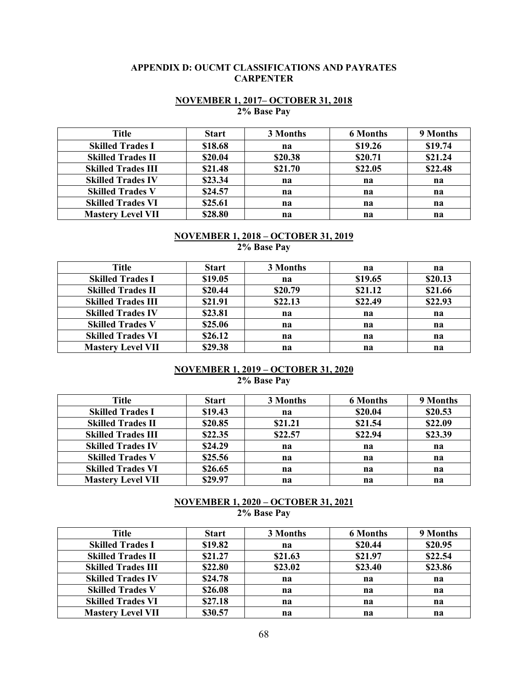## **APPENDIX D: OUCMT CLASSIFICATIONS AND PAYRATES CARPENTER**

## **NOVEMBER 1, 2017– OCTOBER 31, 2018 2% Base Pay**

| Title                     | <b>Start</b> | 3 Months | <b>6 Months</b> | 9 Months |
|---------------------------|--------------|----------|-----------------|----------|
| <b>Skilled Trades I</b>   | \$18.68      | na       | \$19.26         | \$19.74  |
| <b>Skilled Trades II</b>  | \$20.04      | \$20.38  | \$20.71         | \$21.24  |
| <b>Skilled Trades III</b> | \$21.48      | \$21.70  | \$22.05         | \$22.48  |
| <b>Skilled Trades IV</b>  | \$23.34      | na       | na              | na       |
| <b>Skilled Trades V</b>   | \$24.57      | na       | na              | na       |
| <b>Skilled Trades VI</b>  | \$25.61      | na       | na              | na       |
| <b>Mastery Level VII</b>  | \$28.80      | na       | na              | na       |

# **NOVEMBER 1, 2018 – OCTOBER 31, 2019**

**2% Base Pay**

| Title                     | <b>Start</b> | 3 Months | na      | na      |
|---------------------------|--------------|----------|---------|---------|
| <b>Skilled Trades I</b>   | \$19.05      | na       | \$19.65 | \$20.13 |
| <b>Skilled Trades II</b>  | \$20.44      | \$20.79  | \$21.12 | \$21.66 |
| <b>Skilled Trades III</b> | \$21.91      | \$22.13  | \$22.49 | \$22.93 |
| <b>Skilled Trades IV</b>  | \$23.81      | na       | na      | na      |
| <b>Skilled Trades V</b>   | \$25.06      | na       | na      | na      |
| <b>Skilled Trades VI</b>  | \$26.12      | na       | na      | na      |
| <b>Mastery Level VII</b>  | \$29.38      | na       | na      | na      |

#### **NOVEMBER 1, 2019 – OCTOBER 31, 2020 2% Base Pay**

| Title                     | <b>Start</b> | 3 Months | <b>6 Months</b> | 9 Months |
|---------------------------|--------------|----------|-----------------|----------|
| <b>Skilled Trades I</b>   | \$19.43      | na       | \$20.04         | \$20.53  |
| <b>Skilled Trades II</b>  | \$20.85      | \$21.21  | \$21.54         | \$22.09  |
| <b>Skilled Trades III</b> | \$22.35      | \$22.57  | \$22.94         | \$23.39  |
| <b>Skilled Trades IV</b>  | \$24.29      | na       | na              | na       |
| <b>Skilled Trades V</b>   | \$25.56      | na       | na              | na       |
| <b>Skilled Trades VI</b>  | \$26.65      | na       | na              | na       |
| <b>Mastery Level VII</b>  | \$29.97      | na       | na              | na       |

#### **NOVEMBER 1, 2020 – OCTOBER 31, 2021 2% Base Pay**

| Title                     | <b>Start</b> | 3 Months | <b>6 Months</b> | 9 Months |
|---------------------------|--------------|----------|-----------------|----------|
| <b>Skilled Trades I</b>   | \$19.82      | na       | \$20.44         | \$20.95  |
| <b>Skilled Trades II</b>  | \$21.27      | \$21.63  | \$21.97         | \$22.54  |
| <b>Skilled Trades III</b> | \$22.80      | \$23.02  | \$23.40         | \$23.86  |
| <b>Skilled Trades IV</b>  | \$24.78      | na       | na              | na       |
| <b>Skilled Trades V</b>   | \$26.08      | na       | na              | na       |
| <b>Skilled Trades VI</b>  | \$27.18      | na       | na              | na       |
| <b>Mastery Level VII</b>  | \$30.57      | na       | na              | na       |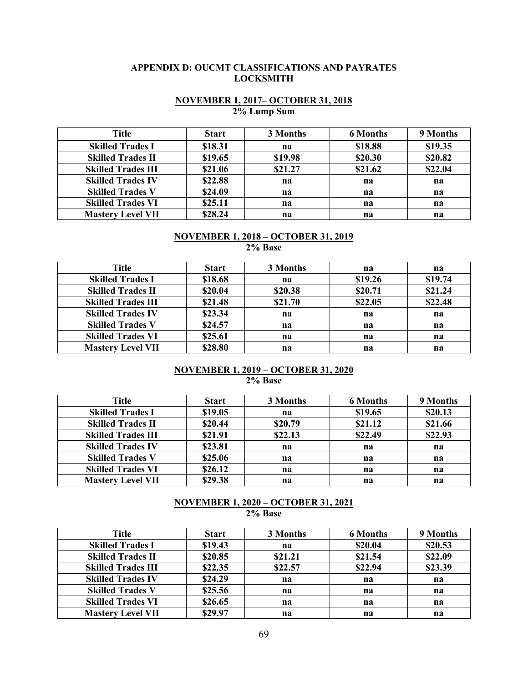## **APPENDIX D: OUCMT CLASSIFICATIONS AND PAYRATES LOCKSMITH**

# **NOVEMBER 1, 2017– OCTOBER 31, 2018 2% Lump Sum**

| Title                     | <b>Start</b> | 3 Months | <b>6 Months</b> | 9 Months |
|---------------------------|--------------|----------|-----------------|----------|
| <b>Skilled Trades I</b>   | \$18.31      | na       | \$18.88         | \$19.35  |
| <b>Skilled Trades II</b>  | \$19.65      | \$19.98  | \$20.30         | \$20.82  |
| <b>Skilled Trades III</b> | \$21.06      | \$21.27  | \$21.62         | \$22.04  |
| <b>Skilled Trades IV</b>  | \$22.88      | na       | na              | na       |
| <b>Skilled Trades V</b>   | \$24.09      | na       | na              | na       |
| <b>Skilled Trades VI</b>  | \$25.11      | na       | na              | na       |
| <b>Mastery Level VII</b>  | \$28.24      | na       | na              | na       |

# **NOVEMBER 1, 2018 – OCTOBER 31, 2019**

**2% Base**

| <b>Title</b>              | <b>Start</b> | 3 Months | na      | na      |
|---------------------------|--------------|----------|---------|---------|
| <b>Skilled Trades I</b>   | \$18.68      | na       | \$19.26 | \$19.74 |
| <b>Skilled Trades II</b>  | \$20.04      | \$20.38  | \$20.71 | \$21.24 |
| <b>Skilled Trades III</b> | \$21.48      | \$21.70  | \$22.05 | \$22.48 |
| <b>Skilled Trades IV</b>  | \$23.34      | na       | na      | na      |
| <b>Skilled Trades V</b>   | \$24.57      | na       | na      | na      |
| <b>Skilled Trades VI</b>  | \$25.61      | na       | na      | na      |
| <b>Mastery Level VII</b>  | \$28.80      | na       | na      | na      |

#### **NOVEMBER 1, 2019 – OCTOBER 31, 2020 2% Base**

| Title                     | <b>Start</b> | 3 Months | <b>6 Months</b> | 9 Months |
|---------------------------|--------------|----------|-----------------|----------|
| <b>Skilled Trades I</b>   | \$19.05      | na       | \$19.65         | \$20.13  |
| <b>Skilled Trades II</b>  | \$20.44      | \$20.79  | \$21.12         | \$21.66  |
| <b>Skilled Trades III</b> | \$21.91      | \$22.13  | \$22.49         | \$22.93  |
| <b>Skilled Trades IV</b>  | \$23.81      | na       | na              | na       |
| <b>Skilled Trades V</b>   | \$25.06      | na       | na              | na       |
| <b>Skilled Trades VI</b>  | \$26.12      | na       | na              | na       |
| <b>Mastery Level VII</b>  | \$29.38      | na       | na              | na       |

#### **NOVEMBER 1, 2020 – OCTOBER 31, 2021 2% Base**

| Title                     | <b>Start</b> | 3 Months | <b>6 Months</b> | 9 Months |
|---------------------------|--------------|----------|-----------------|----------|
| <b>Skilled Trades I</b>   | \$19.43      | na       | \$20.04         | \$20.53  |
| <b>Skilled Trades II</b>  | \$20.85      | \$21.21  | \$21.54         | \$22.09  |
| <b>Skilled Trades III</b> | \$22.35      | \$22.57  | \$22.94         | \$23.39  |
| <b>Skilled Trades IV</b>  | \$24.29      | na       | na              | na       |
| <b>Skilled Trades V</b>   | \$25.56      | na       | na              | na       |
| <b>Skilled Trades VI</b>  | \$26.65      | na       | na              | na       |
| <b>Mastery Level VII</b>  | \$29.97      | na       | na              | na       |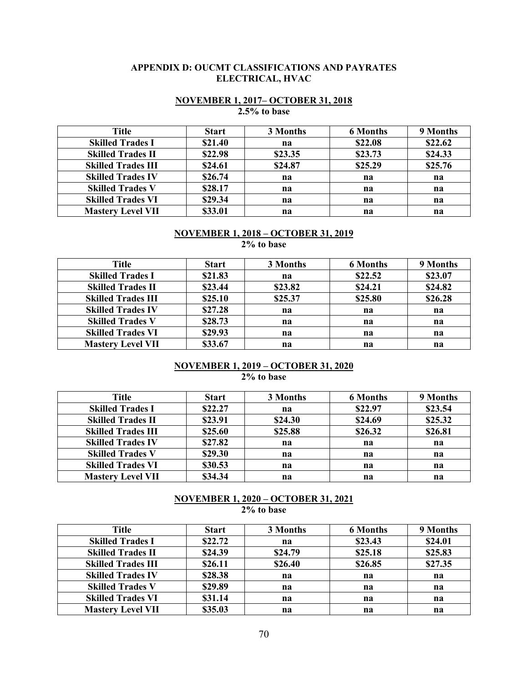#### **APPENDIX D: OUCMT CLASSIFICATIONS AND PAYRATES ELECTRICAL, HVAC**

# **NOVEMBER 1, 2017– OCTOBER 31, 2018**

**2.5% to base**

| <b>Title</b>              | <b>Start</b> | 3 Months | <b>6 Months</b> | 9 Months |
|---------------------------|--------------|----------|-----------------|----------|
| <b>Skilled Trades I</b>   | \$21.40      | na       | \$22.08         | \$22.62  |
| <b>Skilled Trades II</b>  | \$22.98      | \$23.35  | \$23.73         | \$24.33  |
| <b>Skilled Trades III</b> | \$24.61      | \$24.87  | \$25.29         | \$25.76  |
| <b>Skilled Trades IV</b>  | \$26.74      | na       | na              | na       |
| <b>Skilled Trades V</b>   | \$28.17      | na       | na              | na       |
| <b>Skilled Trades VI</b>  | \$29.34      | na       | na              | na       |
| <b>Mastery Level VII</b>  | \$33.01      | na       | na              | na       |

#### **NOVEMBER 1, 2018 – OCTOBER 31, 2019 2% to base**

| Title                     | <b>Start</b> | 3 Months | <b>6 Months</b> | 9 Months |
|---------------------------|--------------|----------|-----------------|----------|
| <b>Skilled Trades I</b>   | \$21.83      | na       | \$22.52         | \$23.07  |
| <b>Skilled Trades II</b>  | \$23.44      | \$23.82  | \$24.21         | \$24.82  |
| <b>Skilled Trades III</b> | \$25.10      | \$25.37  | \$25.80         | \$26.28  |
| <b>Skilled Trades IV</b>  | \$27.28      | na       | na              | na       |
| <b>Skilled Trades V</b>   | \$28.73      | na       | na              | na       |
| <b>Skilled Trades VI</b>  | \$29.93      | na       | na              | na       |
| <b>Mastery Level VII</b>  | \$33.67      | na       | na              | na       |

# **NOVEMBER 1, 2019 – OCTOBER 31, 2020**

**2% to base**

| Title                     | <b>Start</b> | 3 Months | <b>6 Months</b> | 9 Months |
|---------------------------|--------------|----------|-----------------|----------|
| <b>Skilled Trades I</b>   | \$22.27      | na       | \$22.97         | \$23.54  |
| <b>Skilled Trades II</b>  | \$23.91      | \$24.30  | \$24.69         | \$25.32  |
| <b>Skilled Trades III</b> | \$25.60      | \$25.88  | \$26.32         | \$26.81  |
| <b>Skilled Trades IV</b>  | \$27.82      | na       | na              | na       |
| <b>Skilled Trades V</b>   | \$29.30      | na       | na              | na       |
| <b>Skilled Trades VI</b>  | \$30.53      | na       | na              | na       |
| <b>Mastery Level VII</b>  | \$34.34      | na       | na              | na       |

#### **NOVEMBER 1, 2020 – OCTOBER 31, 2021 2% to base**

| Title                     | <b>Start</b> | 3 Months | <b>6 Months</b> | 9 Months |
|---------------------------|--------------|----------|-----------------|----------|
| <b>Skilled Trades I</b>   | \$22.72      | na       | \$23.43         | \$24.01  |
| <b>Skilled Trades II</b>  | \$24.39      | \$24.79  | \$25.18         | \$25.83  |
| <b>Skilled Trades III</b> | \$26.11      | \$26.40  | \$26.85         | \$27.35  |
| <b>Skilled Trades IV</b>  | \$28.38      | na       | na              | na       |
| <b>Skilled Trades V</b>   | \$29.89      | na       | na              | na       |
| <b>Skilled Trades VI</b>  | \$31.14      | na       | na              | na       |
| <b>Mastery Level VII</b>  | \$35.03      | na       | na              | na       |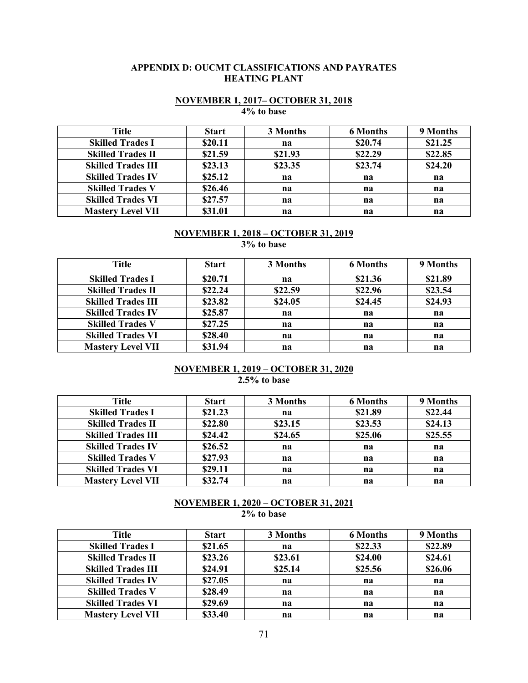#### **APPENDIX D: OUCMT CLASSIFICATIONS AND PAYRATES HEATING PLANT**

#### **NOVEMBER 1, 2017– OCTOBER 31, 2018 4% to base**

| Title                     | <b>Start</b> | 3 Months | <b>6 Months</b> | 9 Months |
|---------------------------|--------------|----------|-----------------|----------|
| <b>Skilled Trades I</b>   | \$20.11      | na       | \$20.74         | \$21.25  |
| <b>Skilled Trades II</b>  | \$21.59      | \$21.93  | \$22.29         | \$22.85  |
| <b>Skilled Trades III</b> | \$23.13      | \$23.35  | \$23.74         | \$24.20  |
| <b>Skilled Trades IV</b>  | \$25.12      | na       | na              | na       |
| <b>Skilled Trades V</b>   | \$26.46      | na       | na              | na       |
| <b>Skilled Trades VI</b>  | \$27.57      | na       | na              | na       |
| <b>Mastery Level VII</b>  | \$31.01      | na       | na              | na       |

#### **NOVEMBER 1, 2018 – OCTOBER 31, 2019 3% to base**

**Title Start 3 Months 6 Months 9 Months Skilled Trades I \$20.71 na \$21.36 \$21.89 Skilled Trades II \$22.24 \$22.59 \$22.96 \$23.54 Skilled Trades III \$23.82 \$24.05 \$24.45 \$24.93 Skilled Trades IV \$25.87 na na na Skilled Trades V \$27.25 na na na Skilled Trades VI \$28.40 na na na na na Mastery Level VII \$31.94 na na na**

#### **NOVEMBER 1, 2019 – OCTOBER 31, 2020 2.5% to base**

| Title                     | <b>Start</b> | 3 Months | <b>6 Months</b> | 9 Months |
|---------------------------|--------------|----------|-----------------|----------|
| <b>Skilled Trades I</b>   | \$21.23      | na       | \$21.89         | \$22.44  |
| <b>Skilled Trades II</b>  | \$22.80      | \$23.15  | \$23.53         | \$24.13  |
| <b>Skilled Trades III</b> | \$24.42      | \$24.65  | \$25.06         | \$25.55  |
| <b>Skilled Trades IV</b>  | \$26.52      | na       | na              | na       |
| <b>Skilled Trades V</b>   | \$27.93      | na       | na              | na       |
| <b>Skilled Trades VI</b>  | \$29.11      | na       | na              | na       |
| <b>Mastery Level VII</b>  | \$32.74      | na       | na              | na       |

#### **NOVEMBER 1, 2020 – OCTOBER 31, 2021 2% to base**

| Title                     | <b>Start</b> | 3 Months | <b>6 Months</b> | 9 Months |
|---------------------------|--------------|----------|-----------------|----------|
| <b>Skilled Trades I</b>   | \$21.65      | na       | \$22.33         | \$22.89  |
| <b>Skilled Trades II</b>  | \$23.26      | \$23.61  | \$24.00         | \$24.61  |
| <b>Skilled Trades III</b> | \$24.91      | \$25.14  | \$25.56         | \$26.06  |
| <b>Skilled Trades IV</b>  | \$27.05      | na       | na              | na       |
| <b>Skilled Trades V</b>   | \$28.49      | na       | na              | na       |
| <b>Skilled Trades VI</b>  | \$29.69      | na       | na              | na       |
| <b>Mastery Level VII</b>  | \$33.40      | na       | na              | na       |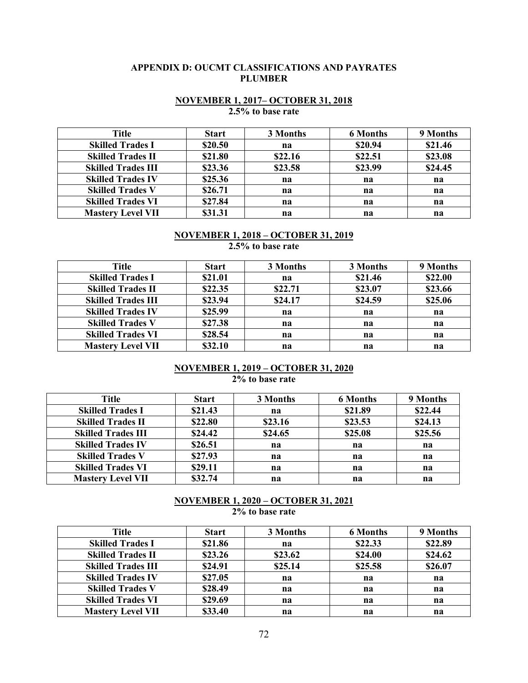#### **APPENDIX D: OUCMT CLASSIFICATIONS AND PAYRATES PLUMBER**

#### **NOVEMBER 1, 2017– OCTOBER 31, 2018 2.5% to base rate**

| Title                     | <b>Start</b> | 3 Months | <b>6 Months</b> | 9 Months |
|---------------------------|--------------|----------|-----------------|----------|
| <b>Skilled Trades I</b>   | \$20.50      | na       | \$20.94         | \$21.46  |
| <b>Skilled Trades II</b>  | \$21.80      | \$22.16  | \$22.51         | \$23.08  |
| <b>Skilled Trades III</b> | \$23.36      | \$23.58  | \$23.99         | \$24.45  |
| <b>Skilled Trades IV</b>  | \$25.36      | na       | na              | na       |
| <b>Skilled Trades V</b>   | \$26.71      | na       | na              | na       |
| <b>Skilled Trades VI</b>  | \$27.84      | na       | na              | na       |
| <b>Mastery Level VII</b>  | \$31.31      | na       | na              | na       |

#### **NOVEMBER 1, 2018 – OCTOBER 31, 2019**

**2.5% to base rate**

| Title                     | <b>Start</b> | 3 Months | 3 Months | 9 Months |
|---------------------------|--------------|----------|----------|----------|
| <b>Skilled Trades I</b>   | \$21.01      | na       | \$21.46  | \$22.00  |
| <b>Skilled Trades II</b>  | \$22.35      | \$22.71  | \$23.07  | \$23.66  |
| <b>Skilled Trades III</b> | \$23.94      | \$24.17  | \$24.59  | \$25.06  |
| <b>Skilled Trades IV</b>  | \$25.99      | na       | na       | na       |
| <b>Skilled Trades V</b>   | \$27.38      | na       | na       | na       |
| <b>Skilled Trades VI</b>  | \$28.54      | na       | na       | na       |
| <b>Mastery Level VII</b>  | \$32.10      | na       | na       | na       |

# **NOVEMBER 1, 2019 – OCTOBER 31, 2020**

**2% to base rate**

| Title                     | <b>Start</b> | 3 Months | <b>6 Months</b> | 9 Months |
|---------------------------|--------------|----------|-----------------|----------|
| <b>Skilled Trades I</b>   | \$21.43      | na       | \$21.89         | \$22.44  |
| <b>Skilled Trades II</b>  | \$22.80      | \$23.16  | \$23.53         | \$24.13  |
| <b>Skilled Trades III</b> | \$24.42      | \$24.65  | \$25.08         | \$25.56  |
| <b>Skilled Trades IV</b>  | \$26.51      | na       | na              | na       |
| <b>Skilled Trades V</b>   | \$27.93      | na       | na              | na       |
| <b>Skilled Trades VI</b>  | \$29.11      | na       | na              | na       |
| <b>Mastery Level VII</b>  | \$32.74      | na       | na              | na       |

## **NOVEMBER 1, 2020 – OCTOBER 31, 2021 2% to base rate**

| <b>Title</b>              | <b>Start</b> | 3 Months | <b>6 Months</b> | 9 Months |
|---------------------------|--------------|----------|-----------------|----------|
| <b>Skilled Trades I</b>   | \$21.86      | na       | \$22.33         | \$22.89  |
| <b>Skilled Trades II</b>  | \$23.26      | \$23.62  | \$24.00         | \$24.62  |
| <b>Skilled Trades III</b> | \$24.91      | \$25.14  | \$25.58         | \$26.07  |
| <b>Skilled Trades IV</b>  | \$27.05      | na       | na              | na       |
| <b>Skilled Trades V</b>   | \$28.49      | na       | na              | na       |
| <b>Skilled Trades VI</b>  | \$29.69      | na       | na              | na       |
| <b>Mastery Level VII</b>  | \$33.40      | na       | na              | na       |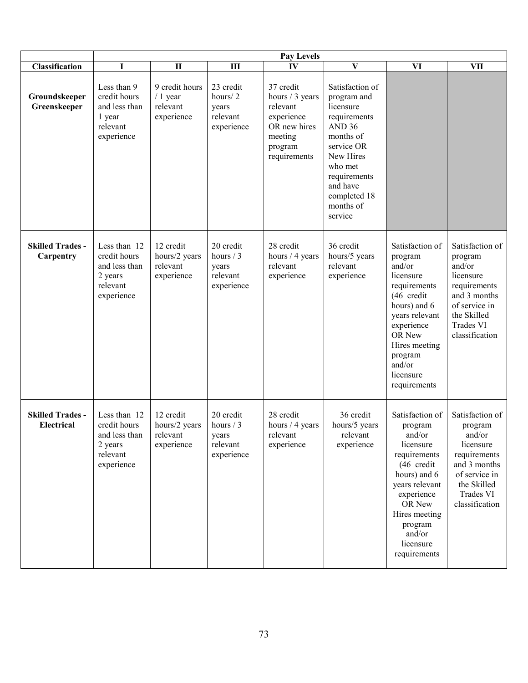|                                       | Pay Levels                                                                         |                                                       |                                                            |                                                                                                              |                                                                                                                                                                                                         |                                                                                                                                                                                                              |                                                                                                                                                  |  |
|---------------------------------------|------------------------------------------------------------------------------------|-------------------------------------------------------|------------------------------------------------------------|--------------------------------------------------------------------------------------------------------------|---------------------------------------------------------------------------------------------------------------------------------------------------------------------------------------------------------|--------------------------------------------------------------------------------------------------------------------------------------------------------------------------------------------------------------|--------------------------------------------------------------------------------------------------------------------------------------------------|--|
| Classification                        | I                                                                                  | $\mathbf{I}$                                          | $\mathbf{H}$                                               | IV                                                                                                           | $\bf{V}$                                                                                                                                                                                                | <b>VI</b>                                                                                                                                                                                                    | <b>VII</b>                                                                                                                                       |  |
| Groundskeeper<br>Greenskeeper         | Less than 9<br>credit hours<br>and less than<br>1 year<br>relevant<br>experience   | 9 credit hours<br>$/1$ year<br>relevant<br>experience | 23 credit<br>hours/2<br>years<br>relevant<br>experience    | 37 credit<br>hours / 3 years<br>relevant<br>experience<br>OR new hires<br>meeting<br>program<br>requirements | Satisfaction of<br>program and<br>licensure<br>requirements<br>AND <sub>36</sub><br>months of<br>service OR<br>New Hires<br>who met<br>requirements<br>and have<br>completed 18<br>months of<br>service |                                                                                                                                                                                                              |                                                                                                                                                  |  |
| <b>Skilled Trades -</b><br>Carpentry  | Less than 12<br>credit hours<br>and less than<br>2 years<br>relevant<br>experience | 12 credit<br>hours/2 years<br>relevant<br>experience  | 20 credit<br>hours $/3$<br>years<br>relevant<br>experience | 28 credit<br>hours / 4 years<br>relevant<br>experience                                                       | 36 credit<br>hours/5 years<br>relevant<br>experience                                                                                                                                                    | Satisfaction of<br>program<br>and/or<br>licensure<br>requirements<br>(46 credit<br>hours) and 6<br>years relevant<br>experience<br>OR New<br>Hires meeting<br>program<br>and/or<br>licensure<br>requirements | Satisfaction of<br>program<br>and/or<br>licensure<br>requirements<br>and 3 months<br>of service in<br>the Skilled<br>Trades VI<br>classification |  |
| <b>Skilled Trades -</b><br>Electrical | Less than 12<br>credit hours<br>and less than<br>2 years<br>relevant<br>experience | 12 credit<br>hours/2 years<br>relevant<br>experience  | 20 credit<br>hours / 3<br>years<br>relevant<br>experience  | 28 credit<br>hours / 4 years<br>relevant<br>experience                                                       | 36 credit<br>hours/5 years<br>relevant<br>experience                                                                                                                                                    | Satisfaction of<br>program<br>and/or<br>licensure<br>requirements<br>(46 credit<br>hours) and 6<br>years relevant<br>experience<br>OR New<br>Hires meeting<br>program<br>and/or<br>licensure<br>requirements | Satisfaction of<br>program<br>and/or<br>licensure<br>requirements<br>and 3 months<br>of service in<br>the Skilled<br>Trades VI<br>classification |  |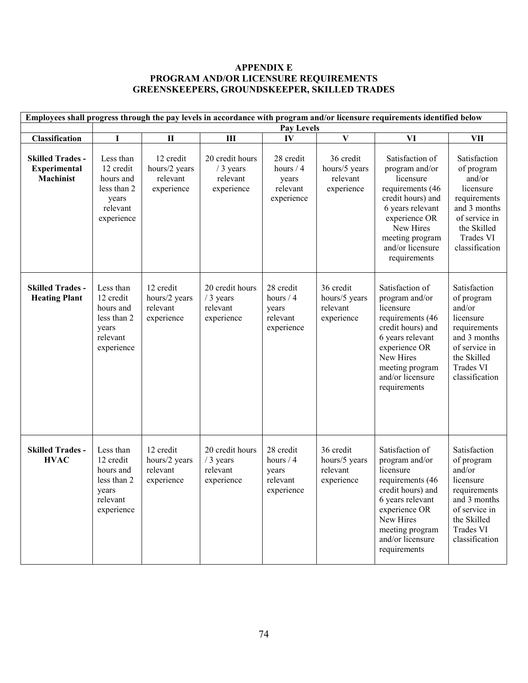## **APPENDIX E PROGRAM AND/OR LICENSURE REQUIREMENTS GREENSKEEPERS, GROUNDSKEEPER, SKILLED TRADES**

| Employees shall progress through the pay levels in accordance with program and/or licensure requirements identified below |                                                                                       |                                                      |                                                         |                                                            |                                                      |                                                                                                                                                                                                  |                                                                                                                                                  |  |
|---------------------------------------------------------------------------------------------------------------------------|---------------------------------------------------------------------------------------|------------------------------------------------------|---------------------------------------------------------|------------------------------------------------------------|------------------------------------------------------|--------------------------------------------------------------------------------------------------------------------------------------------------------------------------------------------------|--------------------------------------------------------------------------------------------------------------------------------------------------|--|
|                                                                                                                           | <b>Pay Levels</b>                                                                     |                                                      |                                                         |                                                            |                                                      |                                                                                                                                                                                                  |                                                                                                                                                  |  |
| <b>Classification</b>                                                                                                     | $\mathbf I$                                                                           | $\overline{\mathbf{H}}$                              | $\mathbf{I}$                                            | IV                                                         | $\mathbf{V}$                                         | VI                                                                                                                                                                                               | <b>VII</b>                                                                                                                                       |  |
| <b>Skilled Trades -</b><br><b>Experimental</b><br><b>Machinist</b>                                                        | Less than<br>12 credit<br>hours and<br>less than 2<br>years<br>relevant<br>experience | 12 credit<br>hours/2 years<br>relevant<br>experience | 20 credit hours<br>/ 3 years<br>relevant<br>experience  | 28 credit<br>hours $/4$<br>years<br>relevant<br>experience | 36 credit<br>hours/5 years<br>relevant<br>experience | Satisfaction of<br>program and/or<br>licensure<br>requirements (46<br>credit hours) and<br>6 years relevant<br>experience OR<br>New Hires<br>meeting program<br>and/or licensure<br>requirements | Satisfaction<br>of program<br>and/or<br>licensure<br>requirements<br>and 3 months<br>of service in<br>the Skilled<br>Trades VI<br>classification |  |
| <b>Skilled Trades -</b><br><b>Heating Plant</b>                                                                           | Less than<br>12 credit<br>hours and<br>less than 2<br>years<br>relevant<br>experience | 12 credit<br>hours/2 years<br>relevant<br>experience | 20 credit hours<br>$/3$ years<br>relevant<br>experience | 28 credit<br>hours / 4<br>years<br>relevant<br>experience  | 36 credit<br>hours/5 years<br>relevant<br>experience | Satisfaction of<br>program and/or<br>licensure<br>requirements (46<br>credit hours) and<br>6 years relevant<br>experience OR<br>New Hires<br>meeting program<br>and/or licensure<br>requirements | Satisfaction<br>of program<br>and/or<br>licensure<br>requirements<br>and 3 months<br>of service in<br>the Skilled<br>Trades VI<br>classification |  |
| <b>Skilled Trades -</b><br><b>HVAC</b>                                                                                    | Less than<br>12 credit<br>hours and<br>less than 2<br>years<br>relevant<br>experience | 12 credit<br>hours/2 years<br>relevant<br>experience | 20 credit hours<br>/ 3 years<br>relevant<br>experience  | 28 credit<br>hours $/4$<br>years<br>relevant<br>experience | 36 credit<br>hours/5 years<br>relevant<br>experience | Satisfaction of<br>program and/or<br>licensure<br>requirements (46<br>credit hours) and<br>6 years relevant<br>experience OR<br>New Hires<br>meeting program<br>and/or licensure<br>requirements | Satisfaction<br>of program<br>and/or<br>licensure<br>requirements<br>and 3 months<br>of service in<br>the Skilled<br>Trades VI<br>classification |  |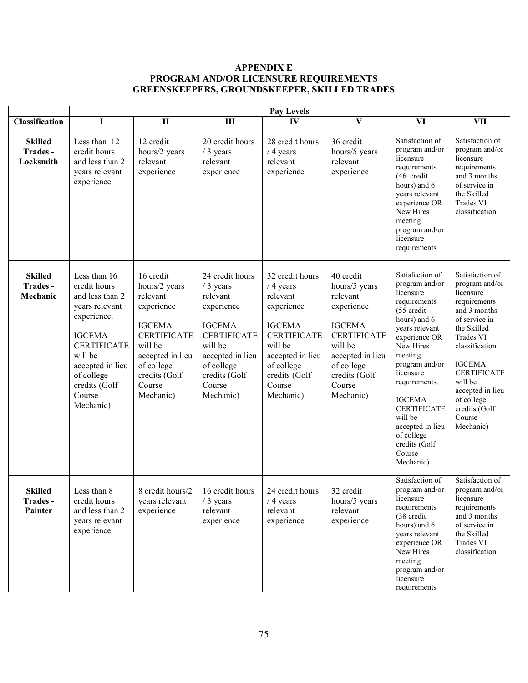## **APPENDIX E PROGRAM AND/OR LICENSURE REQUIREMENTS GREENSKEEPERS, GROUNDSKEEPER, SKILLED TRADES**

|                                        | Pay Levels                                                                                                                                                                                                   |                                                                                                                                                                                  |                                                                                                                                                                                    |                                                                                                                                                                                     |                                                                                                                                                                                  |                                                                                                                                                                                                                                                                                                                                     |                                                                                                                                                                                                                                                                                  |  |
|----------------------------------------|--------------------------------------------------------------------------------------------------------------------------------------------------------------------------------------------------------------|----------------------------------------------------------------------------------------------------------------------------------------------------------------------------------|------------------------------------------------------------------------------------------------------------------------------------------------------------------------------------|-------------------------------------------------------------------------------------------------------------------------------------------------------------------------------------|----------------------------------------------------------------------------------------------------------------------------------------------------------------------------------|-------------------------------------------------------------------------------------------------------------------------------------------------------------------------------------------------------------------------------------------------------------------------------------------------------------------------------------|----------------------------------------------------------------------------------------------------------------------------------------------------------------------------------------------------------------------------------------------------------------------------------|--|
| Classification                         | I                                                                                                                                                                                                            | $\mathbf{I}$                                                                                                                                                                     | III                                                                                                                                                                                | IV                                                                                                                                                                                  | $\mathbf{V}$                                                                                                                                                                     | VI                                                                                                                                                                                                                                                                                                                                  | <b>VII</b>                                                                                                                                                                                                                                                                       |  |
| <b>Skilled</b><br>Trades-<br>Locksmith | Less than 12<br>credit hours<br>and less than 2<br>years relevant<br>experience                                                                                                                              | 12 credit<br>hours/2 years<br>relevant<br>experience                                                                                                                             | 20 credit hours<br>/ 3 years<br>relevant<br>experience                                                                                                                             | 28 credit hours<br>$/4$ years<br>relevant<br>experience                                                                                                                             | 36 credit<br>hours/5 years<br>relevant<br>experience                                                                                                                             | Satisfaction of<br>program and/or<br>licensure<br>requirements<br>(46 credit<br>hours) and 6<br>years relevant<br>experience OR<br>New Hires<br>meeting<br>program and/or<br>licensure<br>requirements                                                                                                                              | Satisfaction of<br>program and/or<br>licensure<br>requirements<br>and 3 months<br>of service in<br>the Skilled<br>Trades VI<br>classification                                                                                                                                    |  |
| <b>Skilled</b><br>Trades-<br>Mechanic  | Less than 16<br>credit hours<br>and less than 2<br>years relevant<br>experience.<br><b>IGCEMA</b><br><b>CERTIFICATE</b><br>will be<br>accepted in lieu<br>of college<br>credits (Golf<br>Course<br>Mechanic) | 16 credit<br>hours/2 years<br>relevant<br>experience<br><b>IGCEMA</b><br><b>CERTIFICATE</b><br>will be<br>accepted in lieu<br>of college<br>credits (Golf<br>Course<br>Mechanic) | 24 credit hours<br>/ 3 years<br>relevant<br>experience<br><b>IGCEMA</b><br><b>CERTIFICATE</b><br>will be<br>accepted in lieu<br>of college<br>credits (Golf<br>Course<br>Mechanic) | 32 credit hours<br>$/4$ years<br>relevant<br>experience<br><b>IGCEMA</b><br><b>CERTIFICATE</b><br>will be<br>accepted in lieu<br>of college<br>credits (Golf<br>Course<br>Mechanic) | 40 credit<br>hours/5 years<br>relevant<br>experience<br><b>IGCEMA</b><br><b>CERTIFICATE</b><br>will be<br>accepted in lieu<br>of college<br>credits (Golf<br>Course<br>Mechanic) | Satisfaction of<br>program and/or<br>licensure<br>requirements<br>(55 credit<br>hours) and 6<br>years relevant<br>experience OR<br>New Hires<br>meeting<br>program and/or<br>licensure<br>requirements.<br><b>IGCEMA</b><br><b>CERTIFICATE</b><br>will be<br>accepted in lieu<br>of college<br>credits (Golf<br>Course<br>Mechanic) | Satisfaction of<br>program and/or<br>licensure<br>requirements<br>and 3 months<br>of service in<br>the Skilled<br><b>Trades VI</b><br>classification<br><b>IGCEMA</b><br><b>CERTIFICATE</b><br>will be<br>accepted in lieu<br>of college<br>credits (Golf<br>Course<br>Mechanic) |  |
| Skilled<br>Trades -<br>Painter         | Less than 8<br>credit hours<br>and less than 2<br>years relevant<br>experience                                                                                                                               | 8 credit hours/2<br>years relevant<br>experience                                                                                                                                 | 16 credit hours<br>/ 3 years<br>relevant<br>experience                                                                                                                             | 24 credit hours<br>/ 4 years<br>relevant<br>experience                                                                                                                              | 32 credit<br>hours/5 years<br>relevant<br>experience                                                                                                                             | Satisfaction of<br>program and/or<br>licensure<br>requirements<br>(38 credit<br>hours) and 6<br>years relevant<br>experience OR<br>New Hires<br>meeting<br>program and/or<br>licensure<br>requirements                                                                                                                              | Satisfaction of<br>program and/or<br>licensure<br>requirements<br>and 3 months<br>of service in<br>the Skilled<br>Trades VI<br>classification                                                                                                                                    |  |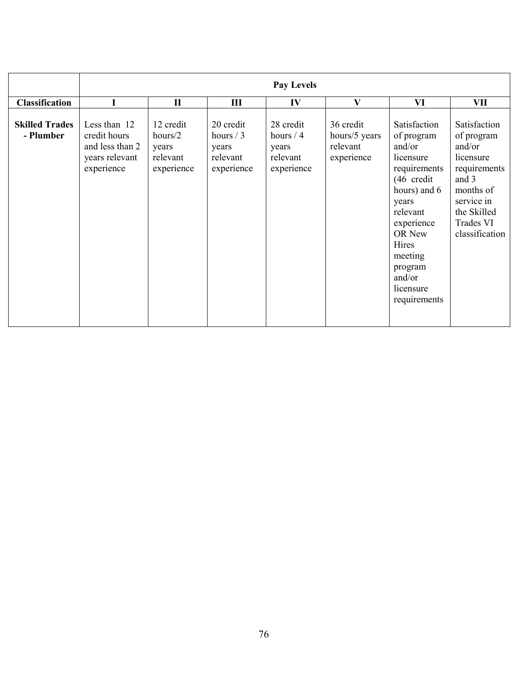|                                    | <b>Pay Levels</b>                                                               |                                                         |                                                            |                                                            |                                                      |                                                                                                                                                                                                                    |                                                                                                                                                     |  |
|------------------------------------|---------------------------------------------------------------------------------|---------------------------------------------------------|------------------------------------------------------------|------------------------------------------------------------|------------------------------------------------------|--------------------------------------------------------------------------------------------------------------------------------------------------------------------------------------------------------------------|-----------------------------------------------------------------------------------------------------------------------------------------------------|--|
| <b>Classification</b>              |                                                                                 | $\mathbf{I}$                                            | III                                                        | IV                                                         | $\mathbf{V}$                                         | VI                                                                                                                                                                                                                 | VII                                                                                                                                                 |  |
| <b>Skilled Trades</b><br>- Plumber | Less than 12<br>credit hours<br>and less than 2<br>years relevant<br>experience | 12 credit<br>hours/2<br>years<br>relevant<br>experience | 20 credit<br>hours $/3$<br>years<br>relevant<br>experience | 28 credit<br>hours $/4$<br>years<br>relevant<br>experience | 36 credit<br>hours/5 years<br>relevant<br>experience | Satisfaction<br>of program<br>and/or<br>licensure<br>requirements<br>(46 credit<br>hours) and 6<br>years<br>relevant<br>experience<br>OR New<br>Hires<br>meeting<br>program<br>and/or<br>licensure<br>requirements | Satisfaction<br>of program<br>and/or<br>licensure<br>requirements<br>and 3<br>months of<br>service in<br>the Skilled<br>Trades VI<br>classification |  |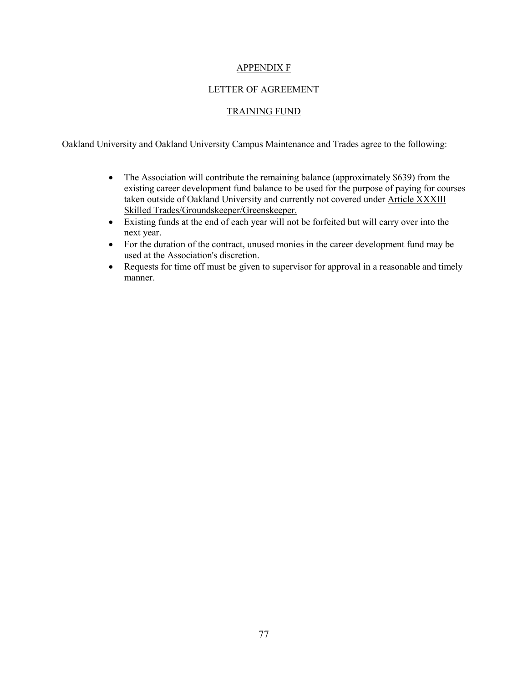### APPENDIX F

# LETTER OF AGREEMENT

# TRAINING FUND

Oakland University and Oakland University Campus Maintenance and Trades agree to the following:

- The Association will contribute the remaining balance (approximately \$639) from the existing career development fund balance to be used for the purpose of paying for courses taken outside of Oakland University and currently not covered under Article XXXIII Skilled Trades/Groundskeeper/Greenskeeper.
- Existing funds at the end of each year will not be forfeited but will carry over into the next year.
- For the duration of the contract, unused monies in the career development fund may be used at the Association's discretion.
- Requests for time off must be given to supervisor for approval in a reasonable and timely manner.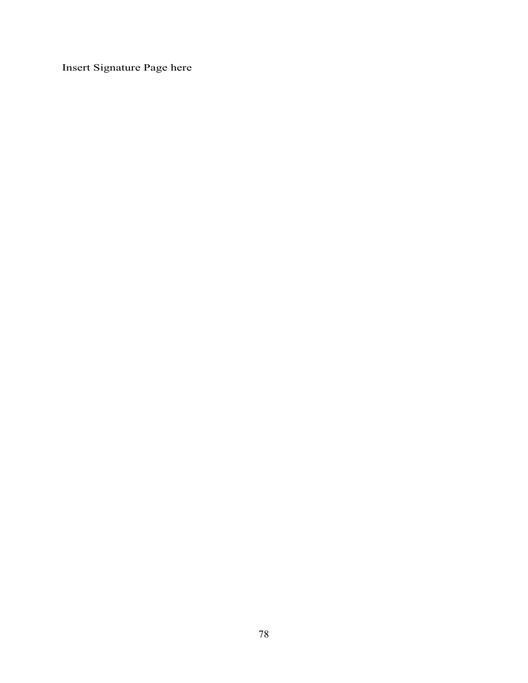Insert Signature Page here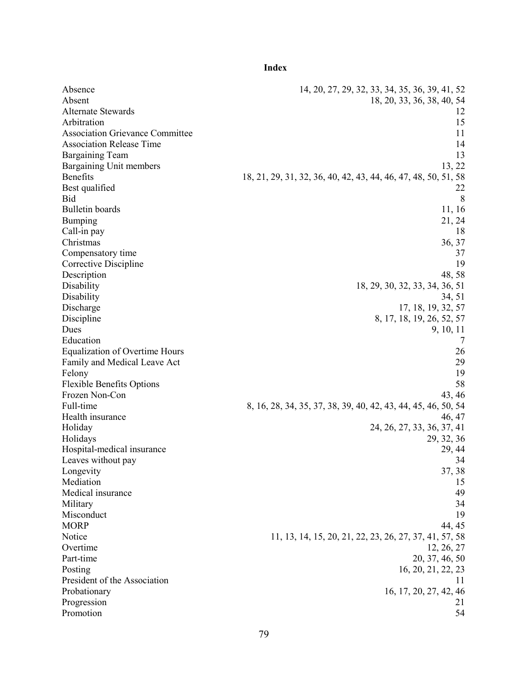**Index**

Absence 14, 20, 27, 29, 32, 33, 34, 35, 36, 39, 41, 52 Absent 18, 20, 33, 36, 38, 40, 54 Alternate Stewards 12 Arbitration 15 Association Grievance Committee 11 and 200 and 200 and 200 and 200 and 200 and 200 and 200 and 200 and 200 and 200 and 200 and 200 and 200 and 200 and 200 and 200 and 200 and 200 and 200 and 200 and 200 and 200 and 200 and Association Release Time 14 Bargaining Team 13 Bargaining Unit members 13, 22 Benefits 18, 21, 29, 31, 32, 36, 40, 42, 43, 44, 46, 47, 48, 50, 51, 58 Best qualified 22 Bid 8 Bulletin boards 11, 16 Bumping 21, 24 Call-in pay 18 Christmas 36, 37 Compensatory time 37 Corrective Discipline 19 Description 48, 58 Disability 18, 29, 30, 32, 33, 34, 36, 51 Disability 34, 51 Discharge 17, 18, 19, 32, 57 Discipline 8, 17, 18, 19, 26, 52, 57 Dues 9, 10, 11 Education 7 Equalization of Overtime Hours 26 Family and Medical Leave Act 29 Felony 19 Flexible Benefits Options 58 Frozen Non-Con 43, 46 Full-time 8, 16, 28, 34, 35, 37, 38, 39, 40, 42, 43, 44, 45, 46, 50, 54 Health insurance 46, 47 Holiday 24, 26, 27, 33, 36, 37, 41 Holidays 29, 32, 36 Hospital-medical insurance 29, 44 Leaves without pay 34 Longevity 37, 38 Mediation 15 Medical insurance 49 Military 34 Misconduct 19 MORP 44, 45 Notice 11, 13, 14, 15, 20, 21, 22, 23, 26, 27, 37, 41, 57, 58 Overtime 12, 26, 27 Part-time 20, 37, 46, 50 Posting 16, 20, 21, 22, 23 President of the Association 11 Probationary 16, 17, 20, 27, 42, 46 Progression 21 Promotion 54